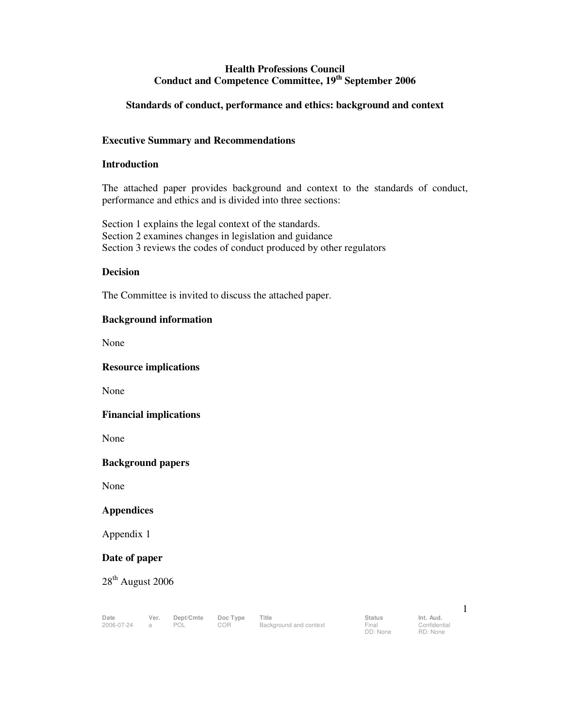## **Health Professions Council Conduct and Competence Committee, 19th September 2006**

## **Standards of conduct, performance and ethics: background and context**

## **Executive Summary and Recommendations**

#### **Introduction**

The attached paper provides background and context to the standards of conduct, performance and ethics and is divided into three sections:

Section 1 explains the legal context of the standards. Section 2 examines changes in legislation and guidance Section 3 reviews the codes of conduct produced by other regulators

#### **Decision**

The Committee is invited to discuss the attached paper.

#### **Background information**

None

**Resource implications** 

None

#### **Financial implications**

None

## **Background papers**

None

## **Appendices**

Appendix 1

#### **Date of paper**

28<sup>th</sup> August 2006

Confidential RD: None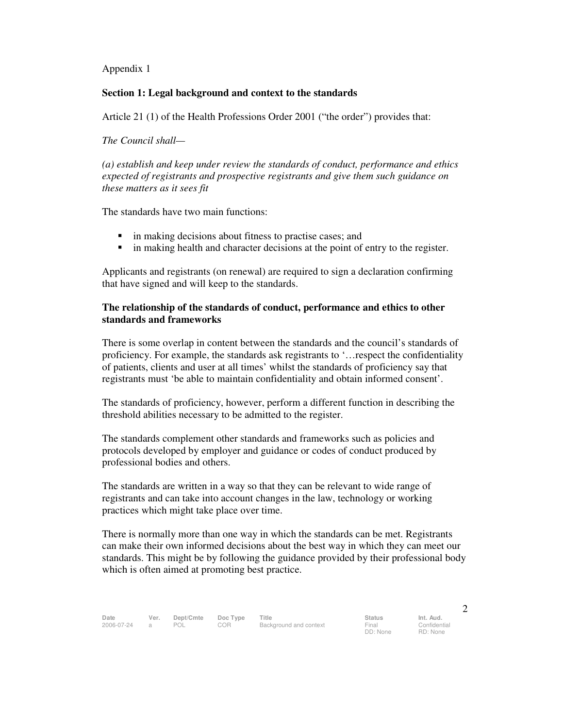Appendix 1

## **Section 1: Legal background and context to the standards**

Article 21 (1) of the Health Professions Order 2001 ("the order") provides that:

*The Council shall—* 

*(a) establish and keep under review the standards of conduct, performance and ethics expected of registrants and prospective registrants and give them such guidance on these matters as it sees fit* 

The standards have two main functions:

- in making decisions about fitness to practise cases; and
- in making health and character decisions at the point of entry to the register.

Applicants and registrants (on renewal) are required to sign a declaration confirming that have signed and will keep to the standards.

## **The relationship of the standards of conduct, performance and ethics to other standards and frameworks**

There is some overlap in content between the standards and the council's standards of proficiency. For example, the standards ask registrants to '…respect the confidentiality of patients, clients and user at all times' whilst the standards of proficiency say that registrants must 'be able to maintain confidentiality and obtain informed consent'.

The standards of proficiency, however, perform a different function in describing the threshold abilities necessary to be admitted to the register.

The standards complement other standards and frameworks such as policies and protocols developed by employer and guidance or codes of conduct produced by professional bodies and others.

The standards are written in a way so that they can be relevant to wide range of registrants and can take into account changes in the law, technology or working practices which might take place over time.

There is normally more than one way in which the standards can be met. Registrants can make their own informed decisions about the best way in which they can meet our standards. This might be by following the guidance provided by their professional body which is often aimed at promoting best practice.

**Date Ver. Dept/Cmte Doc Type Title Status Int. Aud.**<br>2006-07-24 a POL COR Background and context Final Confident Background and context

DD: None

Confidential RD: None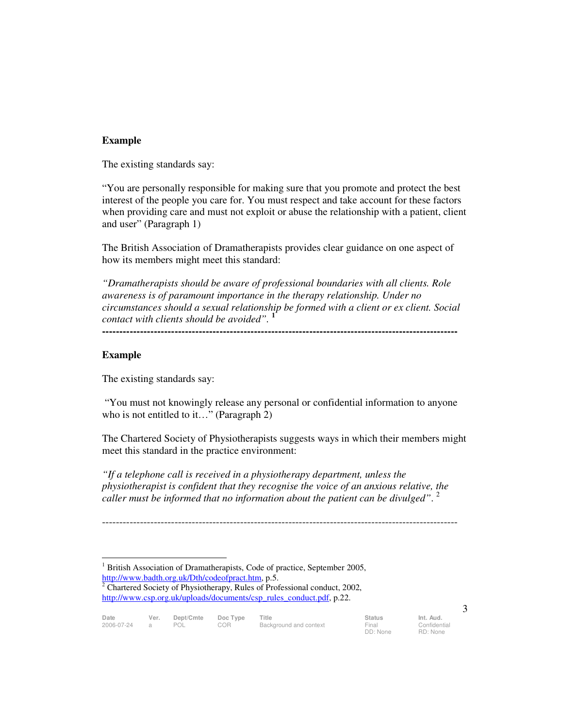#### **Example**

The existing standards say:

"You are personally responsible for making sure that you promote and protect the best interest of the people you care for. You must respect and take account for these factors when providing care and must not exploit or abuse the relationship with a patient, client and user" (Paragraph 1)

The British Association of Dramatherapists provides clear guidance on one aspect of how its members might meet this standard:

*"Dramatherapists should be aware of professional boundaries with all clients. Role awareness is of paramount importance in the therapy relationship. Under no circumstances should a sexual relationship be formed with a client or ex client. Social contact with clients should be avoided".* **<sup>1</sup> -------------------------------------------------------------------------------------------------------** 

#### **Example**

 $\ddot{\phantom{a}}$ 

The existing standards say:

 "You must not knowingly release any personal or confidential information to anyone who is not entitled to it…" (Paragraph 2)

The Chartered Society of Physiotherapists suggests ways in which their members might meet this standard in the practice environment:

*"If a telephone call is received in a physiotherapy department, unless the physiotherapist is confident that they recognise the voice of an anxious relative, the caller must be informed that no information about the patient can be divulged"*. 2

-------------------------------------------------------------------------------------------------------

<sup>1</sup> British Association of Dramatherapists, Code of practice, September 2005, http://www.badth.org.uk/Dth/codeofpract.htm, p.5.<br><sup>2</sup> Chartered Society of Physiotherany, Pulse of Prof Chartered Society of Physiotherapy, Rules of Professional conduct, 2002,

http://www.csp.org.uk/uploads/documents/csp\_rules\_conduct.pdf, p.22.

**Date Ver. Dept/Cmte Doc Type Title Status Int. Aud.**<br>2006-07-24 a POL COR Background and context Final Confident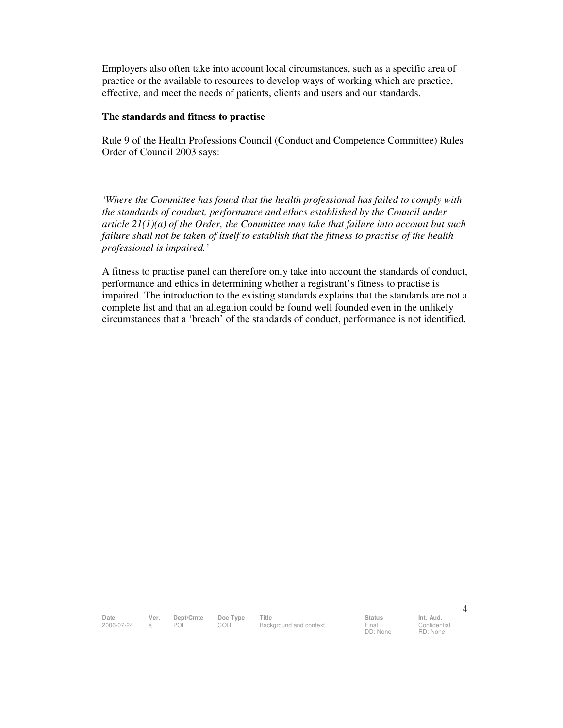Employers also often take into account local circumstances, such as a specific area of practice or the available to resources to develop ways of working which are practice, effective, and meet the needs of patients, clients and users and our standards.

#### **The standards and fitness to practise**

Rule 9 of the Health Professions Council (Conduct and Competence Committee) Rules Order of Council 2003 says:

*'Where the Committee has found that the health professional has failed to comply with the standards of conduct, performance and ethics established by the Council under article 21(1)(a) of the Order, the Committee may take that failure into account but such failure shall not be taken of itself to establish that the fitness to practise of the health professional is impaired.'* 

A fitness to practise panel can therefore only take into account the standards of conduct, performance and ethics in determining whether a registrant's fitness to practise is impaired. The introduction to the existing standards explains that the standards are not a complete list and that an allegation could be found well founded even in the unlikely circumstances that a 'breach' of the standards of conduct, performance is not identified.

**Date Ver. Dept/Cmte Doc Type Title Status Int. Aud.** 2006-07-24 a POL COR Background and context Final

DD: None

Confidential RD: None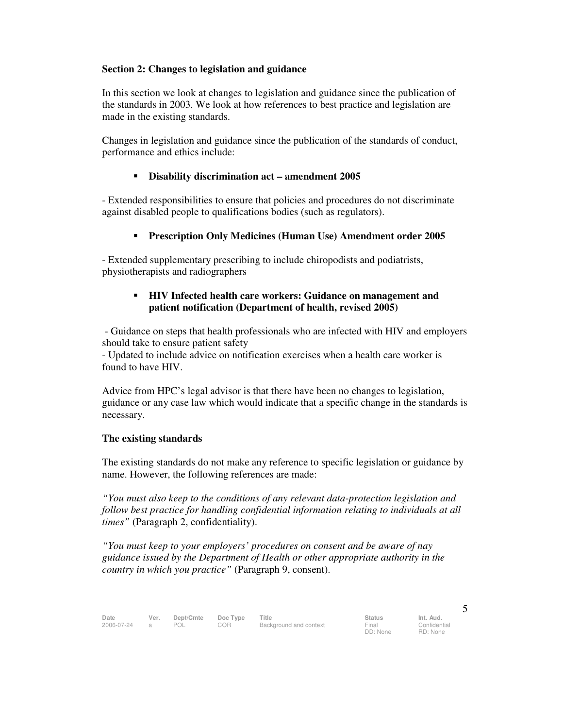## **Section 2: Changes to legislation and guidance**

In this section we look at changes to legislation and guidance since the publication of the standards in 2003. We look at how references to best practice and legislation are made in the existing standards.

Changes in legislation and guidance since the publication of the standards of conduct, performance and ethics include:

## **Disability discrimination act – amendment 2005**

- Extended responsibilities to ensure that policies and procedures do not discriminate against disabled people to qualifications bodies (such as regulators).

## **Prescription Only Medicines (Human Use) Amendment order 2005**

- Extended supplementary prescribing to include chiropodists and podiatrists, physiotherapists and radiographers

## **HIV Infected health care workers: Guidance on management and patient notification (Department of health, revised 2005)**

 - Guidance on steps that health professionals who are infected with HIV and employers should take to ensure patient safety

- Updated to include advice on notification exercises when a health care worker is found to have HIV.

Advice from HPC's legal advisor is that there have been no changes to legislation, guidance or any case law which would indicate that a specific change in the standards is necessary.

## **The existing standards**

The existing standards do not make any reference to specific legislation or guidance by name. However, the following references are made:

*"You must also keep to the conditions of any relevant data-protection legislation and*  follow best practice for handling confidential information relating to individuals at all *times"* (Paragraph 2, confidentiality).

*"You must keep to your employers' procedures on consent and be aware of nay guidance issued by the Department of Health or other appropriate authority in the country in which you practice"* (Paragraph 9, consent).

**Date Ver. Dept/Cmte Doc Type Title COR Status Int. Aud.**<br>2006-07-24 a POL COR Background and context Final Confident Background and context

DD: None

Confidential RD: None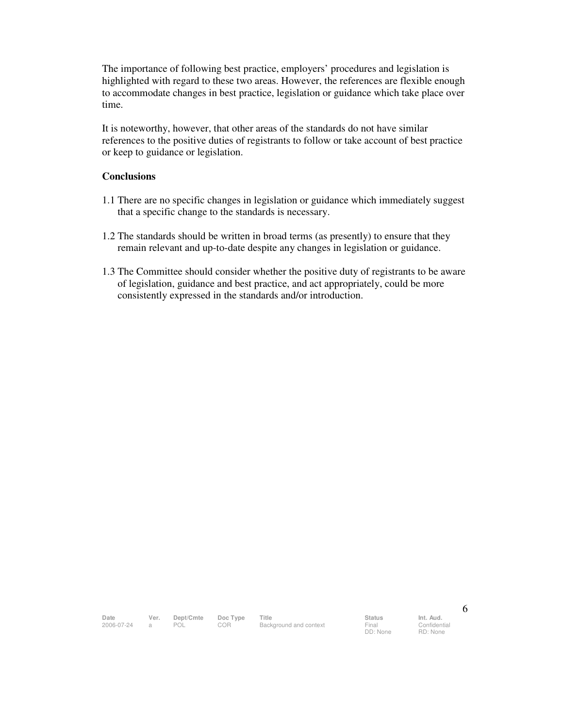The importance of following best practice, employers' procedures and legislation is highlighted with regard to these two areas. However, the references are flexible enough to accommodate changes in best practice, legislation or guidance which take place over time.

It is noteworthy, however, that other areas of the standards do not have similar references to the positive duties of registrants to follow or take account of best practice or keep to guidance or legislation.

## **Conclusions**

- 1.1 There are no specific changes in legislation or guidance which immediately suggest that a specific change to the standards is necessary.
- 1.2 The standards should be written in broad terms (as presently) to ensure that they remain relevant and up-to-date despite any changes in legislation or guidance.
- 1.3 The Committee should consider whether the positive duty of registrants to be aware of legislation, guidance and best practice, and act appropriately, could be more consistently expressed in the standards and/or introduction.

**Date Ver. Dept/Cmte Doc Type Title Conflict Status Int. Aud.**<br>1999-07-24 a POL COR Background and context Final Confident Background and context

DD: None

Confidential RD: None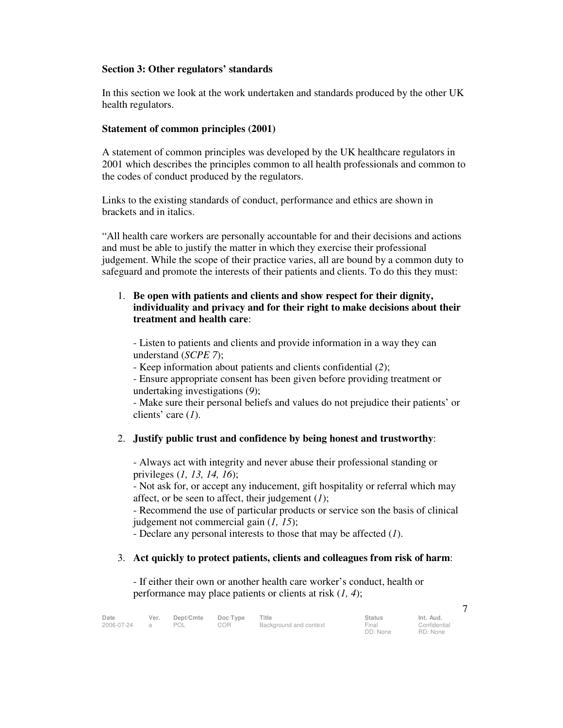#### **Section 3: Other regulators' standards**

In this section we look at the work undertaken and standards produced by the other UK health regulators.

#### **Statement of common principles (2001)**

A statement of common principles was developed by the UK healthcare regulators in 2001 which describes the principles common to all health professionals and common to the codes of conduct produced by the regulators.

Links to the existing standards of conduct, performance and ethics are shown in brackets and in italics.

"All health care workers are personally accountable for and their decisions and actions and must be able to justify the matter in which they exercise their professional judgement. While the scope of their practice varies, all are bound by a common duty to safeguard and promote the interests of their patients and clients. To do this they must:

## 1. **Be open with patients and clients and show respect for their dignity, individuality and privacy and for their right to make decisions about their treatment and health care**:

- Listen to patients and clients and provide information in a way they can understand (*SCPE 7*);

- Keep information about patients and clients confidential (*2*);

- Ensure appropriate consent has been given before providing treatment or undertaking investigations (*9*);

- Make sure their personal beliefs and values do not prejudice their patients' or clients' care (*1*).

## 2. **Justify public trust and confidence by being honest and trustworthy**:

- Always act with integrity and never abuse their professional standing or privileges (*1, 13, 14, 16*);

- Not ask for, or accept any inducement, gift hospitality or referral which may affect, or be seen to affect, their judgement (*1*);

- Recommend the use of particular products or service son the basis of clinical judgement not commercial gain (*1, 15*);

- Declare any personal interests to those that may be affected (*1*).

## 3. **Act quickly to protect patients, clients and colleagues from risk of harm**:

- If either their own or another health care worker's conduct, health or performance may place patients or clients at risk (*1, 4*);

| Date       | Ver. | Dept/Cmte | Doc Type | Title                  | <b>Status</b> | Int. Aud.    |
|------------|------|-----------|----------|------------------------|---------------|--------------|
| 2006-07-24 |      | POL       | COR.     | Background and context | Final         | Confidential |
|            |      |           |          |                        | DD: None      | RD: None     |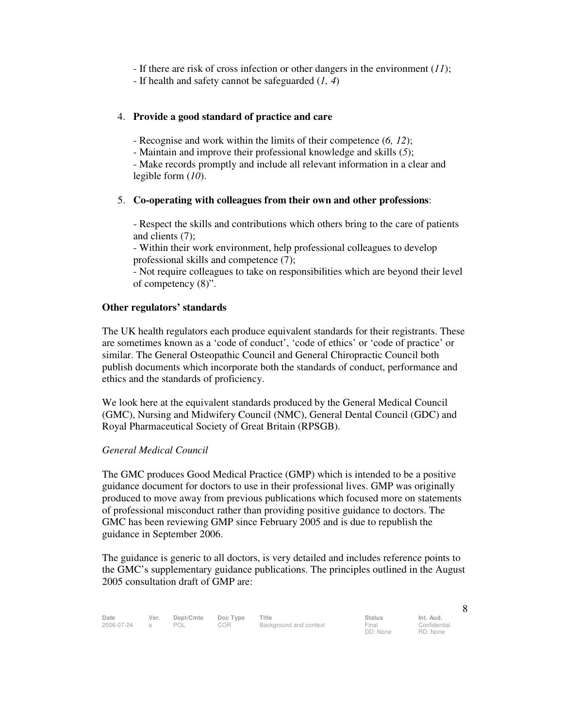- If there are risk of cross infection or other dangers in the environment (*11*);

- If health and safety cannot be safeguarded (*1, 4*)

## 4. **Provide a good standard of practice and care**

- Recognise and work within the limits of their competence (*6, 12*);

- Maintain and improve their professional knowledge and skills (*5*);

- Make records promptly and include all relevant information in a clear and legible form (*10*).

#### 5. **Co-operating with colleagues from their own and other professions**:

- Respect the skills and contributions which others bring to the care of patients and clients (7);

- Within their work environment, help professional colleagues to develop professional skills and competence (7);

- Not require colleagues to take on responsibilities which are beyond their level of competency (8)".

## **Other regulators' standards**

The UK health regulators each produce equivalent standards for their registrants. These are sometimes known as a 'code of conduct', 'code of ethics' or 'code of practice' or similar. The General Osteopathic Council and General Chiropractic Council both publish documents which incorporate both the standards of conduct, performance and ethics and the standards of proficiency.

We look here at the equivalent standards produced by the General Medical Council (GMC), Nursing and Midwifery Council (NMC), General Dental Council (GDC) and Royal Pharmaceutical Society of Great Britain (RPSGB).

## *General Medical Council*

The GMC produces Good Medical Practice (GMP) which is intended to be a positive guidance document for doctors to use in their professional lives. GMP was originally produced to move away from previous publications which focused more on statements of professional misconduct rather than providing positive guidance to doctors. The GMC has been reviewing GMP since February 2005 and is due to republish the guidance in September 2006.

The guidance is generic to all doctors, is very detailed and includes reference points to the GMC's supplementary guidance publications. The principles outlined in the August 2005 consultation draft of GMP are:

| Date       | Ver. | Dept/Cmte | Doc Type | Title                  | <b>Status</b> | Int. Aud.    |
|------------|------|-----------|----------|------------------------|---------------|--------------|
| 2006-07-24 |      | POL       | COR      | Background and context | Final         | Confidential |
|            |      |           |          |                        | DD: None      | RD: None     |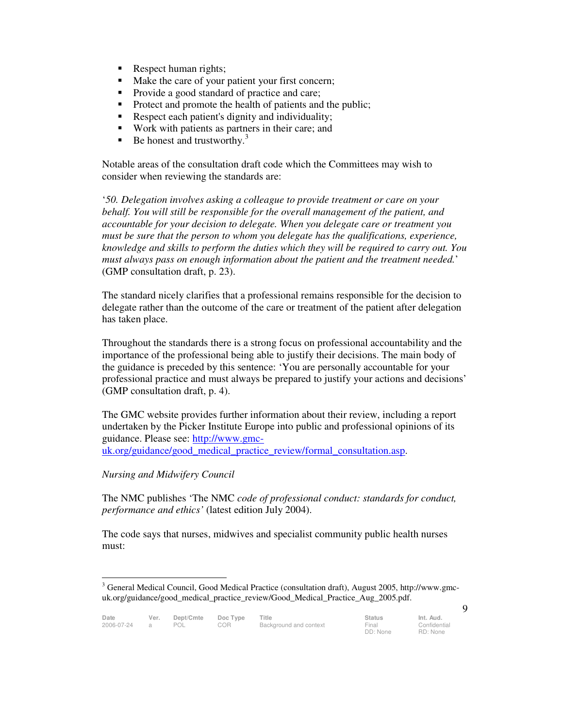- Respect human rights;
- Make the care of your patient your first concern;
- Provide a good standard of practice and care;
- Protect and promote the health of patients and the public;
- Respect each patient's dignity and individuality;
- Work with patients as partners in their care; and
- $\blacksquare$  Be honest and trustworthy.<sup>3</sup>

Notable areas of the consultation draft code which the Committees may wish to consider when reviewing the standards are:

'*50. Delegation involves asking a colleague to provide treatment or care on your behalf. You will still be responsible for the overall management of the patient, and accountable for your decision to delegate. When you delegate care or treatment you must be sure that the person to whom you delegate has the qualifications, experience, knowledge and skills to perform the duties which they will be required to carry out. You must always pass on enough information about the patient and the treatment needed.*' (GMP consultation draft, p. 23).

The standard nicely clarifies that a professional remains responsible for the decision to delegate rather than the outcome of the care or treatment of the patient after delegation has taken place.

Throughout the standards there is a strong focus on professional accountability and the importance of the professional being able to justify their decisions. The main body of the guidance is preceded by this sentence: 'You are personally accountable for your professional practice and must always be prepared to justify your actions and decisions' (GMP consultation draft, p. 4).

The GMC website provides further information about their review, including a report undertaken by the Picker Institute Europe into public and professional opinions of its guidance. Please see: http://www.gmcuk.org/guidance/good\_medical\_practice\_review/formal\_consultation.asp.

## *Nursing and Midwifery Council*

The NMC publishes 'The NMC *code of professional conduct: standards for conduct, performance and ethics'* (latest edition July 2004).

The code says that nurses, midwives and specialist community public health nurses must:

<sup>&</sup>lt;sup>3</sup> General Medical Council, Good Medical Practice (consultation draft), August 2005, http://www.gmcuk.org/guidance/good\_medical\_practice\_review/Good\_Medical\_Practice\_Aug\_2005.pdf.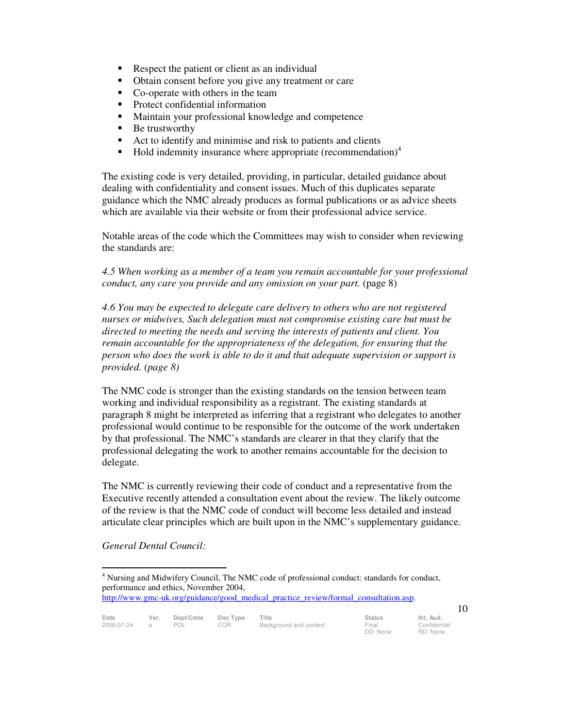- Respect the patient or client as an individual
- Obtain consent before you give any treatment or care
- Co-operate with others in the team
- Protect confidential information
- Maintain your professional knowledge and competence
- $\blacksquare$  Be trustworthy
- Act to identify and minimise and risk to patients and clients
- $\blacksquare$  Hold indemnity insurance where appropriate (recommendation)<sup>4</sup>

The existing code is very detailed, providing, in particular, detailed guidance about dealing with confidentiality and consent issues. Much of this duplicates separate guidance which the NMC already produces as formal publications or as advice sheets which are available via their website or from their professional advice service.

Notable areas of the code which the Committees may wish to consider when reviewing the standards are:

*4.5 When working as a member of a team you remain accountable for your professional conduct, any care you provide and any omission on your part.* (page 8)

*4.6 You may be expected to delegate care delivery to others who are not registered nurses or midwives, Such delegation must not compromise existing care but must be directed to meeting the needs and serving the interests of patients and client. You remain accountable for the appropriateness of the delegation, for ensuring that the person who does the work is able to do it and that adequate supervision or support is provided. (page 8)* 

The NMC code is stronger than the existing standards on the tension between team working and individual responsibility as a registrant. The existing standards at paragraph 8 might be interpreted as inferring that a registrant who delegates to another professional would continue to be responsible for the outcome of the work undertaken by that professional. The NMC's standards are clearer in that they clarify that the professional delegating the work to another remains accountable for the decision to delegate.

The NMC is currently reviewing their code of conduct and a representative from the Executive recently attended a consultation event about the review. The likely outcome of the review is that the NMC code of conduct will become less detailed and instead articulate clear principles which are built upon in the NMC's supplementary guidance.

*General Dental Council:* 

 4 Nursing and Midwifery Council, The NMC code of professional conduct: standards for conduct, performance and ethics, November 2004, http://www.gmc-uk.org/guidance/good\_medical\_practice\_review/formal\_consultation.asp.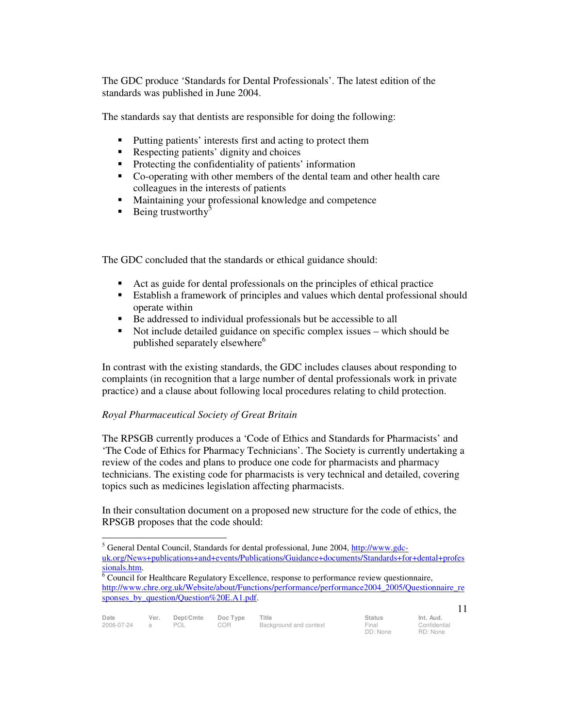The GDC produce 'Standards for Dental Professionals'. The latest edition of the standards was published in June 2004.

The standards say that dentists are responsible for doing the following:

- Putting patients' interests first and acting to protect them
- Respecting patients' dignity and choices
- Protecting the confidentiality of patients' information
- Co-operating with other members of the dental team and other health care colleagues in the interests of patients
- Maintaining your professional knowledge and competence
- Being trustworthy<sup>5</sup>

The GDC concluded that the standards or ethical guidance should:

- Act as guide for dental professionals on the principles of ethical practice
- Establish a framework of principles and values which dental professional should operate within
- Be addressed to individual professionals but be accessible to all
- Not include detailed guidance on specific complex issues which should be published separately elsewhere<sup>6</sup>

In contrast with the existing standards, the GDC includes clauses about responding to complaints (in recognition that a large number of dental professionals work in private practice) and a clause about following local procedures relating to child protection.

#### *Royal Pharmaceutical Society of Great Britain*

The RPSGB currently produces a 'Code of Ethics and Standards for Pharmacists' and 'The Code of Ethics for Pharmacy Technicians'. The Society is currently undertaking a review of the codes and plans to produce one code for pharmacists and pharmacy technicians. The existing code for pharmacists is very technical and detailed, covering topics such as medicines legislation affecting pharmacists.

In their consultation document on a proposed new structure for the code of ethics, the RPSGB proposes that the code should:

<sup>&</sup>lt;sup>5</sup> General Dental Council, Standards for dental professional, June 2004, http://www.gdcuk.org/News+publications+and+events/Publications/Guidance+documents/Standards+for+dental+profes sionals.htm.<br><sup>6</sup> Council for

Council for Healthcare Regulatory Excellence, response to performance review questionnaire, http://www.chre.org.uk/Website/about/Functions/performance/performance2004\_2005/Questionnaire\_re sponses\_by\_question/Question%20E.A1.pdf.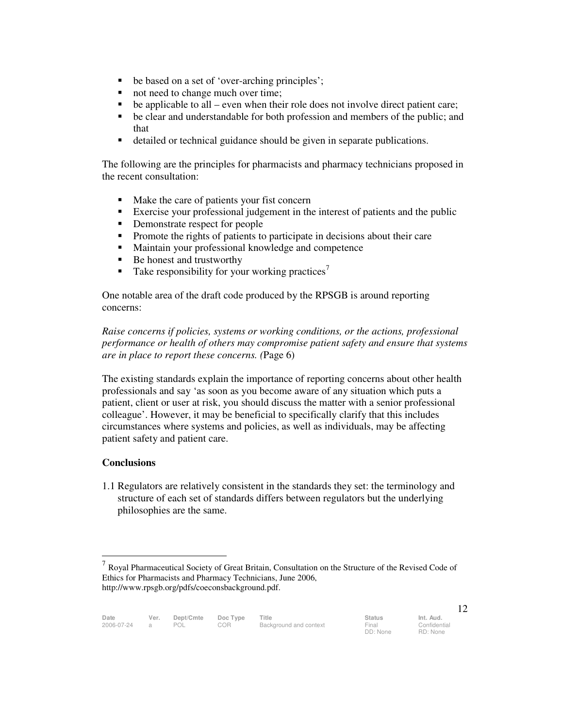- be based on a set of 'over-arching principles';
- not need to change much over time;
- be applicable to all even when their role does not involve direct patient care;
- be clear and understandable for both profession and members of the public; and that
- detailed or technical guidance should be given in separate publications.

The following are the principles for pharmacists and pharmacy technicians proposed in the recent consultation:

- Make the care of patients your fist concern
- Exercise your professional judgement in the interest of patients and the public
- Demonstrate respect for people
- **Promote the rights of patients to participate in decisions about their care**
- **Maintain your professional knowledge and competence**
- Be honest and trustworthy
- **Take responsibility for your working practices**

One notable area of the draft code produced by the RPSGB is around reporting concerns:

*Raise concerns if policies, systems or working conditions, or the actions, professional performance or health of others may compromise patient safety and ensure that systems are in place to report these concerns. (*Page 6)

The existing standards explain the importance of reporting concerns about other health professionals and say 'as soon as you become aware of any situation which puts a patient, client or user at risk, you should discuss the matter with a senior professional colleague'. However, it may be beneficial to specifically clarify that this includes circumstances where systems and policies, as well as individuals, may be affecting patient safety and patient care.

## **Conclusions**

1.1 Regulators are relatively consistent in the standards they set: the terminology and structure of each set of standards differs between regulators but the underlying philosophies are the same.

 $\ddot{\phantom{a}}$ 

**Date Ver. Dept/Cmte Doc Type Title Confident Status Int. Aud.**<br>1999-1992 - POL COR Background and context Final Confiden Background and context

12

RD: None

<sup>7</sup> Royal Pharmaceutical Society of Great Britain, Consultation on the Structure of the Revised Code of Ethics for Pharmacists and Pharmacy Technicians, June 2006, http://www.rpsgb.org/pdfs/coeconsbackground.pdf.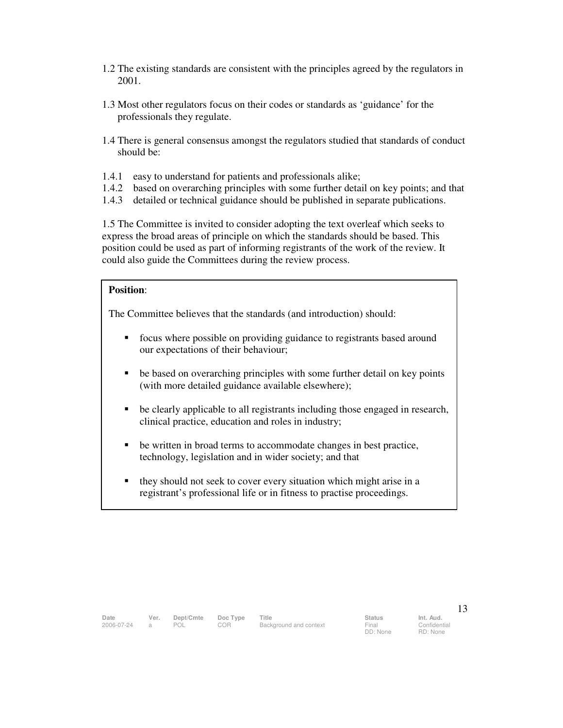- 1.2 The existing standards are consistent with the principles agreed by the regulators in 2001.
- 1.3 Most other regulators focus on their codes or standards as 'guidance' for the professionals they regulate.
- 1.4 There is general consensus amongst the regulators studied that standards of conduct should be:
- 1.4.1 easy to understand for patients and professionals alike;
- 1.4.2 based on overarching principles with some further detail on key points; and that
- 1.4.3 detailed or technical guidance should be published in separate publications.

1.5 The Committee is invited to consider adopting the text overleaf which seeks to express the broad areas of principle on which the standards should be based. This position could be used as part of informing registrants of the work of the review. It could also guide the Committees during the review process.

## **Position**:

The Committee believes that the standards (and introduction) should:

- focus where possible on providing guidance to registrants based around our expectations of their behaviour;
- be based on overarching principles with some further detail on key points (with more detailed guidance available elsewhere);
- be clearly applicable to all registrants including those engaged in research, clinical practice, education and roles in industry;
- be written in broad terms to accommodate changes in best practice, technology, legislation and in wider society; and that
- they should not seek to cover every situation which might arise in a registrant's professional life or in fitness to practise proceedings.

| - - - |  |  |
|-------|--|--|
|       |  |  |

**Date Ver. Dept/Cmte Doc Type Title Status Int. Aud.** a POL COR Background and context Final

DD: None

Confidential RD: None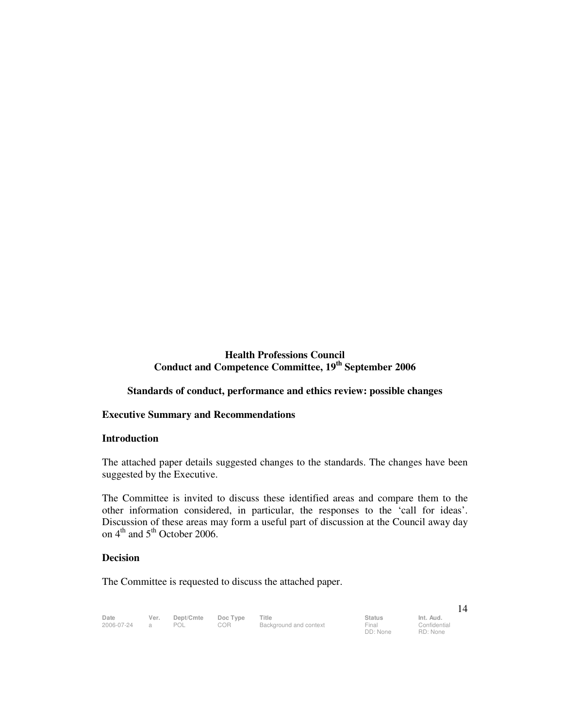# **Health Professions Council Conduct and Competence Committee, 19th September 2006**

#### **Standards of conduct, performance and ethics review: possible changes**

#### **Executive Summary and Recommendations**

#### **Introduction**

The attached paper details suggested changes to the standards. The changes have been suggested by the Executive.

The Committee is invited to discuss these identified areas and compare them to the other information considered, in particular, the responses to the 'call for ideas'. Discussion of these areas may form a useful part of discussion at the Council away day on  $4<sup>th</sup>$  and  $5<sup>th</sup>$  October 2006.

## **Decision**

The Committee is requested to discuss the attached paper.

|      |                        |       | Int. Aud.                |
|------|------------------------|-------|--------------------------|
| CORI | Background and context | Final | Confidential<br>RD: None |
|      |                        |       | DD: None                 |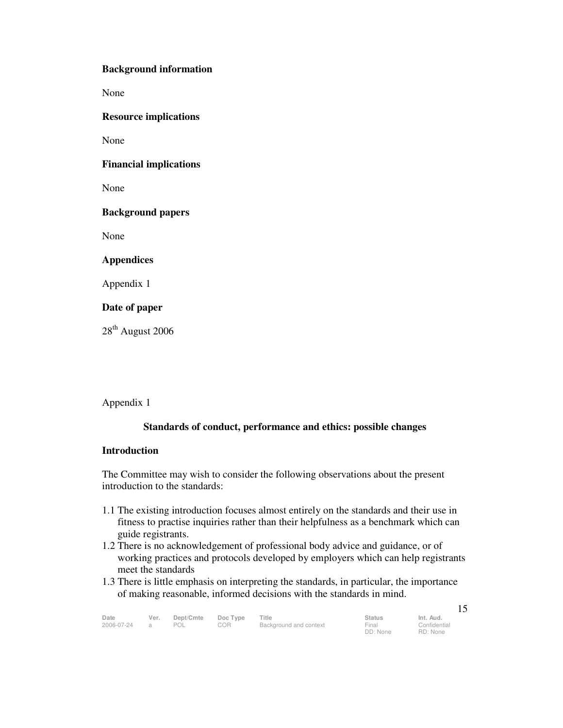#### **Background information**

None

**Resource implications** 

None

**Financial implications** 

None

**Background papers** 

None

#### **Appendices**

Appendix 1

## **Date of paper**

28<sup>th</sup> August 2006

Appendix 1

#### **Standards of conduct, performance and ethics: possible changes**

## **Introduction**

The Committee may wish to consider the following observations about the present introduction to the standards:

- 1.1 The existing introduction focuses almost entirely on the standards and their use in fitness to practise inquiries rather than their helpfulness as a benchmark which can guide registrants.
- 1.2 There is no acknowledgement of professional body advice and guidance, or of working practices and protocols developed by employers which can help registrants meet the standards
- 1.3 There is little emphasis on interpreting the standards, in particular, the importance of making reasonable, informed decisions with the standards in mind.

| Date       | Ver. | Dept/Cmte | Doc Type | Title                  | <b>Status</b> | Int. Aud.    |
|------------|------|-----------|----------|------------------------|---------------|--------------|
| 2006-07-24 |      | POL       | COR      | Background and context | Final         | Confidential |
|            |      |           |          |                        | DD: None      | RD: None     |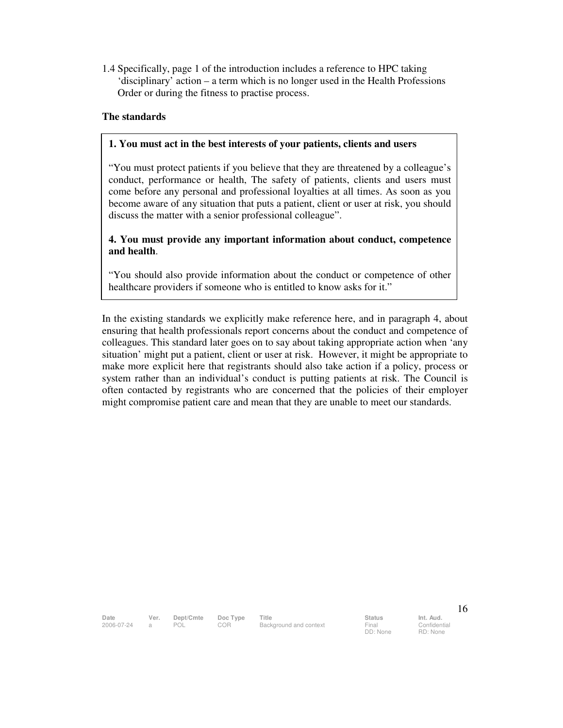1.4 Specifically, page 1 of the introduction includes a reference to HPC taking 'disciplinary' action – a term which is no longer used in the Health Professions Order or during the fitness to practise process.

#### **The standards**

#### **1. You must act in the best interests of your patients, clients and users**

"You must protect patients if you believe that they are threatened by a colleague's conduct, performance or health, The safety of patients, clients and users must come before any personal and professional loyalties at all times. As soon as you become aware of any situation that puts a patient, client or user at risk, you should discuss the matter with a senior professional colleague".

## **4. You must provide any important information about conduct, competence and health**.

"You should also provide information about the conduct or competence of other healthcare providers if someone who is entitled to know asks for it."

In the existing standards we explicitly make reference here, and in paragraph 4, about ensuring that health professionals report concerns about the conduct and competence of colleagues. This standard later goes on to say about taking appropriate action when 'any situation' might put a patient, client or user at risk. However, it might be appropriate to make more explicit here that registrants should also take action if a policy, process or system rather than an individual's conduct is putting patients at risk. The Council is often contacted by registrants who are concerned that the policies of their employer might compromise patient care and mean that they are unable to meet our standards.

**Date Ver. Dept/Cmte Doc Type Title Status Int. Aud.** 2006-07-24 a POL COR Background and context Final

DD: None

Confidential RD: None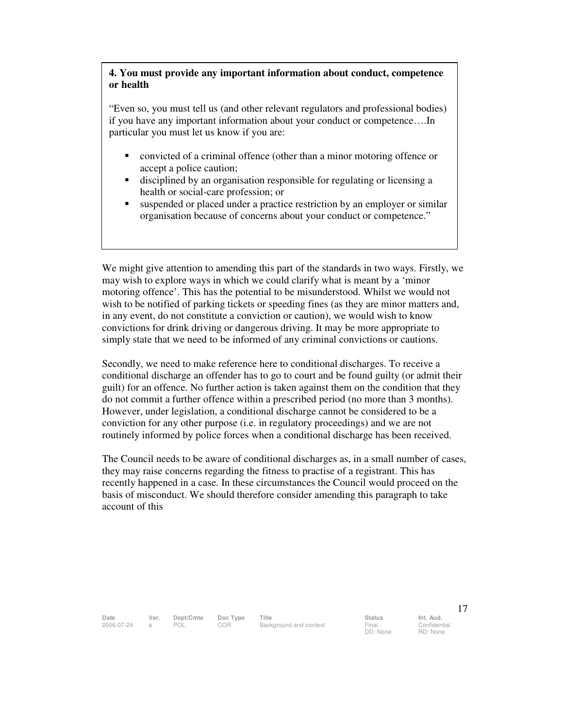## **4. You must provide any important information about conduct, competence or health**

"Even so, you must tell us (and other relevant regulators and professional bodies) if you have any important information about your conduct or competence….In particular you must let us know if you are:

- convicted of a criminal offence (other than a minor motoring offence or accept a police caution;
- disciplined by an organisation responsible for regulating or licensing a health or social-care profession; or
- suspended or placed under a practice restriction by an employer or similar organisation because of concerns about your conduct or competence."

We might give attention to amending this part of the standards in two ways. Firstly, we may wish to explore ways in which we could clarify what is meant by a 'minor motoring offence'. This has the potential to be misunderstood. Whilst we would not wish to be notified of parking tickets or speeding fines (as they are minor matters and, in any event, do not constitute a conviction or caution), we would wish to know convictions for drink driving or dangerous driving. It may be more appropriate to simply state that we need to be informed of any criminal convictions or cautions.

Secondly, we need to make reference here to conditional discharges. To receive a conditional discharge an offender has to go to court and be found guilty (or admit their guilt) for an offence. No further action is taken against them on the condition that they do not commit a further offence within a prescribed period (no more than 3 months). However, under legislation, a conditional discharge cannot be considered to be a conviction for any other purpose (i.e. in regulatory proceedings) and we are not routinely informed by police forces when a conditional discharge has been received.

The Council needs to be aware of conditional discharges as, in a small number of cases, they may raise concerns regarding the fitness to practise of a registrant. This has recently happened in a case. In these circumstances the Council would proceed on the basis of misconduct. We should therefore consider amending this paragraph to take account of this

**Date Ver. Dept/Cmte Doc Type Title Status Int. Aud.** 2006-07-24 a POL COR Background and context Final

DD: None

Confidential RD: None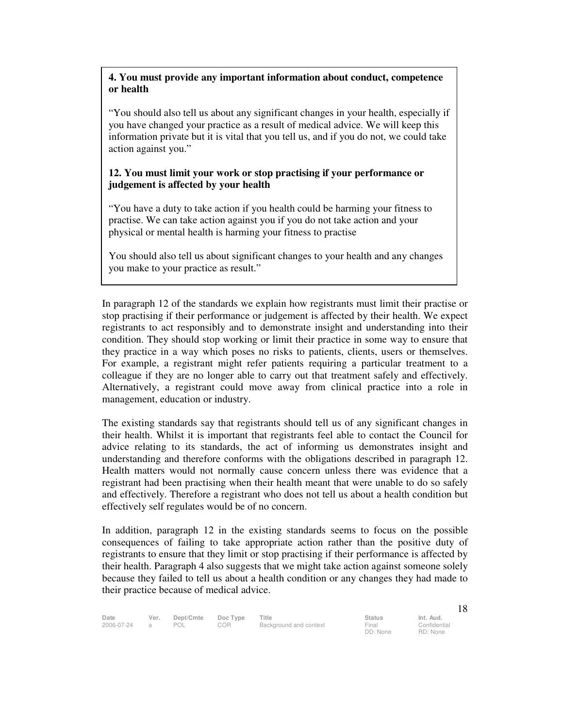# **4. You must provide any important information about conduct, competence or health**

"You should also tell us about any significant changes in your health, especially if you have changed your practice as a result of medical advice. We will keep this information private but it is vital that you tell us, and if you do not, we could take action against you."

## **12. You must limit your work or stop practising if your performance or judgement is affected by your health**

"You have a duty to take action if you health could be harming your fitness to practise. We can take action against you if you do not take action and your physical or mental health is harming your fitness to practise

You should also tell us about significant changes to your health and any changes you make to your practice as result."

In paragraph 12 of the standards we explain how registrants must limit their practise or stop practising if their performance or judgement is affected by their health. We expect registrants to act responsibly and to demonstrate insight and understanding into their condition. They should stop working or limit their practice in some way to ensure that they practice in a way which poses no risks to patients, clients, users or themselves. For example, a registrant might refer patients requiring a particular treatment to a colleague if they are no longer able to carry out that treatment safely and effectively. Alternatively, a registrant could move away from clinical practice into a role in management, education or industry.

The existing standards say that registrants should tell us of any significant changes in their health. Whilst it is important that registrants feel able to contact the Council for advice relating to its standards, the act of informing us demonstrates insight and understanding and therefore conforms with the obligations described in paragraph 12. Health matters would not normally cause concern unless there was evidence that a registrant had been practising when their health meant that were unable to do so safely and effectively. Therefore a registrant who does not tell us about a health condition but effectively self regulates would be of no concern.

In addition, paragraph 12 in the existing standards seems to focus on the possible consequences of failing to take appropriate action rather than the positive duty of registrants to ensure that they limit or stop practising if their performance is affected by their health. Paragraph 4 also suggests that we might take action against someone solely because they failed to tell us about a health condition or any changes they had made to their practice because of medical advice.

18

RD: None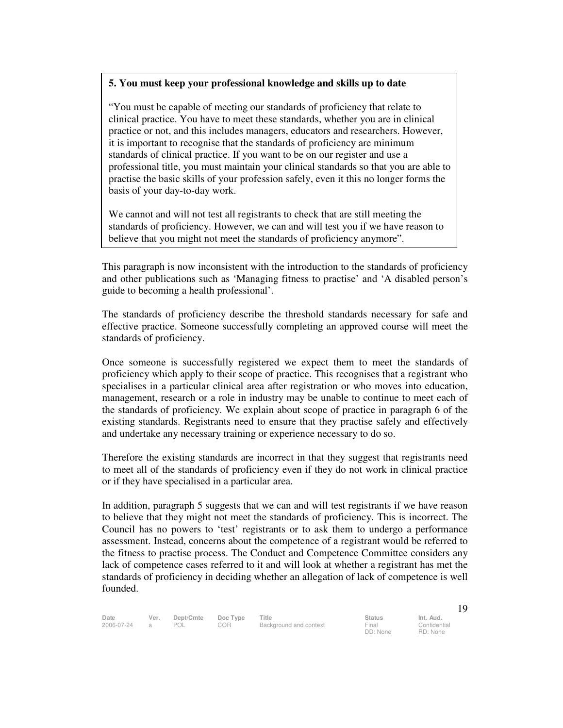## **5. You must keep your professional knowledge and skills up to date**

"You must be capable of meeting our standards of proficiency that relate to clinical practice. You have to meet these standards, whether you are in clinical practice or not, and this includes managers, educators and researchers. However, it is important to recognise that the standards of proficiency are minimum standards of clinical practice. If you want to be on our register and use a professional title, you must maintain your clinical standards so that you are able to practise the basic skills of your profession safely, even it this no longer forms the basis of your day-to-day work.

We cannot and will not test all registrants to check that are still meeting the standards of proficiency. However, we can and will test you if we have reason to believe that you might not meet the standards of proficiency anymore".

This paragraph is now inconsistent with the introduction to the standards of proficiency and other publications such as 'Managing fitness to practise' and 'A disabled person's guide to becoming a health professional'.

The standards of proficiency describe the threshold standards necessary for safe and effective practice. Someone successfully completing an approved course will meet the standards of proficiency.

Once someone is successfully registered we expect them to meet the standards of proficiency which apply to their scope of practice. This recognises that a registrant who specialises in a particular clinical area after registration or who moves into education, management, research or a role in industry may be unable to continue to meet each of the standards of proficiency. We explain about scope of practice in paragraph 6 of the existing standards. Registrants need to ensure that they practise safely and effectively and undertake any necessary training or experience necessary to do so.

Therefore the existing standards are incorrect in that they suggest that registrants need to meet all of the standards of proficiency even if they do not work in clinical practice or if they have specialised in a particular area.

In addition, paragraph 5 suggests that we can and will test registrants if we have reason to believe that they might not meet the standards of proficiency. This is incorrect. The Council has no powers to 'test' registrants or to ask them to undergo a performance assessment. Instead, concerns about the competence of a registrant would be referred to the fitness to practise process. The Conduct and Competence Committee considers any lack of competence cases referred to it and will look at whether a registrant has met the standards of proficiency in deciding whether an allegation of lack of competence is well founded.

Confidential RD: None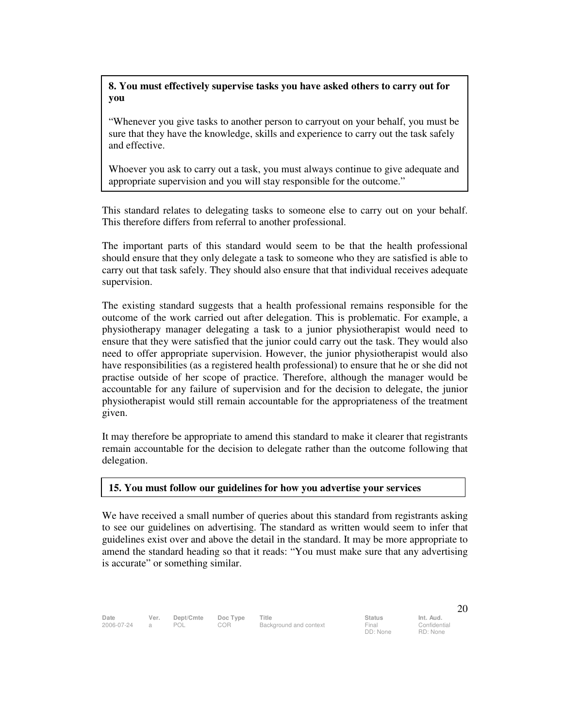**8. You must effectively supervise tasks you have asked others to carry out for you** 

"Whenever you give tasks to another person to carryout on your behalf, you must be sure that they have the knowledge, skills and experience to carry out the task safely and effective.

Whoever you ask to carry out a task, you must always continue to give adequate and appropriate supervision and you will stay responsible for the outcome."

This standard relates to delegating tasks to someone else to carry out on your behalf. This therefore differs from referral to another professional.

The important parts of this standard would seem to be that the health professional should ensure that they only delegate a task to someone who they are satisfied is able to carry out that task safely. They should also ensure that that individual receives adequate supervision.

The existing standard suggests that a health professional remains responsible for the outcome of the work carried out after delegation. This is problematic. For example, a physiotherapy manager delegating a task to a junior physiotherapist would need to ensure that they were satisfied that the junior could carry out the task. They would also need to offer appropriate supervision. However, the junior physiotherapist would also have responsibilities (as a registered health professional) to ensure that he or she did not practise outside of her scope of practice. Therefore, although the manager would be accountable for any failure of supervision and for the decision to delegate, the junior physiotherapist would still remain accountable for the appropriateness of the treatment given.

It may therefore be appropriate to amend this standard to make it clearer that registrants remain accountable for the decision to delegate rather than the outcome following that delegation.

## **15. You must follow our guidelines for how you advertise your services**

We have received a small number of queries about this standard from registrants asking to see our guidelines on advertising. The standard as written would seem to infer that guidelines exist over and above the detail in the standard. It may be more appropriate to amend the standard heading so that it reads: "You must make sure that any advertising is accurate" or something similar.

**Date Ver. Dept/Cmte Doc Type Title Status Int. Aud.** 2006-07-24 a POL COR Background and context Final

DD: None

Confidential RD: None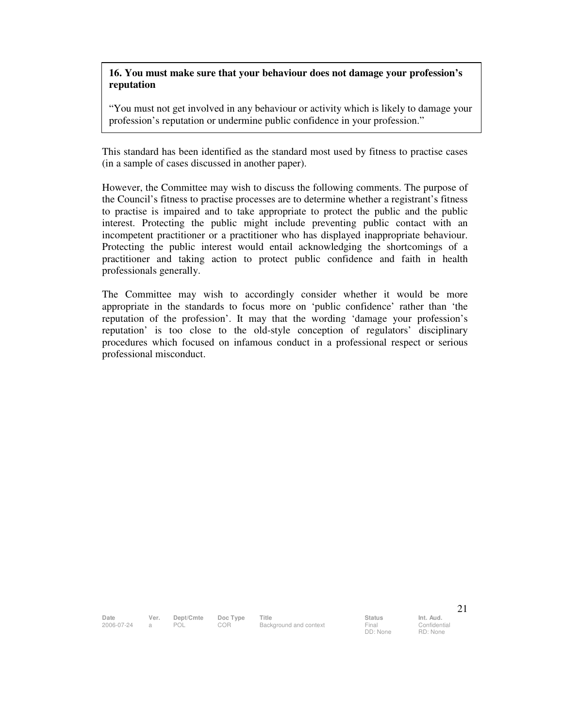## **16. You must make sure that your behaviour does not damage your profession's reputation**

"You must not get involved in any behaviour or activity which is likely to damage your profession's reputation or undermine public confidence in your profession."

This standard has been identified as the standard most used by fitness to practise cases (in a sample of cases discussed in another paper).

However, the Committee may wish to discuss the following comments. The purpose of the Council's fitness to practise processes are to determine whether a registrant's fitness to practise is impaired and to take appropriate to protect the public and the public interest. Protecting the public might include preventing public contact with an incompetent practitioner or a practitioner who has displayed inappropriate behaviour. Protecting the public interest would entail acknowledging the shortcomings of a practitioner and taking action to protect public confidence and faith in health professionals generally.

The Committee may wish to accordingly consider whether it would be more appropriate in the standards to focus more on 'public confidence' rather than 'the reputation of the profession'. It may that the wording 'damage your profession's reputation' is too close to the old-style conception of regulators' disciplinary procedures which focused on infamous conduct in a professional respect or serious professional misconduct.

**Date Ver. Dept/Cmte Doc Type Title Status Int. Aud.** 2006-07-24 a POL COR Background and context Final

DD: None

Confidential RD: None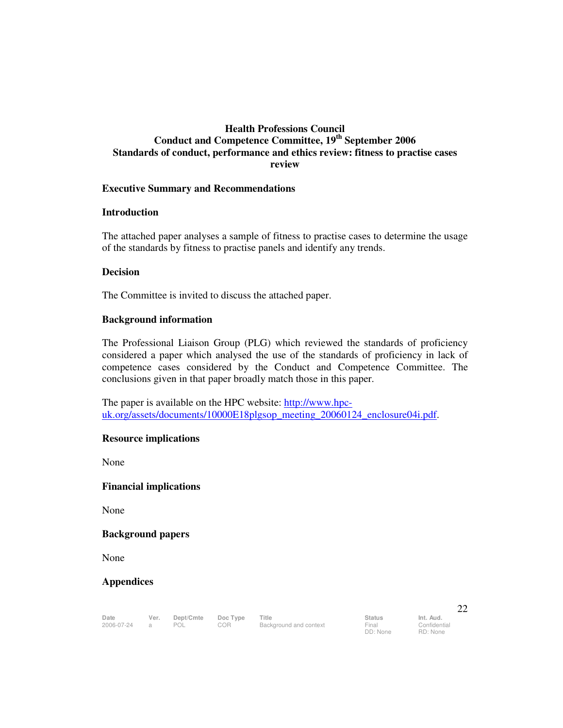# **Health Professions Council Conduct and Competence Committee, 19th September 2006 Standards of conduct, performance and ethics review: fitness to practise cases review**

#### **Executive Summary and Recommendations**

## **Introduction**

The attached paper analyses a sample of fitness to practise cases to determine the usage of the standards by fitness to practise panels and identify any trends.

#### **Decision**

The Committee is invited to discuss the attached paper.

#### **Background information**

The Professional Liaison Group (PLG) which reviewed the standards of proficiency considered a paper which analysed the use of the standards of proficiency in lack of competence cases considered by the Conduct and Competence Committee. The conclusions given in that paper broadly match those in this paper.

The paper is available on the HPC website: http://www.hpcuk.org/assets/documents/10000E18plgsop\_meeting\_20060124\_enclosure04i.pdf.

#### **Resource implications**

None

**Financial implications** 

None

#### **Background papers**

None

#### **Appendices**

**Date Ver. Dept/Cmte Doc Type Title Conflict Status Int. Aud.**<br>1999-07-24 a POL COR Background and context Final Confident Background and context

Final<br>DD: None

Confidential RD: None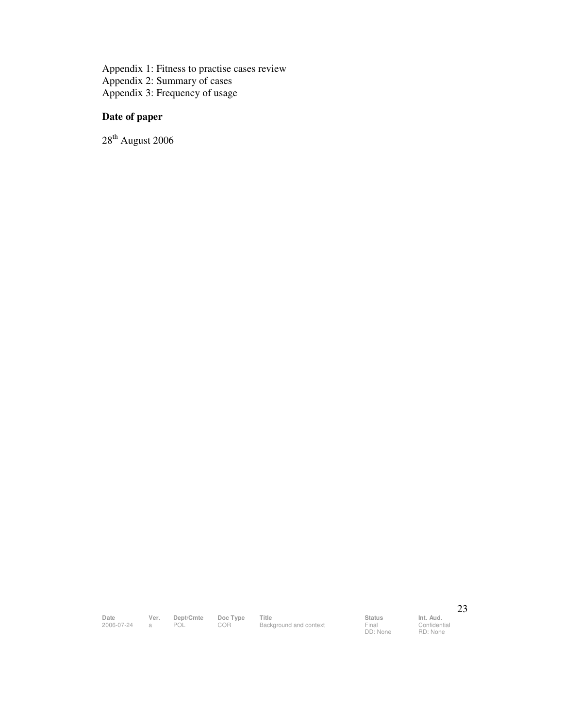Appendix 1: Fitness to practise cases review Appendix 2: Summary of cases Appendix 3: Frequency of usage

# **Date of paper**

 $28^{\rm th}$  August 2006

Date Ver. Dept/Cmte Doc Type Title **Interpretive Status Int. Aud.**<br>2006-07-24 a POL COR Background and context Final Confiden

Final<br>DD: None

Confidential RD: None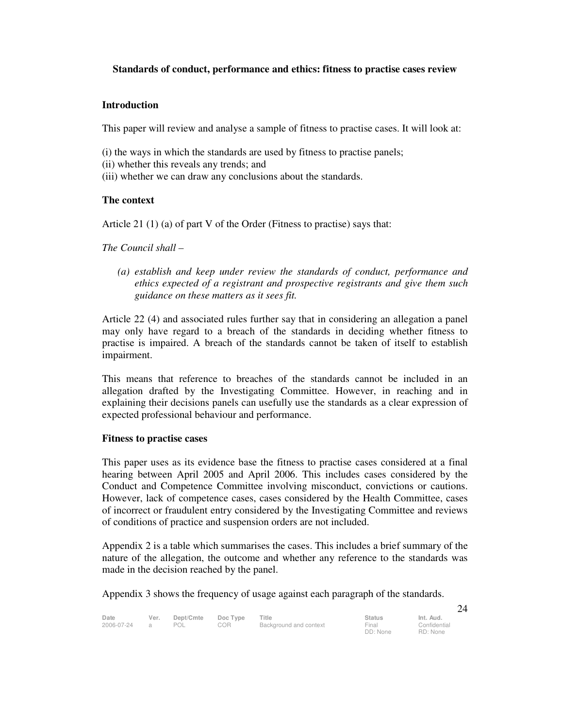## **Standards of conduct, performance and ethics: fitness to practise cases review**

#### **Introduction**

This paper will review and analyse a sample of fitness to practise cases. It will look at:

- (i) the ways in which the standards are used by fitness to practise panels;
- (ii) whether this reveals any trends; and
- (iii) whether we can draw any conclusions about the standards.

## **The context**

Article 21 (1) (a) of part V of the Order (Fitness to practise) says that:

*The Council shall –* 

*(a) establish and keep under review the standards of conduct, performance and ethics expected of a registrant and prospective registrants and give them such guidance on these matters as it sees fit.* 

Article 22 (4) and associated rules further say that in considering an allegation a panel may only have regard to a breach of the standards in deciding whether fitness to practise is impaired. A breach of the standards cannot be taken of itself to establish impairment.

This means that reference to breaches of the standards cannot be included in an allegation drafted by the Investigating Committee. However, in reaching and in explaining their decisions panels can usefully use the standards as a clear expression of expected professional behaviour and performance.

#### **Fitness to practise cases**

This paper uses as its evidence base the fitness to practise cases considered at a final hearing between April 2005 and April 2006. This includes cases considered by the Conduct and Competence Committee involving misconduct, convictions or cautions. However, lack of competence cases, cases considered by the Health Committee, cases of incorrect or fraudulent entry considered by the Investigating Committee and reviews of conditions of practice and suspension orders are not included.

Appendix 2 is a table which summarises the cases. This includes a brief summary of the nature of the allegation, the outcome and whether any reference to the standards was made in the decision reached by the panel.

Appendix 3 shows the frequency of usage against each paragraph of the standards.

| Date       | Ver. | Dept/Cmte  | Doc Type | Title                  | <b>Status</b> | Int. Aud.    |
|------------|------|------------|----------|------------------------|---------------|--------------|
| 2006-07-24 |      | <b>POL</b> | COR      | Background and context | Final         | Confidential |
|            |      |            |          |                        | DD: None      | RD: None     |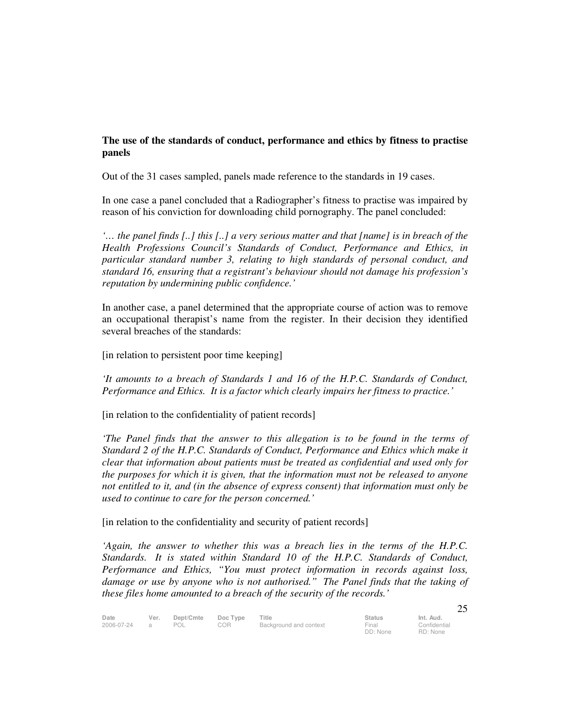## **The use of the standards of conduct, performance and ethics by fitness to practise panels**

Out of the 31 cases sampled, panels made reference to the standards in 19 cases.

In one case a panel concluded that a Radiographer's fitness to practise was impaired by reason of his conviction for downloading child pornography. The panel concluded:

*'… the panel finds [..] this [..] a very serious matter and that [name] is in breach of the Health Professions Council's Standards of Conduct, Performance and Ethics, in particular standard number 3, relating to high standards of personal conduct, and standard 16, ensuring that a registrant's behaviour should not damage his profession's reputation by undermining public confidence.'* 

In another case, a panel determined that the appropriate course of action was to remove an occupational therapist's name from the register. In their decision they identified several breaches of the standards:

[in relation to persistent poor time keeping]

*'It amounts to a breach of Standards 1 and 16 of the H.P.C. Standards of Conduct, Performance and Ethics. It is a factor which clearly impairs her fitness to practice.'* 

[in relation to the confidentiality of patient records]

*'The Panel finds that the answer to this allegation is to be found in the terms of Standard 2 of the H.P.C. Standards of Conduct, Performance and Ethics which make it clear that information about patients must be treated as confidential and used only for the purposes for which it is given, that the information must not be released to anyone not entitled to it, and (in the absence of express consent) that information must only be used to continue to care for the person concerned.'*

[in relation to the confidentiality and security of patient records]

*'Again, the answer to whether this was a breach lies in the terms of the H.P.C. Standards. It is stated within Standard 10 of the H.P.C. Standards of Conduct, Performance and Ethics, "You must protect information in records against loss, damage or use by anyone who is not authorised." The Panel finds that the taking of these files home amounted to a breach of the security of the records.'* 

| Date       | Ver. | Dept/Cmte | Doc Type | Title                  | <b>Status</b>     | Int. Aud.                |
|------------|------|-----------|----------|------------------------|-------------------|--------------------------|
| 2006-07-24 |      | POL       | COR      | Background and context | Final<br>DD: None | Confidential<br>RD: None |
|            |      |           |          |                        |                   |                          |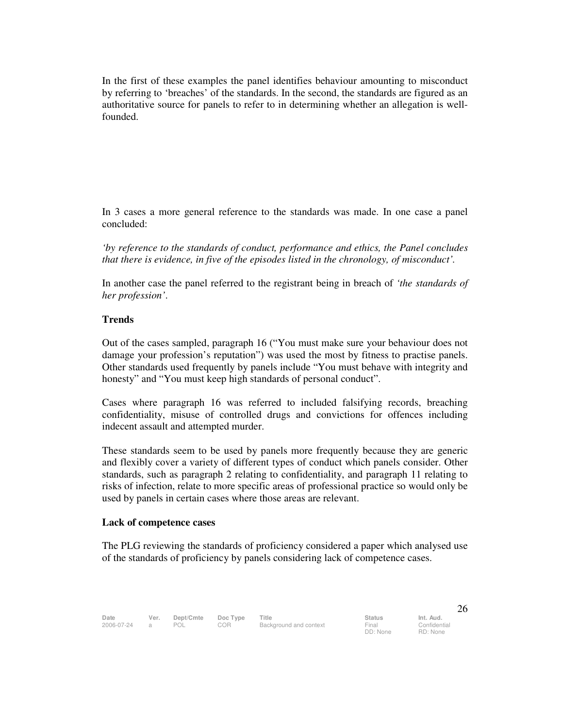In the first of these examples the panel identifies behaviour amounting to misconduct by referring to 'breaches' of the standards. In the second, the standards are figured as an authoritative source for panels to refer to in determining whether an allegation is wellfounded.

In 3 cases a more general reference to the standards was made. In one case a panel concluded:

*'by reference to the standards of conduct, performance and ethics, the Panel concludes that there is evidence, in five of the episodes listed in the chronology, of misconduct'.* 

In another case the panel referred to the registrant being in breach of *'the standards of her profession'*.

## **Trends**

Out of the cases sampled, paragraph 16 ("You must make sure your behaviour does not damage your profession's reputation") was used the most by fitness to practise panels. Other standards used frequently by panels include "You must behave with integrity and honesty" and "You must keep high standards of personal conduct".

Cases where paragraph 16 was referred to included falsifying records, breaching confidentiality, misuse of controlled drugs and convictions for offences including indecent assault and attempted murder.

These standards seem to be used by panels more frequently because they are generic and flexibly cover a variety of different types of conduct which panels consider. Other standards, such as paragraph 2 relating to confidentiality, and paragraph 11 relating to risks of infection, relate to more specific areas of professional practice so would only be used by panels in certain cases where those areas are relevant.

#### **Lack of competence cases**

The PLG reviewing the standards of proficiency considered a paper which analysed use of the standards of proficiency by panels considering lack of competence cases.

**Date Ver. Dept/Cmte Doc Type Title Conflict Status Int. Aud.**<br>1999-07-24 a POL COR Background and context Final Confiden Background and context

DD: None

Confidential RD: None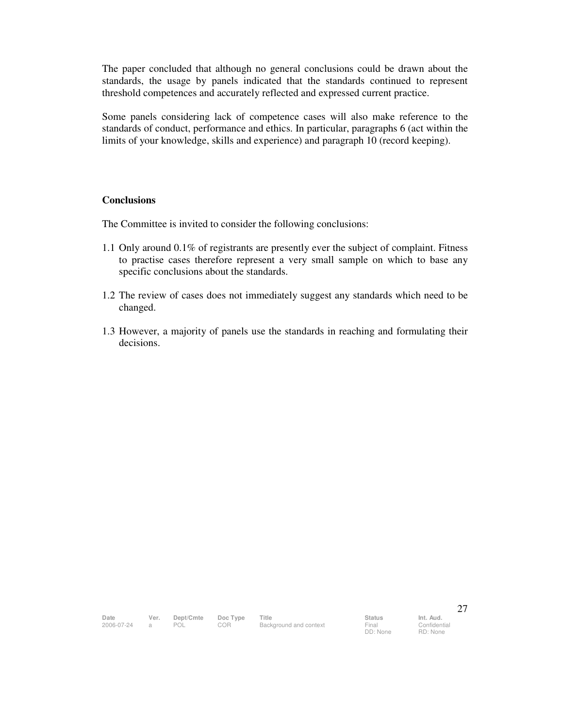The paper concluded that although no general conclusions could be drawn about the standards, the usage by panels indicated that the standards continued to represent threshold competences and accurately reflected and expressed current practice.

Some panels considering lack of competence cases will also make reference to the standards of conduct, performance and ethics. In particular, paragraphs 6 (act within the limits of your knowledge, skills and experience) and paragraph 10 (record keeping).

#### **Conclusions**

The Committee is invited to consider the following conclusions:

- 1.1 Only around 0.1% of registrants are presently ever the subject of complaint. Fitness to practise cases therefore represent a very small sample on which to base any specific conclusions about the standards.
- 1.2 The review of cases does not immediately suggest any standards which need to be changed.
- 1.3 However, a majority of panels use the standards in reaching and formulating their decisions.

**Date Ver. Dept/Cmte Doc Type Title Conflict Status Int. Aud.**<br>1906-07-24 a POL COR Background and context Final Confident Background and context

DD: None

Confidential RD: None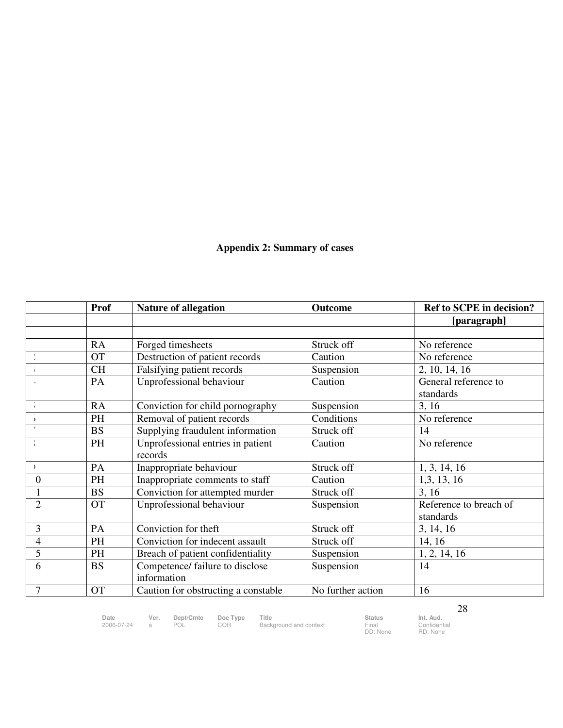# **Appendix 2: Summary of cases**

|                | Prof      | <b>Nature of allegation</b>                    | Outcome           | Ref to SCPE in decision?            |  |
|----------------|-----------|------------------------------------------------|-------------------|-------------------------------------|--|
|                |           |                                                |                   | [paragraph]                         |  |
|                |           |                                                |                   |                                     |  |
|                | RA        | Forged timesheets                              | Struck off        | No reference                        |  |
|                | <b>OT</b> | Destruction of patient records                 | Caution           | No reference                        |  |
|                | <b>CH</b> | Falsifying patient records                     | Suspension        | 2, 10, 14, 16                       |  |
|                | PA        | Unprofessional behaviour                       | Caution           | General reference to<br>standards   |  |
|                | RA        | Conviction for child pornography               | Suspension        | 3, 16                               |  |
|                | PH        | Removal of patient records                     | Conditions        | No reference                        |  |
|                | <b>BS</b> | Supplying fraudulent information               | Struck off        | 14                                  |  |
|                | PH        | Unprofessional entries in patient<br>records   | Caution           | No reference                        |  |
|                | PA        | Inappropriate behaviour                        | Struck off        | 1, 3, 14, 16                        |  |
| $\overline{0}$ | PH        | Inappropriate comments to staff                | Caution           | 1,3, 13, 16                         |  |
|                | <b>BS</b> | Conviction for attempted murder                | Struck off        | 3, 16                               |  |
| $\overline{2}$ | <b>OT</b> | Unprofessional behaviour                       | Suspension        | Reference to breach of<br>standards |  |
| 3              | PA        | Conviction for theft                           | Struck off        | 3, 14, 16                           |  |
| 4              | PH        | Conviction for indecent assault                | Struck off        | 14, 16                              |  |
| 5              | PH        | Breach of patient confidentiality              | Suspension        | 1, 2, 14, 16                        |  |
| 6              | <b>BS</b> | Competence/ failure to disclose<br>information | Suspension        | 14                                  |  |
| 7              | <b>OT</b> | Caution for obstructing a constable            | No further action | 16                                  |  |

Date Ver. Dept/Cmte Doc Type Title **Interpretive Status Int. Aud.**<br>2006-07-24 a POL COR Background and context Final Confiden

Status<br>Final<br>DD: None

Confidential RD: None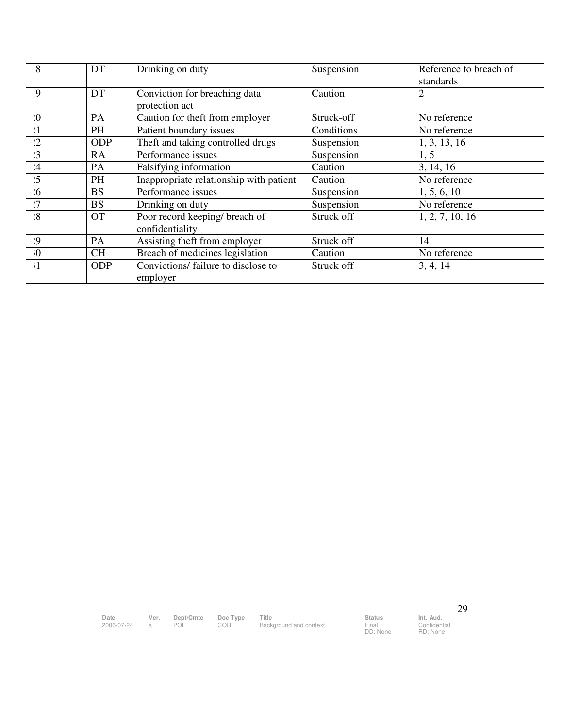| 8              | DT         | Drinking on duty                        | Suspension | Reference to breach of |
|----------------|------------|-----------------------------------------|------------|------------------------|
|                |            |                                         |            | standards              |
| 9              | <b>DT</b>  | Conviction for breaching data           | Caution    | 2                      |
|                |            | protection act                          |            |                        |
| $\Omega$       | PA         | Caution for theft from employer         | Struck-off | No reference           |
|                | PH         | Patient boundary issues                 | Conditions | No reference           |
| $\overline{2}$ | <b>ODP</b> | Theft and taking controlled drugs       | Suspension | 1, 3, 13, 16           |
| 3              | RA         | Performance issues                      | Suspension | 1, 5                   |
| $\mathcal{A}$  | PA         | Falsifying information                  | Caution    | 3, 14, 16              |
| $\overline{5}$ | PH         | Inappropriate relationship with patient | Caution    | No reference           |
| .6             | <b>BS</b>  | Performance issues                      | Suspension | 1, 5, 6, 10            |
|                | <b>BS</b>  | Drinking on duty                        | Suspension | No reference           |
| $\overline{8}$ | <b>OT</b>  | Poor record keeping/ breach of          | Struck off | 1, 2, 7, 10, 16        |
|                |            | confidentiality                         |            |                        |
| 9              | PA         | Assisting theft from employer           | Struck off | 14                     |
| $\Omega$       | <b>CH</b>  | Breach of medicines legislation         | Caution    | No reference           |
|                | <b>ODP</b> | Convictions/failure to disclose to      | Struck off | 3, 4, 14               |
|                |            | employer                                |            |                        |

Date Ver. Dept/Cmte Doc Type Title **Interpretive Status Int. Aud.**<br>2006-07-24 a POL COR Background and context Final Confiden

Status<br>Final<br>DD: None

Confidential RD: None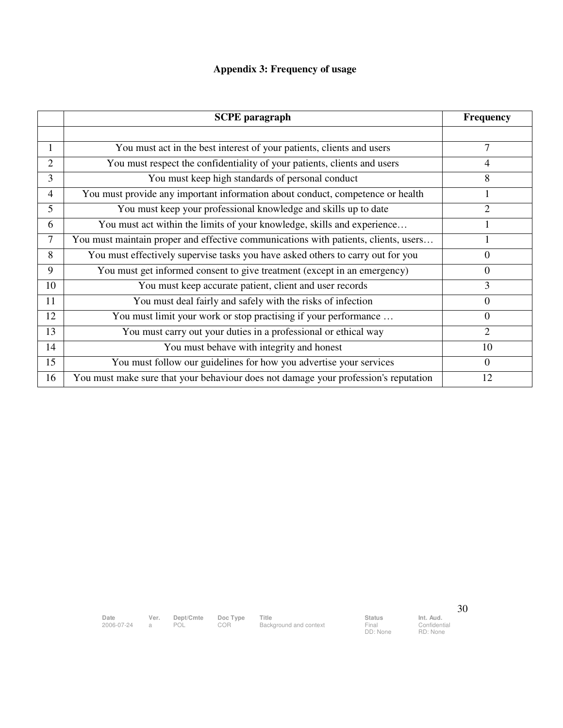# **Appendix 3: Frequency of usage**

|                | <b>SCPE</b> paragraph                                                               | <b>Frequency</b> |
|----------------|-------------------------------------------------------------------------------------|------------------|
|                |                                                                                     |                  |
| Ι.             | You must act in the best interest of your patients, clients and users               | 7                |
| $\overline{2}$ | You must respect the confidentiality of your patients, clients and users            | $\overline{4}$   |
| 3              | You must keep high standards of personal conduct                                    | 8                |
| $\overline{4}$ | You must provide any important information about conduct, competence or health      | 1                |
| 5              | You must keep your professional knowledge and skills up to date                     | $\overline{2}$   |
| 6              | You must act within the limits of your knowledge, skills and experience             |                  |
| 7              | You must maintain proper and effective communications with patients, clients, users |                  |
| 8              | You must effectively supervise tasks you have asked others to carry out for you     | $\theta$         |
| 9              | You must get informed consent to give treatment (except in an emergency)            | $\boldsymbol{0}$ |
| 10             | You must keep accurate patient, client and user records                             | 3                |
| 11             | You must deal fairly and safely with the risks of infection                         | $\overline{0}$   |
| 12             | You must limit your work or stop practising if your performance                     | $\theta$         |
| 13             | You must carry out your duties in a professional or ethical way                     | $\overline{2}$   |
| 14             | You must behave with integrity and honest                                           | 10               |
| 15             | You must follow our guidelines for how you advertise your services                  | $\overline{0}$   |
| 16             | You must make sure that your behaviour does not damage your profession's reputation | 12               |

Date Ver. Dept/Cmte Doc Type Title **Interpretive Status Int. Aud.**<br>2006-07-24 a POL COR Background and context Final Confiden

Status<br>Final<br>DD: None

Confidential RD: None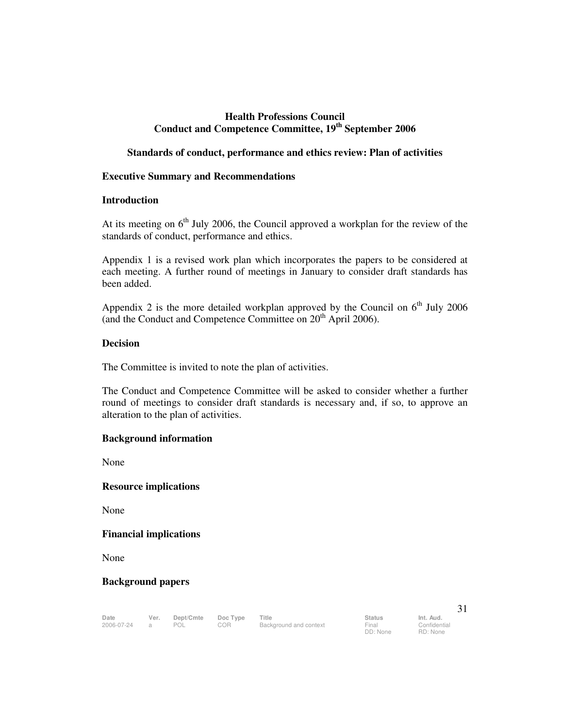# **Health Professions Council Conduct and Competence Committee, 19th September 2006**

## **Standards of conduct, performance and ethics review: Plan of activities**

## **Executive Summary and Recommendations**

#### **Introduction**

At its meeting on  $6<sup>th</sup>$  July 2006, the Council approved a workplan for the review of the standards of conduct, performance and ethics.

Appendix 1 is a revised work plan which incorporates the papers to be considered at each meeting. A further round of meetings in January to consider draft standards has been added.

Appendix 2 is the more detailed workplan approved by the Council on  $6<sup>th</sup>$  July 2006 (and the Conduct and Competence Committee on 20th April 2006).

## **Decision**

The Committee is invited to note the plan of activities.

The Conduct and Competence Committee will be asked to consider whether a further round of meetings to consider draft standards is necessary and, if so, to approve an alteration to the plan of activities.

## **Background information**

None

**Resource implications** 

None

#### **Financial implications**

None

## **Background papers**

**Date Ver. Dept/Cmte Doc Type Title Status Int. Aud.**<br>2006-07-24 a POL COR Background and context Final Confident Background and context

Final<br>DD: None

Confidential RD: None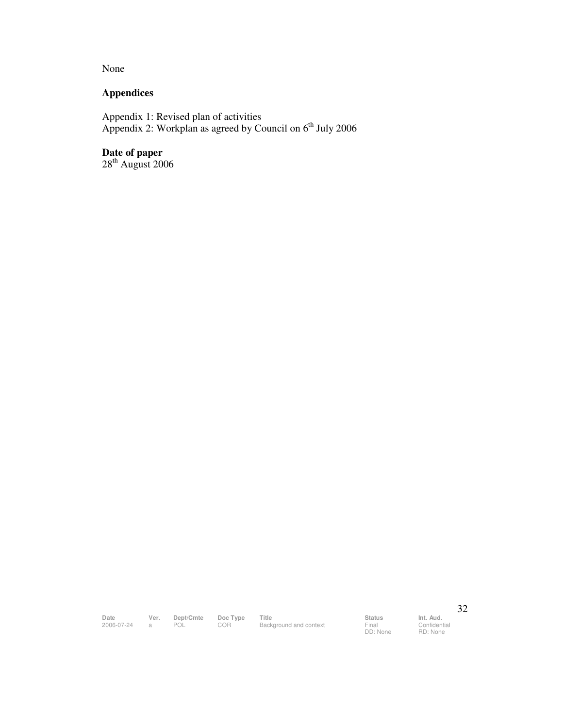None

# **Appendices**

Appendix 1: Revised plan of activities Appendix 2: Workplan as agreed by Council on  $6<sup>th</sup>$  July 2006

**Date of paper** 

 $28<sup>th</sup>$  August 2006

Date Ver. Dept/Cmte Doc Type Title **Interpretive Status Int. Aud.**<br>2006-07-24 a POL COR Background and context Final Confiden

Final<br>DD: None

Confidential RD: None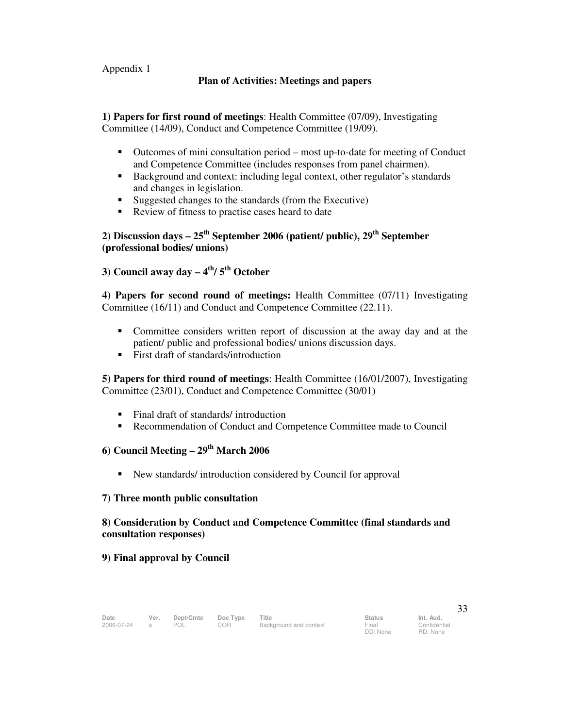# **Plan of Activities: Meetings and papers**

**1) Papers for first round of meetings**: Health Committee (07/09), Investigating Committee (14/09), Conduct and Competence Committee (19/09).

- Outcomes of mini consultation period most up-to-date for meeting of Conduct and Competence Committee (includes responses from panel chairmen).
- Background and context: including legal context, other regulator's standards and changes in legislation.
- Suggested changes to the standards (from the Executive)
- Review of fitness to practise cases heard to date

**2) Discussion days – 25th September 2006 (patient/ public), 29th September (professional bodies/ unions)**

# **3) Council away day – 4th/ 5th October**

**4) Papers for second round of meetings:** Health Committee (07/11) Investigating Committee (16/11) and Conduct and Competence Committee (22.11).

- Committee considers written report of discussion at the away day and at the patient/ public and professional bodies/ unions discussion days.
- First draft of standards/introduction

**5) Papers for third round of meetings**: Health Committee (16/01/2007), Investigating Committee (23/01), Conduct and Competence Committee (30/01)

- Final draft of standards/ introduction
- Recommendation of Conduct and Competence Committee made to Council

# **6) Council Meeting – 29th March 2006**

New standards/ introduction considered by Council for approval

## **7) Three month public consultation**

## **8) Consideration by Conduct and Competence Committee (final standards and consultation responses)**

## **9) Final approval by Council**

| Date       | Ver. |  |
|------------|------|--|
| 2006-07-24 |      |  |

**Dept/Cmte Doc Type Title Status Int. Aud.**<br>POL COR Background and context Final Sonfident Background and context

Final<br>DD: None

Confidential RD: None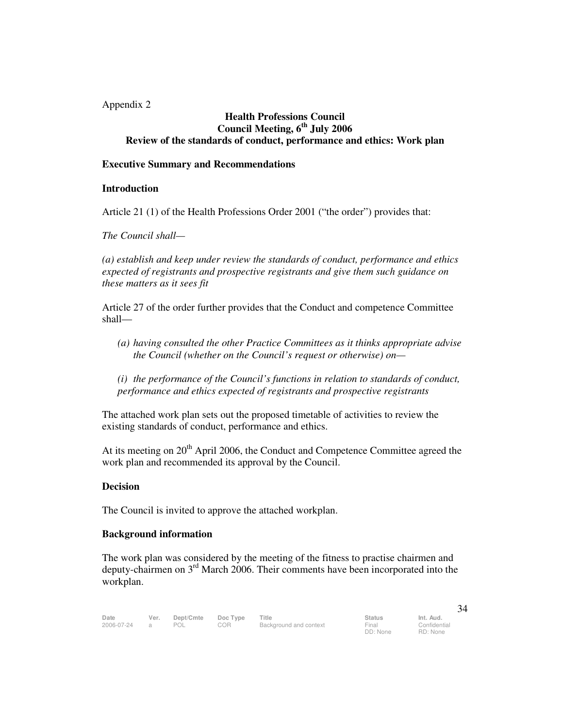Appendix 2

# **Health Professions Council Council Meeting, 6th July 2006 Review of the standards of conduct, performance and ethics: Work plan**

## **Executive Summary and Recommendations**

#### **Introduction**

Article 21 (1) of the Health Professions Order 2001 ("the order") provides that:

*The Council shall—* 

*(a) establish and keep under review the standards of conduct, performance and ethics expected of registrants and prospective registrants and give them such guidance on these matters as it sees fit* 

Article 27 of the order further provides that the Conduct and competence Committee shall—

- *(a) having consulted the other Practice Committees as it thinks appropriate advise the Council (whether on the Council's request or otherwise) on—*
- *(i) the performance of the Council's functions in relation to standards of conduct, performance and ethics expected of registrants and prospective registrants*

The attached work plan sets out the proposed timetable of activities to review the existing standards of conduct, performance and ethics.

At its meeting on 20<sup>th</sup> April 2006, the Conduct and Competence Committee agreed the work plan and recommended its approval by the Council.

## **Decision**

The Council is invited to approve the attached workplan.

#### **Background information**

The work plan was considered by the meeting of the fitness to practise chairmen and deputy-chairmen on 3rd March 2006. Their comments have been incorporated into the workplan.

Final<br>DD: None

Confidential RD: None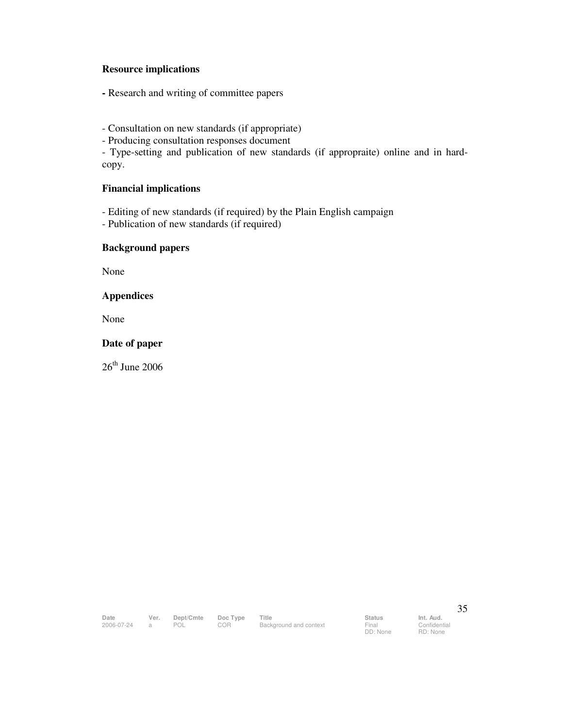#### **Resource implications**

**-** Research and writing of committee papers

- Consultation on new standards (if appropriate)

- Producing consultation responses document

- Type-setting and publication of new standards (if appropraite) online and in hardcopy.

#### **Financial implications**

- Editing of new standards (if required) by the Plain English campaign

- Publication of new standards (if required)

## **Background papers**

None

## **Appendices**

None

#### **Date of paper**

 $26<sup>th</sup>$  June 2006

**Date Ver. Dept/Cmte Doc Type Title Status Int. Aud.**<br>2006-07-24 a POL COR Background and context Final Confident Background and context

Final<br>DD: None

Confidential RD: None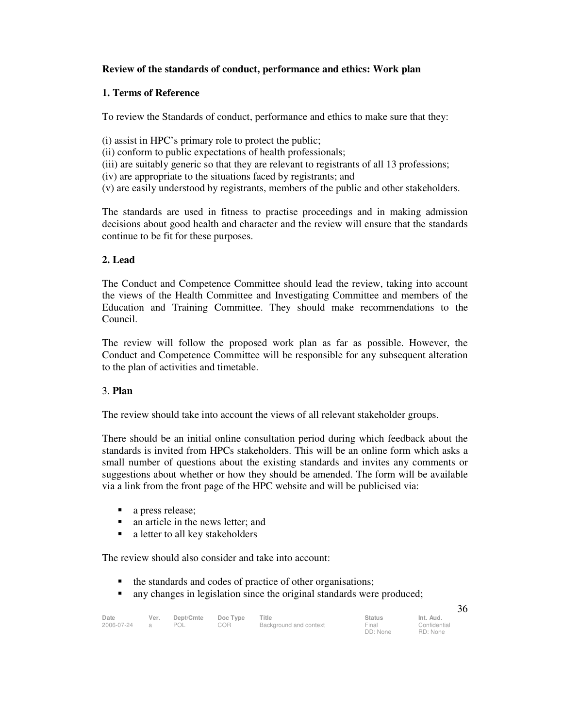# **Review of the standards of conduct, performance and ethics: Work plan**

# **1. Terms of Reference**

To review the Standards of conduct, performance and ethics to make sure that they:

- (i) assist in HPC's primary role to protect the public;
- (ii) conform to public expectations of health professionals;
- (iii) are suitably generic so that they are relevant to registrants of all 13 professions;
- (iv) are appropriate to the situations faced by registrants; and
- (v) are easily understood by registrants, members of the public and other stakeholders.

The standards are used in fitness to practise proceedings and in making admission decisions about good health and character and the review will ensure that the standards continue to be fit for these purposes.

# **2. Lead**

The Conduct and Competence Committee should lead the review, taking into account the views of the Health Committee and Investigating Committee and members of the Education and Training Committee. They should make recommendations to the Council.

The review will follow the proposed work plan as far as possible. However, the Conduct and Competence Committee will be responsible for any subsequent alteration to the plan of activities and timetable.

# 3. **Plan**

The review should take into account the views of all relevant stakeholder groups.

There should be an initial online consultation period during which feedback about the standards is invited from HPCs stakeholders. This will be an online form which asks a small number of questions about the existing standards and invites any comments or suggestions about whether or how they should be amended. The form will be available via a link from the front page of the HPC website and will be publicised via:

- a press release;
- an article in the news letter; and
- a letter to all key stakeholders

The review should also consider and take into account:

- the standards and codes of practice of other organisations;
- any changes in legislation since the original standards were produced;

| Date       | Ver. | Dept/Cmte  | Doc Type | Title                  | <b>Status</b> | Int. Aud.    |
|------------|------|------------|----------|------------------------|---------------|--------------|
| 2006-07-24 |      | <b>POL</b> | COR      | Background and context | Final         | Confidential |
|            |      |            |          |                        | DD: None      | RD: None     |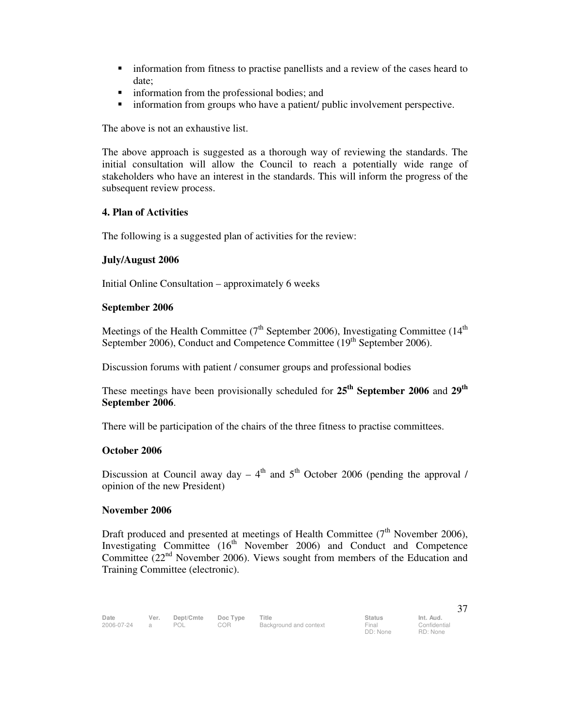- information from fitness to practise panellists and a review of the cases heard to date;
- **i** information from the professional bodies; and
- information from groups who have a patient/ public involvement perspective.

The above is not an exhaustive list.

The above approach is suggested as a thorough way of reviewing the standards. The initial consultation will allow the Council to reach a potentially wide range of stakeholders who have an interest in the standards. This will inform the progress of the subsequent review process.

# **4. Plan of Activities**

The following is a suggested plan of activities for the review:

# **July/August 2006**

Initial Online Consultation – approximately 6 weeks

# **September 2006**

Meetings of the Health Committee ( $7<sup>th</sup>$  September 2006), Investigating Committee ( $14<sup>th</sup>$ September 2006), Conduct and Competence Committee (19<sup>th</sup> September 2006).

Discussion forums with patient / consumer groups and professional bodies

These meetings have been provisionally scheduled for **25th September 2006** and **29th September 2006**.

There will be participation of the chairs of the three fitness to practise committees.

# **October 2006**

Discussion at Council away day –  $4<sup>th</sup>$  and  $5<sup>th</sup>$  October 2006 (pending the approval / opinion of the new President)

# **November 2006**

Draft produced and presented at meetings of Health Committee  $(7<sup>th</sup>$  November 2006), Investigating Committee (16<sup>th</sup> November 2006) and Conduct and Competence Committee (22<sup>nd</sup> November 2006). Views sought from members of the Education and Training Committee (electronic).

| Date       | Ver. | Dept/Cmte | Doc Type | Title                  | <b>Status</b> | Int. Aud.    |
|------------|------|-----------|----------|------------------------|---------------|--------------|
| 2006-07-24 |      | POL       | COR      | Background and context | Final         | Confidential |
|            |      |           |          |                        | DD: None      | RD: None     |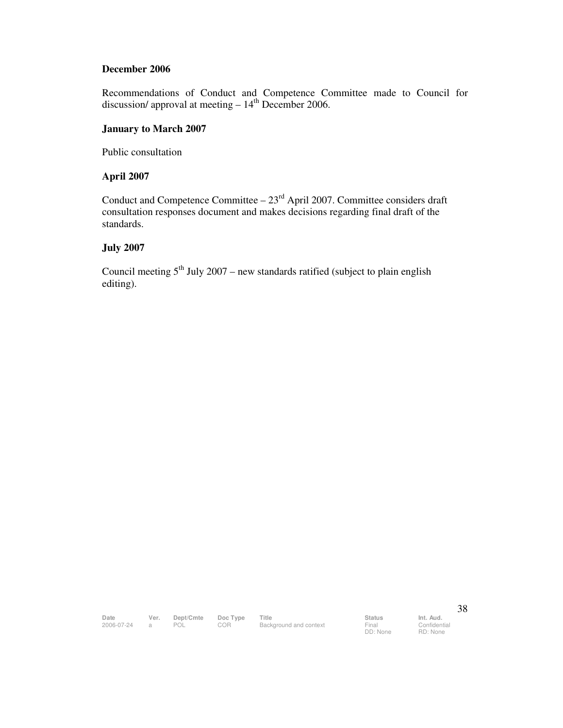#### **December 2006**

Recommendations of Conduct and Competence Committee made to Council for discussion/ approval at meeting  $-14<sup>th</sup>$  December 2006.

#### **January to March 2007**

Public consultation

# **April 2007**

Conduct and Competence Committee  $-23<sup>rd</sup>$  April 2007. Committee considers draft consultation responses document and makes decisions regarding final draft of the standards.

# **July 2007**

Council meeting  $5<sup>th</sup>$  July 2007 – new standards ratified (subject to plain english editing).

| - - - |  |  |  |
|-------|--|--|--|
|       |  |  |  |

**Date Ver. Dept/Cmte Doc Type Title Status Int. Aud.**<br>2006-07-24 a POL COR Background and context Final Confident Background and context

Final<br>DD: None

Confidential RD: None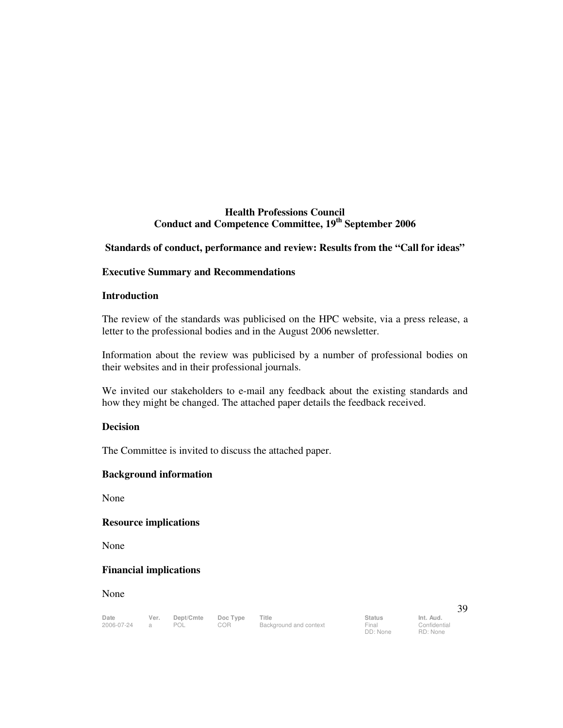# **Health Professions Council Conduct and Competence Committee, 19th September 2006**

#### **Standards of conduct, performance and review: Results from the "Call for ideas"**

#### **Executive Summary and Recommendations**

#### **Introduction**

The review of the standards was publicised on the HPC website, via a press release, a letter to the professional bodies and in the August 2006 newsletter.

Information about the review was publicised by a number of professional bodies on their websites and in their professional journals.

We invited our stakeholders to e-mail any feedback about the existing standards and how they might be changed. The attached paper details the feedback received.

#### **Decision**

The Committee is invited to discuss the attached paper.

#### **Background information**

None

#### **Resource implications**

None

#### **Financial implications**

None

**Date Ver. Dept/Cmte Doc Type Title Conflict Status Int. Aud.**<br>1999-07-24 a POL COR Background and context Final Confident Background and context

Final<br>DD: None

Confidential RD: None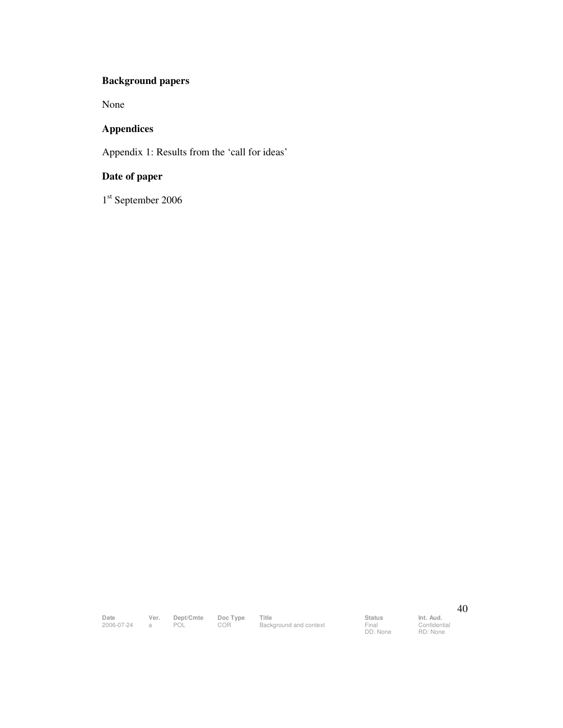# **Background papers**

None

# **Appendices**

Appendix 1: Results from the 'call for ideas'

# **Date of paper**

1 st September 2006

Date Ver. Dept/Cmte Doc Type Title **Interpretive Status Int. Aud.**<br>2006-07-24 a POL COR Background and context Final Confiden

Final<br>DD: None

Confidential RD: None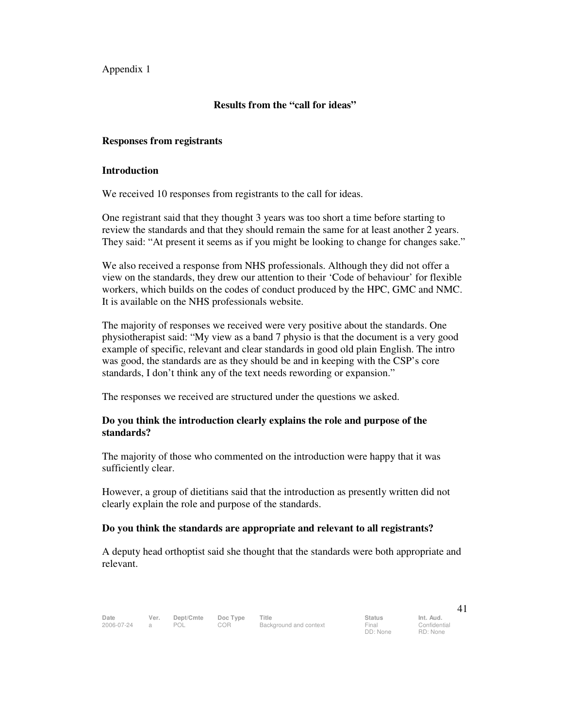Appendix 1

### **Results from the "call for ideas"**

#### **Responses from registrants**

#### **Introduction**

We received 10 responses from registrants to the call for ideas.

One registrant said that they thought 3 years was too short a time before starting to review the standards and that they should remain the same for at least another 2 years. They said: "At present it seems as if you might be looking to change for changes sake."

We also received a response from NHS professionals. Although they did not offer a view on the standards, they drew our attention to their 'Code of behaviour' for flexible workers, which builds on the codes of conduct produced by the HPC, GMC and NMC. It is available on the NHS professionals website.

The majority of responses we received were very positive about the standards. One physiotherapist said: "My view as a band 7 physio is that the document is a very good example of specific, relevant and clear standards in good old plain English. The intro was good, the standards are as they should be and in keeping with the CSP's core standards, I don't think any of the text needs rewording or expansion."

The responses we received are structured under the questions we asked.

# **Do you think the introduction clearly explains the role and purpose of the standards?**

The majority of those who commented on the introduction were happy that it was sufficiently clear.

However, a group of dietitians said that the introduction as presently written did not clearly explain the role and purpose of the standards.

#### **Do you think the standards are appropriate and relevant to all registrants?**

A deputy head orthoptist said she thought that the standards were both appropriate and relevant.

**Date Ver. Dept/Cmte Doc Type Title Confident Status Int. Aud.**<br>1996-07-24 a POL COR Background and context Final Confiden

DD: None

Confidential RD: None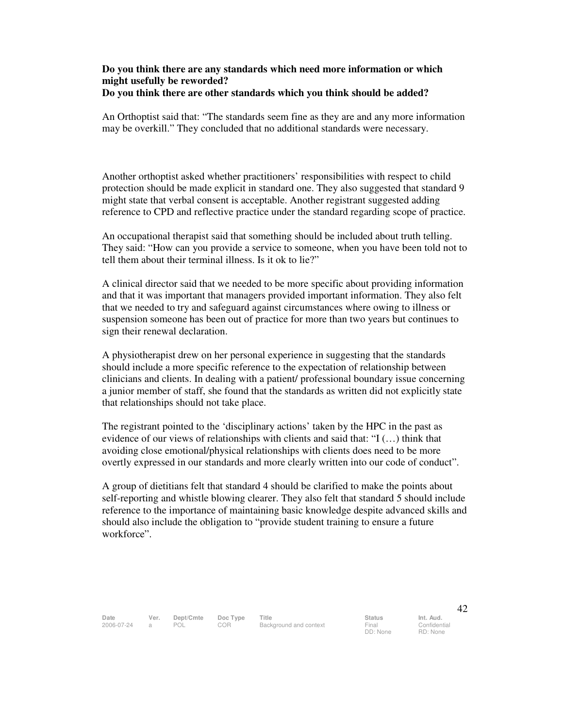### **Do you think there are any standards which need more information or which might usefully be reworded? Do you think there are other standards which you think should be added?**

An Orthoptist said that: "The standards seem fine as they are and any more information may be overkill." They concluded that no additional standards were necessary.

Another orthoptist asked whether practitioners' responsibilities with respect to child protection should be made explicit in standard one. They also suggested that standard 9 might state that verbal consent is acceptable. Another registrant suggested adding reference to CPD and reflective practice under the standard regarding scope of practice.

An occupational therapist said that something should be included about truth telling. They said: "How can you provide a service to someone, when you have been told not to tell them about their terminal illness. Is it ok to lie?"

A clinical director said that we needed to be more specific about providing information and that it was important that managers provided important information. They also felt that we needed to try and safeguard against circumstances where owing to illness or suspension someone has been out of practice for more than two years but continues to sign their renewal declaration.

A physiotherapist drew on her personal experience in suggesting that the standards should include a more specific reference to the expectation of relationship between clinicians and clients. In dealing with a patient/ professional boundary issue concerning a junior member of staff, she found that the standards as written did not explicitly state that relationships should not take place.

The registrant pointed to the 'disciplinary actions' taken by the HPC in the past as evidence of our views of relationships with clients and said that: "I (…) think that avoiding close emotional/physical relationships with clients does need to be more overtly expressed in our standards and more clearly written into our code of conduct".

A group of dietitians felt that standard 4 should be clarified to make the points about self-reporting and whistle blowing clearer. They also felt that standard 5 should include reference to the importance of maintaining basic knowledge despite advanced skills and should also include the obligation to "provide student training to ensure a future workforce".

**Date Ver. Dept/Cmte Doc Type Title Conflict Status Int. Aud.**<br>1999-07-24 a POL COR Background and context Final Confident Background and context

DD: None

Confidential RD: None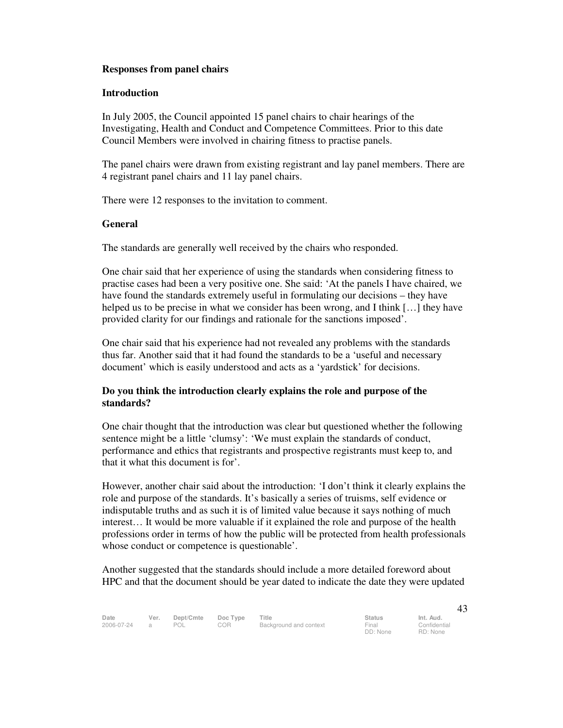#### **Responses from panel chairs**

# **Introduction**

In July 2005, the Council appointed 15 panel chairs to chair hearings of the Investigating, Health and Conduct and Competence Committees. Prior to this date Council Members were involved in chairing fitness to practise panels.

The panel chairs were drawn from existing registrant and lay panel members. There are 4 registrant panel chairs and 11 lay panel chairs.

There were 12 responses to the invitation to comment.

#### **General**

The standards are generally well received by the chairs who responded.

One chair said that her experience of using the standards when considering fitness to practise cases had been a very positive one. She said: 'At the panels I have chaired, we have found the standards extremely useful in formulating our decisions – they have helped us to be precise in what we consider has been wrong, and I think [...] they have provided clarity for our findings and rationale for the sanctions imposed'.

One chair said that his experience had not revealed any problems with the standards thus far. Another said that it had found the standards to be a 'useful and necessary document' which is easily understood and acts as a 'yardstick' for decisions.

# **Do you think the introduction clearly explains the role and purpose of the standards?**

One chair thought that the introduction was clear but questioned whether the following sentence might be a little 'clumsy': 'We must explain the standards of conduct, performance and ethics that registrants and prospective registrants must keep to, and that it what this document is for'.

However, another chair said about the introduction: 'I don't think it clearly explains the role and purpose of the standards. It's basically a series of truisms, self evidence or indisputable truths and as such it is of limited value because it says nothing of much interest… It would be more valuable if it explained the role and purpose of the health professions order in terms of how the public will be protected from health professionals whose conduct or competence is questionable'.

Another suggested that the standards should include a more detailed foreword about HPC and that the document should be year dated to indicate the date they were updated

Background and context

DD: None

**Confidentia** RD: None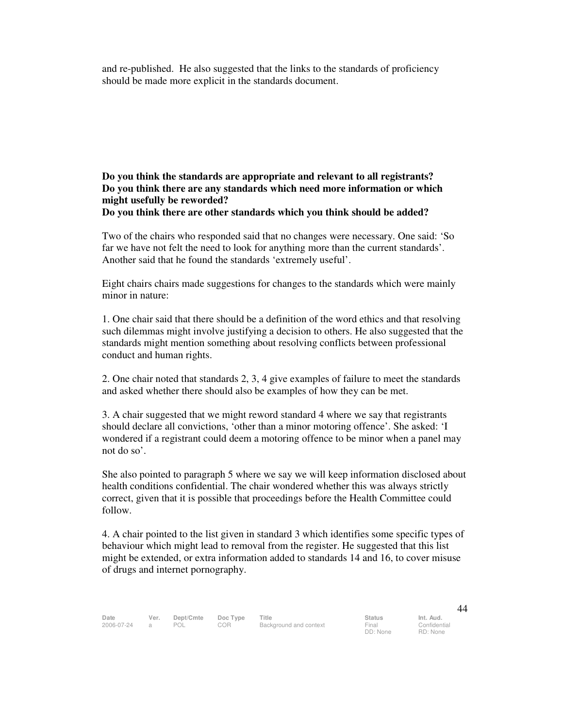and re-published. He also suggested that the links to the standards of proficiency should be made more explicit in the standards document.

# **Do you think the standards are appropriate and relevant to all registrants? Do you think there are any standards which need more information or which might usefully be reworded? Do you think there are other standards which you think should be added?**

Two of the chairs who responded said that no changes were necessary. One said: 'So far we have not felt the need to look for anything more than the current standards'. Another said that he found the standards 'extremely useful'.

Eight chairs chairs made suggestions for changes to the standards which were mainly minor in nature:

1. One chair said that there should be a definition of the word ethics and that resolving such dilemmas might involve justifying a decision to others. He also suggested that the standards might mention something about resolving conflicts between professional conduct and human rights.

2. One chair noted that standards 2, 3, 4 give examples of failure to meet the standards and asked whether there should also be examples of how they can be met.

3. A chair suggested that we might reword standard 4 where we say that registrants should declare all convictions, 'other than a minor motoring offence'. She asked: 'I wondered if a registrant could deem a motoring offence to be minor when a panel may not do so'.

She also pointed to paragraph 5 where we say we will keep information disclosed about health conditions confidential. The chair wondered whether this was always strictly correct, given that it is possible that proceedings before the Health Committee could follow.

4. A chair pointed to the list given in standard 3 which identifies some specific types of behaviour which might lead to removal from the register. He suggested that this list might be extended, or extra information added to standards 14 and 16, to cover misuse of drugs and internet pornography.

**Date Ver. Dept/Cmte Doc Type Title Conflict Status Int. Aud.**<br>1906-07-24 a POL COR Background and context Final Confident Background and context

DD: None

Confidential RD: None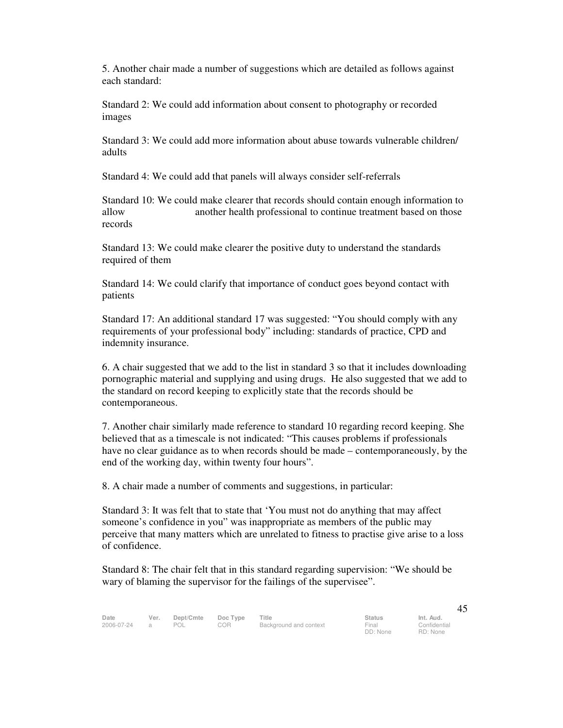5. Another chair made a number of suggestions which are detailed as follows against each standard:

Standard 2: We could add information about consent to photography or recorded images

Standard 3: We could add more information about abuse towards vulnerable children/ adults

Standard 4: We could add that panels will always consider self-referrals

Standard 10: We could make clearer that records should contain enough information to allow another health professional to continue treatment based on those records

Standard 13: We could make clearer the positive duty to understand the standards required of them

Standard 14: We could clarify that importance of conduct goes beyond contact with patients

Standard 17: An additional standard 17 was suggested: "You should comply with any requirements of your professional body" including: standards of practice, CPD and indemnity insurance.

6. A chair suggested that we add to the list in standard 3 so that it includes downloading pornographic material and supplying and using drugs. He also suggested that we add to the standard on record keeping to explicitly state that the records should be contemporaneous.

7. Another chair similarly made reference to standard 10 regarding record keeping. She believed that as a timescale is not indicated: "This causes problems if professionals have no clear guidance as to when records should be made – contemporaneously, by the end of the working day, within twenty four hours".

8. A chair made a number of comments and suggestions, in particular:

Standard 3: It was felt that to state that 'You must not do anything that may affect someone's confidence in you" was inappropriate as members of the public may perceive that many matters which are unrelated to fitness to practise give arise to a loss of confidence.

Standard 8: The chair felt that in this standard regarding supervision: "We should be wary of blaming the supervisor for the failings of the supervisee".

Confidential

45

RD: None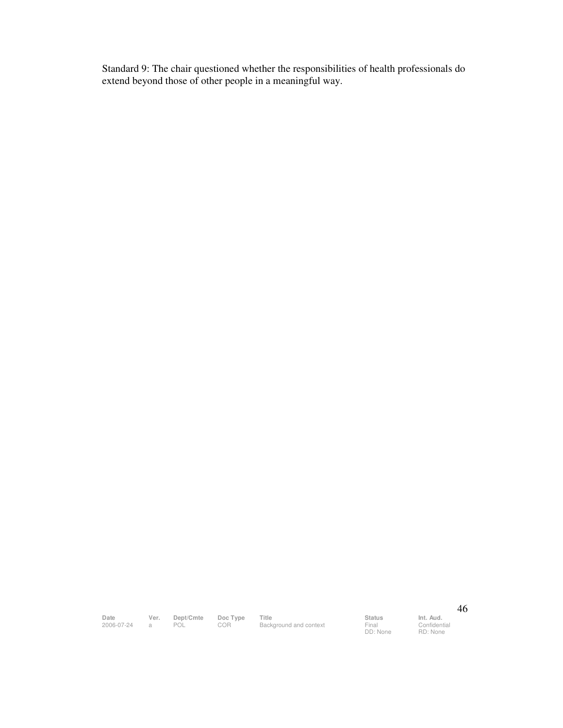Standard 9: The chair questioned whether the responsibilities of health professionals do extend beyond those of other people in a meaningful way.

**Date Ver. Dept/Cmte Doc Type Title Status Status Status Status Status Interval COR Background and context Final** Background and context

Final<br>DD: None

Confidential RD: None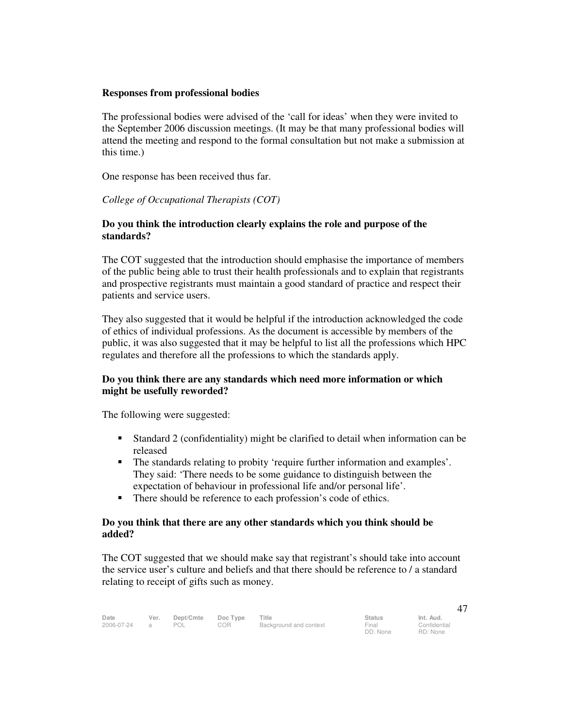### **Responses from professional bodies**

The professional bodies were advised of the 'call for ideas' when they were invited to the September 2006 discussion meetings. (It may be that many professional bodies will attend the meeting and respond to the formal consultation but not make a submission at this time.)

One response has been received thus far.

*College of Occupational Therapists (COT)* 

# **Do you think the introduction clearly explains the role and purpose of the standards?**

The COT suggested that the introduction should emphasise the importance of members of the public being able to trust their health professionals and to explain that registrants and prospective registrants must maintain a good standard of practice and respect their patients and service users.

They also suggested that it would be helpful if the introduction acknowledged the code of ethics of individual professions. As the document is accessible by members of the public, it was also suggested that it may be helpful to list all the professions which HPC regulates and therefore all the professions to which the standards apply.

# **Do you think there are any standards which need more information or which might be usefully reworded?**

The following were suggested:

- Standard 2 (confidentiality) might be clarified to detail when information can be released
- The standards relating to probity 'require further information and examples'. They said: 'There needs to be some guidance to distinguish between the expectation of behaviour in professional life and/or personal life'.
- There should be reference to each profession's code of ethics.

# **Do you think that there are any other standards which you think should be added?**

The COT suggested that we should make say that registrant's should take into account the service user's culture and beliefs and that there should be reference to / a standard relating to receipt of gifts such as money.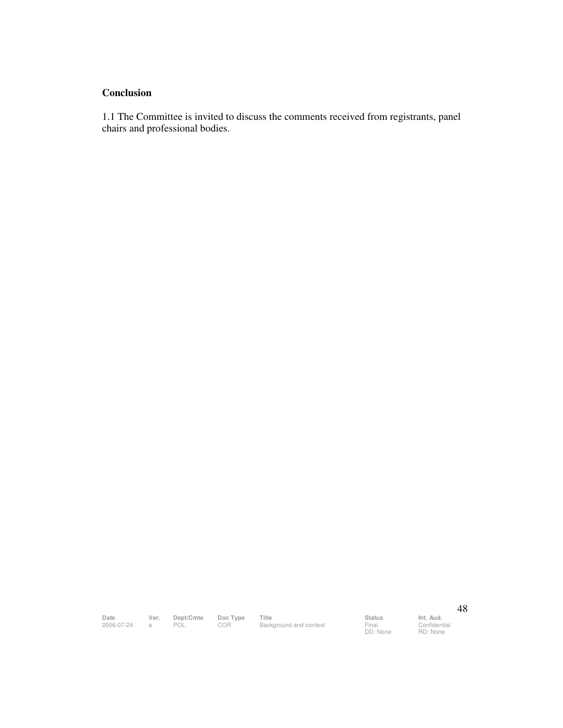# **Conclusion**

1.1 The Committee is invited to discuss the comments received from registrants, panel chairs and professional bodies.

**Date Ver. Dept/Cmte Doc Type Title Status Status Status Status Status Interval COR Background and context Final** Background and context

Final<br>DD: None

Confidential RD: None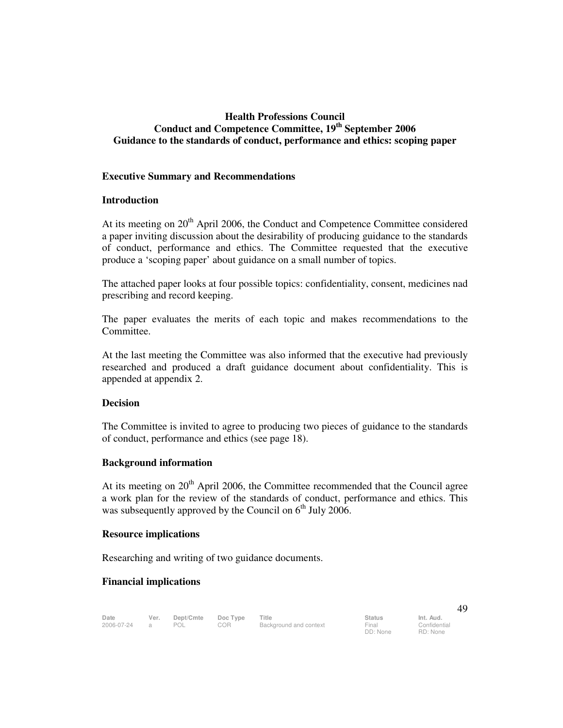# **Health Professions Council Conduct and Competence Committee, 19th September 2006 Guidance to the standards of conduct, performance and ethics: scoping paper**

# **Executive Summary and Recommendations**

# **Introduction**

At its meeting on 20<sup>th</sup> April 2006, the Conduct and Competence Committee considered a paper inviting discussion about the desirability of producing guidance to the standards of conduct, performance and ethics. The Committee requested that the executive produce a 'scoping paper' about guidance on a small number of topics.

The attached paper looks at four possible topics: confidentiality, consent, medicines nad prescribing and record keeping.

The paper evaluates the merits of each topic and makes recommendations to the Committee.

At the last meeting the Committee was also informed that the executive had previously researched and produced a draft guidance document about confidentiality. This is appended at appendix 2.

# **Decision**

The Committee is invited to agree to producing two pieces of guidance to the standards of conduct, performance and ethics (see page 18).

# **Background information**

At its meeting on  $20<sup>th</sup>$  April 2006, the Committee recommended that the Council agree a work plan for the review of the standards of conduct, performance and ethics. This was subsequently approved by the Council on  $6<sup>th</sup>$  July 2006.

# **Resource implications**

Researching and writing of two guidance documents.

# **Financial implications**

**Date Ver. Dept/Cmte Doc Type Title COR Status Int. Aud.**<br>2006-07-24 a POL COR Background and context Final Confident Background and context

Final<br>DD: None

Confidential RD: None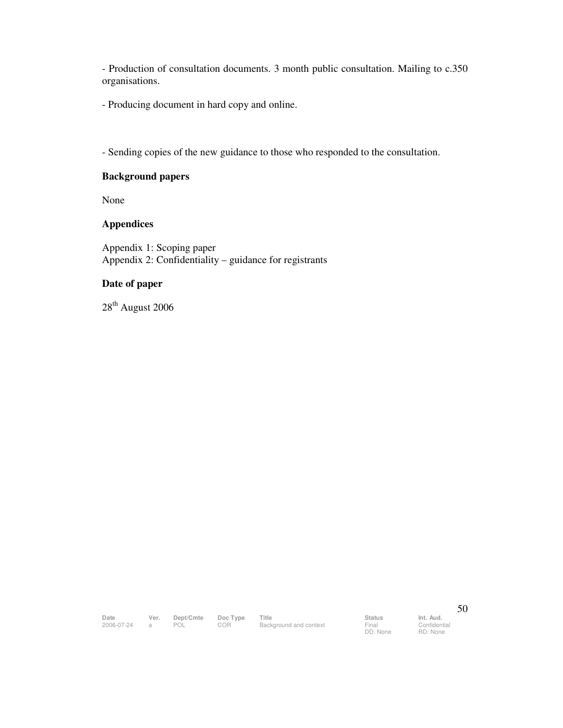- Production of consultation documents. 3 month public consultation. Mailing to c.350 organisations.

- Producing document in hard copy and online.

- Sending copies of the new guidance to those who responded to the consultation.

### **Background papers**

None

# **Appendices**

Appendix 1: Scoping paper Appendix 2: Confidentiality – guidance for registrants

# **Date of paper**

 $28^{\rm th}$  August 2006

Date Ver. Dept/Cmte Doc Type Title **Interpretive Status Int. Aud.**<br>2006-07-24 a POL COR Background and context Final Confiden

Final<br>DD: None

Confidential RD: None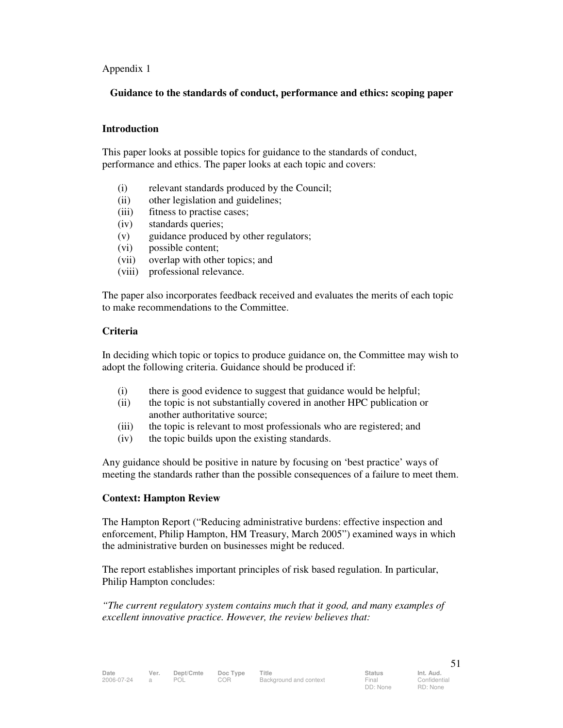# Appendix 1

# **Guidance to the standards of conduct, performance and ethics: scoping paper**

# **Introduction**

This paper looks at possible topics for guidance to the standards of conduct, performance and ethics. The paper looks at each topic and covers:

- (i) relevant standards produced by the Council;
- (ii) other legislation and guidelines;
- (iii) fitness to practise cases;
- (iv) standards queries;
- (v) guidance produced by other regulators;
- (vi) possible content;
- (vii) overlap with other topics; and
- (viii) professional relevance.

The paper also incorporates feedback received and evaluates the merits of each topic to make recommendations to the Committee.

# **Criteria**

In deciding which topic or topics to produce guidance on, the Committee may wish to adopt the following criteria. Guidance should be produced if:

- (i) there is good evidence to suggest that guidance would be helpful;
- (ii) the topic is not substantially covered in another HPC publication or another authoritative source;
- (iii) the topic is relevant to most professionals who are registered; and
- (iv) the topic builds upon the existing standards.

Any guidance should be positive in nature by focusing on 'best practice' ways of meeting the standards rather than the possible consequences of a failure to meet them.

# **Context: Hampton Review**

The Hampton Report ("Reducing administrative burdens: effective inspection and enforcement, Philip Hampton, HM Treasury, March 2005") examined ways in which the administrative burden on businesses might be reduced.

The report establishes important principles of risk based regulation. In particular, Philip Hampton concludes:

*"The current regulatory system contains much that it good, and many examples of excellent innovative practice. However, the review believes that:* 

51

Confidential RD: None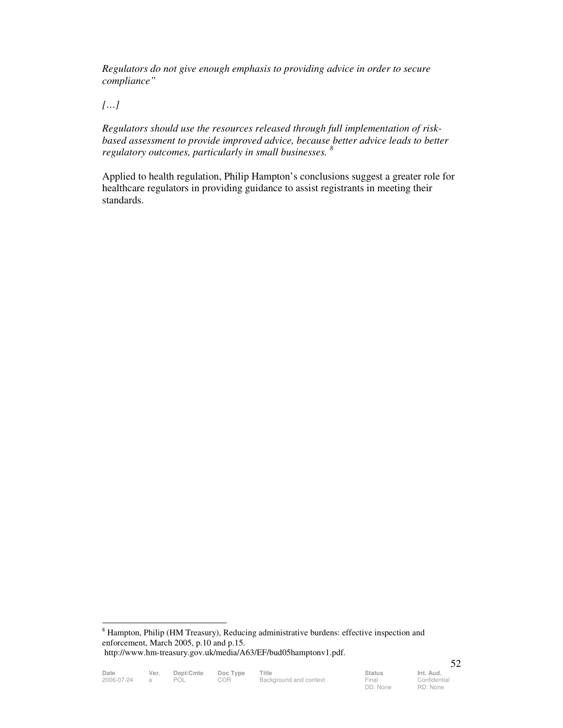*Regulators do not give enough emphasis to providing advice in order to secure compliance"* 

*[…]* 

*Regulators should use the resources released through full implementation of riskbased assessment to provide improved advice, because better advice leads to better regulatory outcomes, particularly in small businesses. 8*

Applied to health regulation, Philip Hampton's conclusions suggest a greater role for healthcare regulators in providing guidance to assist registrants in meeting their standards.

<sup>&</sup>lt;sup>8</sup> Hampton, Philip (HM Treasury), Reducing administrative burdens: effective inspection and enforcement, March 2005, p.10 and p.15. http://www.hm-treasury.gov.uk/media/A63/EF/bud05hamptonv1.pdf.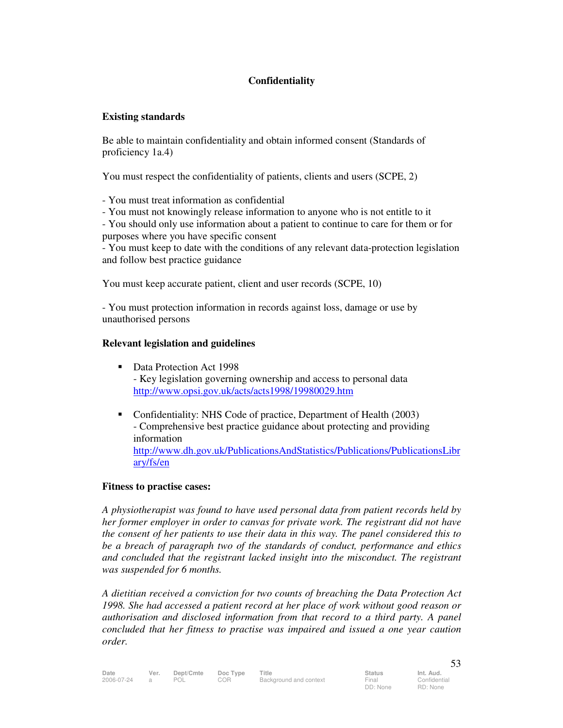# **Confidentiality**

# **Existing standards**

Be able to maintain confidentiality and obtain informed consent (Standards of proficiency 1a.4)

You must respect the confidentiality of patients, clients and users (SCPE, 2)

- You must treat information as confidential

- You must not knowingly release information to anyone who is not entitle to it

- You should only use information about a patient to continue to care for them or for purposes where you have specific consent

- You must keep to date with the conditions of any relevant data-protection legislation and follow best practice guidance

You must keep accurate patient, client and user records (SCPE, 10)

- You must protection information in records against loss, damage or use by unauthorised persons

# **Relevant legislation and guidelines**

- Data Protection Act 1998 - Key legislation governing ownership and access to personal data http://www.opsi.gov.uk/acts/acts1998/19980029.htm
- Confidentiality: NHS Code of practice, Department of Health (2003) - Comprehensive best practice guidance about protecting and providing information http://www.dh.gov.uk/PublicationsAndStatistics/Publications/PublicationsLibr ary/fs/en

# **Fitness to practise cases:**

*A physiotherapist was found to have used personal data from patient records held by her former employer in order to canvas for private work. The registrant did not have the consent of her patients to use their data in this way. The panel considered this to be a breach of paragraph two of the standards of conduct, performance and ethics and concluded that the registrant lacked insight into the misconduct. The registrant was suspended for 6 months.* 

*A dietitian received a conviction for two counts of breaching the Data Protection Act 1998. She had accessed a patient record at her place of work without good reason or authorisation and disclosed information from that record to a third party. A panel concluded that her fitness to practise was impaired and issued a one year caution order.*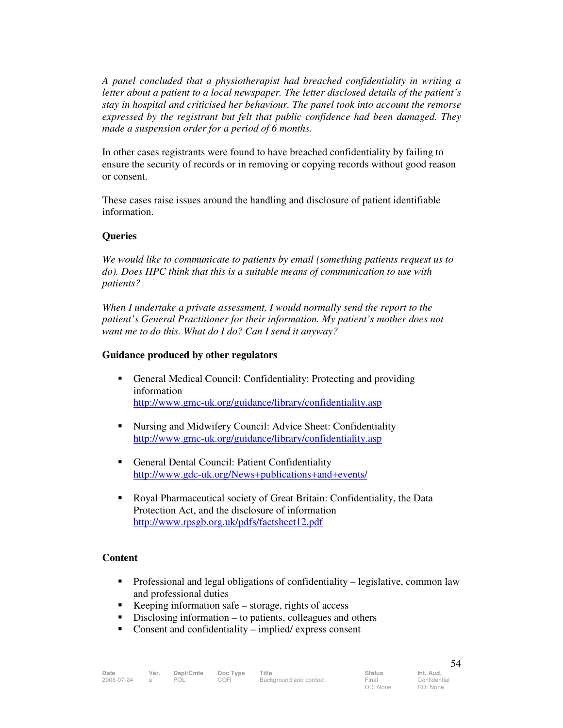*A panel concluded that a physiotherapist had breached confidentiality in writing a letter about a patient to a local newspaper. The letter disclosed details of the patient's stay in hospital and criticised her behaviour. The panel took into account the remorse expressed by the registrant but felt that public confidence had been damaged. They made a suspension order for a period of 6 months.* 

In other cases registrants were found to have breached confidentiality by failing to ensure the security of records or in removing or copying records without good reason or consent.

These cases raise issues around the handling and disclosure of patient identifiable information.

# **Queries**

*We would like to communicate to patients by email (something patients request us to do). Does HPC think that this is a suitable means of communication to use with patients?* 

*When I undertake a private assessment, I would normally send the report to the patient's General Practitioner for their information. My patient's mother does not want me to do this. What do I do? Can I send it anyway?* 

# **Guidance produced by other regulators**

- General Medical Council: Confidentiality: Protecting and providing information http://www.gmc-uk.org/guidance/library/confidentiality.asp
- Nursing and Midwifery Council: Advice Sheet: Confidentiality http://www.gmc-uk.org/guidance/library/confidentiality.asp
- General Dental Council: Patient Confidentiality http://www.gdc-uk.org/News+publications+and+events/
- Royal Pharmaceutical society of Great Britain: Confidentiality, the Data Protection Act, and the disclosure of information http://www.rpsgb.org.uk/pdfs/factsheet12.pdf

# **Content**

- Professional and legal obligations of confidentiality legislative, common law and professional duties
- Keeping information safe storage, rights of access
- Disclosing information to patients, colleagues and others
- Consent and confidentiality implied/ express consent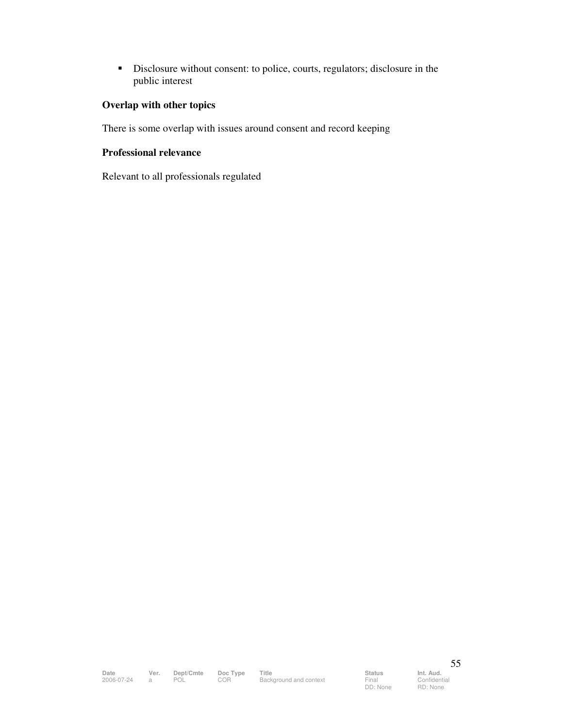Disclosure without consent: to police, courts, regulators; disclosure in the public interest

#### **Overlap with other topics**

There is some overlap with issues around consent and record keeping

# **Professional relevance**

Relevant to all professionals regulated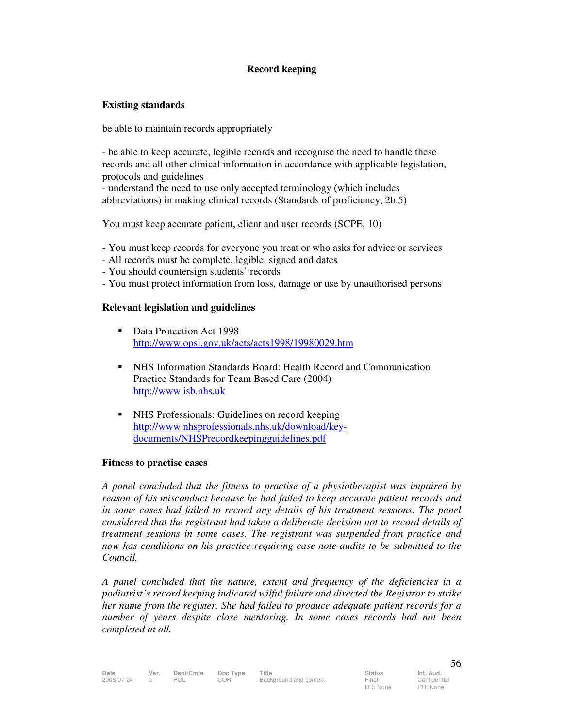# **Record keeping**

# **Existing standards**

be able to maintain records appropriately

- be able to keep accurate, legible records and recognise the need to handle these records and all other clinical information in accordance with applicable legislation, protocols and guidelines

- understand the need to use only accepted terminology (which includes abbreviations) in making clinical records (Standards of proficiency, 2b.5)

You must keep accurate patient, client and user records (SCPE, 10)

- You must keep records for everyone you treat or who asks for advice or services

- All records must be complete, legible, signed and dates
- You should countersign students' records
- You must protect information from loss, damage or use by unauthorised persons

# **Relevant legislation and guidelines**

- Data Protection Act 1998 http://www.opsi.gov.uk/acts/acts1998/19980029.htm
- NHS Information Standards Board: Health Record and Communication Practice Standards for Team Based Care (2004) http://www.isb.nhs.uk
- NHS Professionals: Guidelines on record keeping http://www.nhsprofessionals.nhs.uk/download/keydocuments/NHSPrecordkeepingguidelines.pdf

# **Fitness to practise cases**

*A panel concluded that the fitness to practise of a physiotherapist was impaired by reason of his misconduct because he had failed to keep accurate patient records and*  in some cases had failed to record any details of his treatment sessions. The panel *considered that the registrant had taken a deliberate decision not to record details of treatment sessions in some cases. The registrant was suspended from practice and now has conditions on his practice requiring case note audits to be submitted to the Council.* 

*A panel concluded that the nature, extent and frequency of the deficiencies in a podiatrist's record keeping indicated wilful failure and directed the Registrar to strike her name from the register. She had failed to produce adequate patient records for a number of years despite close mentoring. In some cases records had not been completed at all.* 

**Confidential** RD: None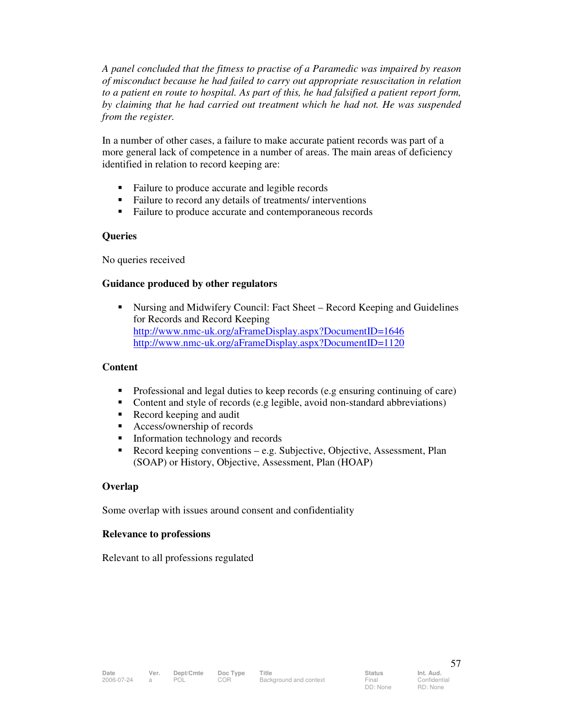*A panel concluded that the fitness to practise of a Paramedic was impaired by reason of misconduct because he had failed to carry out appropriate resuscitation in relation to a patient en route to hospital. As part of this, he had falsified a patient report form, by claiming that he had carried out treatment which he had not. He was suspended from the register.* 

In a number of other cases, a failure to make accurate patient records was part of a more general lack of competence in a number of areas. The main areas of deficiency identified in relation to record keeping are:

- Failure to produce accurate and legible records
- Failure to record any details of treatments/ interventions
- Failure to produce accurate and contemporaneous records

# **Queries**

No queries received

# **Guidance produced by other regulators**

 Nursing and Midwifery Council: Fact Sheet – Record Keeping and Guidelines for Records and Record Keeping http://www.nmc-uk.org/aFrameDisplay.aspx?DocumentID=1646 http://www.nmc-uk.org/aFrameDisplay.aspx?DocumentID=1120

# **Content**

- Professional and legal duties to keep records (e.g ensuring continuing of care)
- Content and style of records (e.g legible, avoid non-standard abbreviations)
- Record keeping and audit
- Access/ownership of records
- Information technology and records
- Record keeping conventions e.g. Subjective, Objective, Assessment, Plan (SOAP) or History, Objective, Assessment, Plan (HOAP)

# **Overlap**

Some overlap with issues around consent and confidentiality

# **Relevance to professions**

Relevant to all professions regulated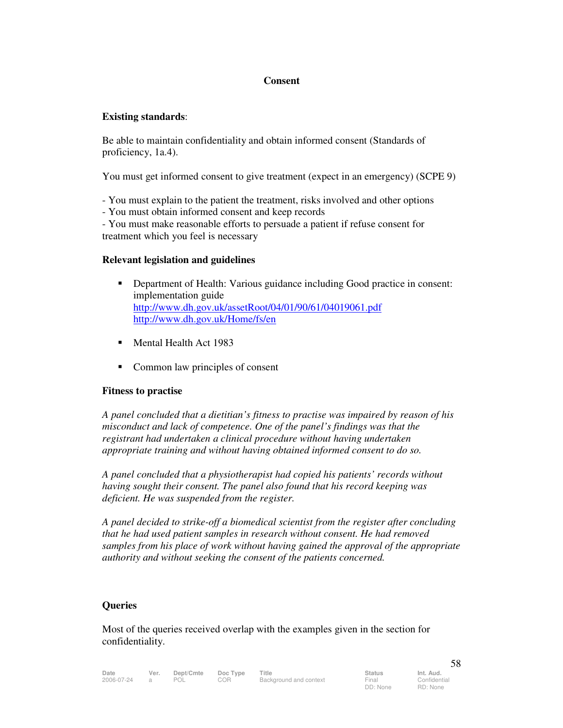# **Consent**

# **Existing standards**:

Be able to maintain confidentiality and obtain informed consent (Standards of proficiency, 1a.4).

You must get informed consent to give treatment (expect in an emergency) (SCPE 9)

- You must explain to the patient the treatment, risks involved and other options
- You must obtain informed consent and keep records

- You must make reasonable efforts to persuade a patient if refuse consent for treatment which you feel is necessary

# **Relevant legislation and guidelines**

- Department of Health: Various guidance including Good practice in consent: implementation guide http://www.dh.gov.uk/assetRoot/04/01/90/61/04019061.pdf http://www.dh.gov.uk/Home/fs/en
- Mental Health Act 1983
- Common law principles of consent

# **Fitness to practise**

*A panel concluded that a dietitian's fitness to practise was impaired by reason of his misconduct and lack of competence. One of the panel's findings was that the registrant had undertaken a clinical procedure without having undertaken appropriate training and without having obtained informed consent to do so.* 

*A panel concluded that a physiotherapist had copied his patients' records without having sought their consent. The panel also found that his record keeping was deficient. He was suspended from the register.* 

*A panel decided to strike-off a biomedical scientist from the register after concluding that he had used patient samples in research without consent. He had removed samples from his place of work without having gained the approval of the appropriate authority and without seeking the consent of the patients concerned.* 

# **Queries**

Most of the queries received overlap with the examples given in the section for confidentiality.

| Date       | Ver. | Dept/Cmte | Doc Type | Title                  | <b>Status</b> | Int. Aud. |
|------------|------|-----------|----------|------------------------|---------------|-----------|
| 2006-07-24 |      |           | COR      | Background and context | Final         | Confiden  |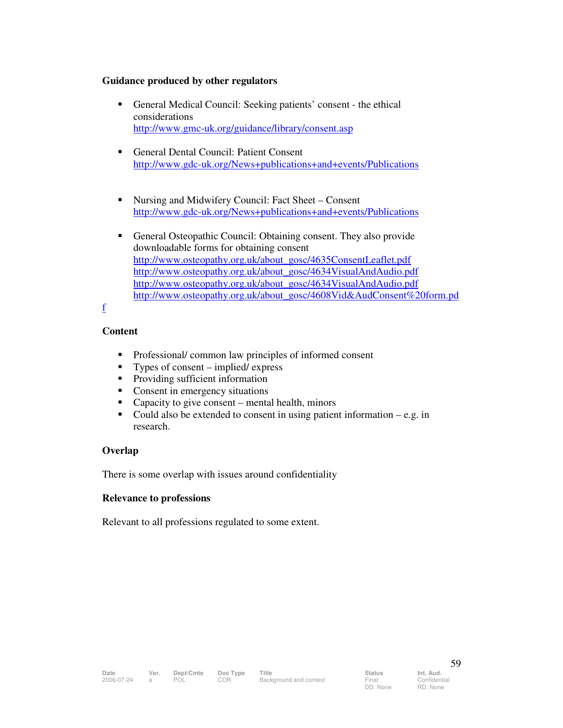# **Guidance produced by other regulators**

- General Medical Council: Seeking patients' consent the ethical considerations http://www.gmc-uk.org/guidance/library/consent.asp
- General Dental Council: Patient Consent http://www.gdc-uk.org/News+publications+and+events/Publications
- Nursing and Midwifery Council: Fact Sheet Consent http://www.gdc-uk.org/News+publications+and+events/Publications
- General Osteopathic Council: Obtaining consent. They also provide downloadable forms for obtaining consent http://www.osteopathy.org.uk/about\_gosc/4635ConsentLeaflet.pdf http://www.osteopathy.org.uk/about\_gosc/4634VisualAndAudio.pdf http://www.osteopathy.org.uk/about\_gosc/4634VisualAndAudio.pdf http://www.osteopathy.org.uk/about\_gosc/4608Vid&AudConsent%20form.pd

f

# **Content**

- **Professional/ common law principles of informed consent**
- Types of consent implied/ express
- **•** Providing sufficient information
- Consent in emergency situations
- Capacity to give consent mental health, minors
- Could also be extended to consent in using patient information  $-e.g.$  in research.

# **Overlap**

There is some overlap with issues around confidentiality

# **Relevance to professions**

Relevant to all professions regulated to some extent.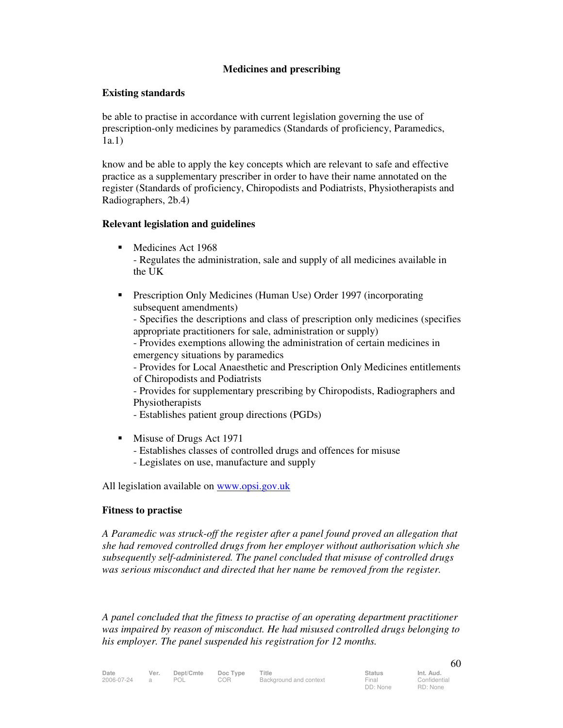# **Medicines and prescribing**

# **Existing standards**

be able to practise in accordance with current legislation governing the use of prescription-only medicines by paramedics (Standards of proficiency, Paramedics, 1a.1)

know and be able to apply the key concepts which are relevant to safe and effective practice as a supplementary prescriber in order to have their name annotated on the register (Standards of proficiency, Chiropodists and Podiatrists, Physiotherapists and Radiographers, 2b.4)

# **Relevant legislation and guidelines**

- Medicines Act 1968 - Regulates the administration, sale and supply of all medicines available in the UK
- Prescription Only Medicines (Human Use) Order 1997 (incorporating subsequent amendments)

- Specifies the descriptions and class of prescription only medicines (specifies appropriate practitioners for sale, administration or supply)

- Provides exemptions allowing the administration of certain medicines in emergency situations by paramedics

- Provides for Local Anaesthetic and Prescription Only Medicines entitlements of Chiropodists and Podiatrists

- Provides for supplementary prescribing by Chiropodists, Radiographers and Physiotherapists

- Establishes patient group directions (PGDs)
- **Misuse of Drugs Act 1971** 
	- Establishes classes of controlled drugs and offences for misuse

- Legislates on use, manufacture and supply

All legislation available on www.opsi.gov.uk

# **Fitness to practise**

*A Paramedic was struck-off the register after a panel found proved an allegation that she had removed controlled drugs from her employer without authorisation which she subsequently self-administered. The panel concluded that misuse of controlled drugs was serious misconduct and directed that her name be removed from the register.* 

*A panel concluded that the fitness to practise of an operating department practitioner was impaired by reason of misconduct. He had misused controlled drugs belonging to his employer. The panel suspended his registration for 12 months.*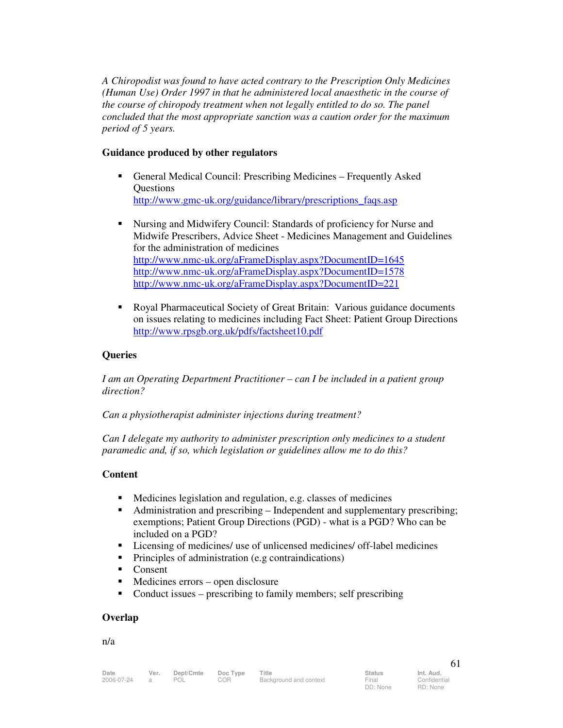*A Chiropodist was found to have acted contrary to the Prescription Only Medicines (Human Use) Order 1997 in that he administered local anaesthetic in the course of the course of chiropody treatment when not legally entitled to do so. The panel concluded that the most appropriate sanction was a caution order for the maximum period of 5 years.* 

# **Guidance produced by other regulators**

- General Medical Council: Prescribing Medicines Frequently Asked **Ouestions** http://www.gmc-uk.org/guidance/library/prescriptions\_faqs.asp
- Nursing and Midwifery Council: Standards of proficiency for Nurse and Midwife Prescribers, Advice Sheet - Medicines Management and Guidelines for the administration of medicines http://www.nmc-uk.org/aFrameDisplay.aspx?DocumentID=1645 http://www.nmc-uk.org/aFrameDisplay.aspx?DocumentID=1578 http://www.nmc-uk.org/aFrameDisplay.aspx?DocumentID=221
- Royal Pharmaceutical Society of Great Britain: Various guidance documents on issues relating to medicines including Fact Sheet: Patient Group Directions http://www.rpsgb.org.uk/pdfs/factsheet10.pdf

# **Queries**

*I am an Operating Department Practitioner – can I be included in a patient group direction?* 

*Can a physiotherapist administer injections during treatment?* 

*Can I delegate my authority to administer prescription only medicines to a student paramedic and, if so, which legislation or guidelines allow me to do this?* 

# **Content**

- Medicines legislation and regulation, e.g. classes of medicines
- Administration and prescribing Independent and supplementary prescribing; exemptions; Patient Group Directions (PGD) - what is a PGD? Who can be included on a PGD?
- Licensing of medicines/ use of unlicensed medicines/ off-label medicines
- **•** Principles of administration (e.g contraindications)
- Consent
- Medicines errors open disclosure
- Conduct issues prescribing to family members; self prescribing

# **Overlap**

n/a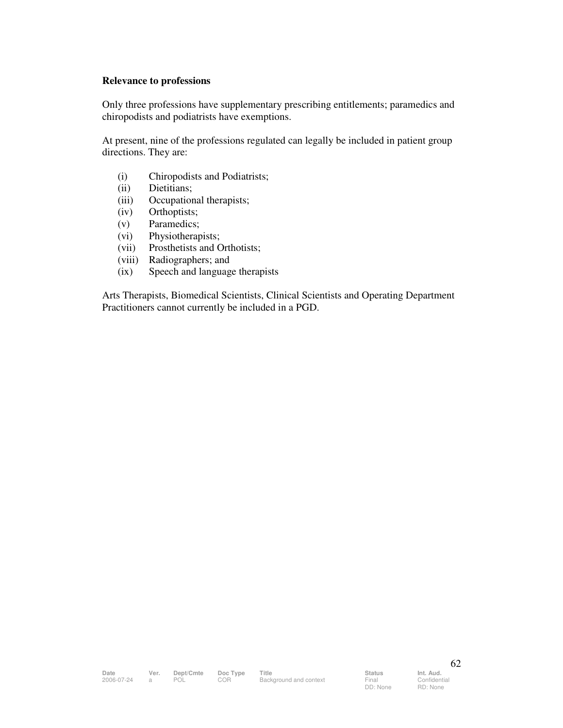#### **Relevance to professions**

Only three professions have supplementary prescribing entitlements; paramedics and chiropodists and podiatrists have exemptions.

At present, nine of the professions regulated can legally be included in patient group directions. They are:

- (i) Chiropodists and Podiatrists;
- (ii) Dietitians;
- (iii) Occupational therapists;
- (iv) Orthoptists;
- (v) Paramedics;
- (vi) Physiotherapists;
- (vii) Prosthetists and Orthotists;
- (viii) Radiographers; and
- (ix) Speech and language therapists

Arts Therapists, Biomedical Scientists, Clinical Scientists and Operating Department Practitioners cannot currently be included in a PGD.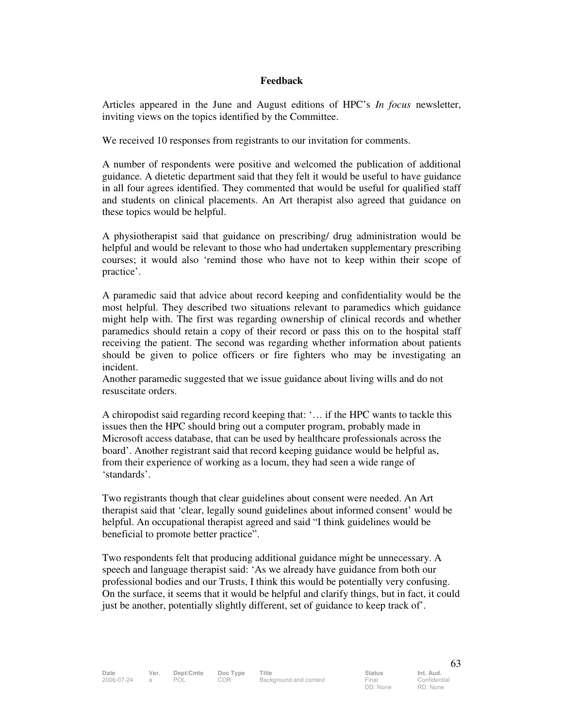#### **Feedback**

Articles appeared in the June and August editions of HPC's *In focus* newsletter, inviting views on the topics identified by the Committee.

We received 10 responses from registrants to our invitation for comments.

A number of respondents were positive and welcomed the publication of additional guidance. A dietetic department said that they felt it would be useful to have guidance in all four agrees identified. They commented that would be useful for qualified staff and students on clinical placements. An Art therapist also agreed that guidance on these topics would be helpful.

A physiotherapist said that guidance on prescribing/ drug administration would be helpful and would be relevant to those who had undertaken supplementary prescribing courses; it would also 'remind those who have not to keep within their scope of practice'.

A paramedic said that advice about record keeping and confidentiality would be the most helpful. They described two situations relevant to paramedics which guidance might help with. The first was regarding ownership of clinical records and whether paramedics should retain a copy of their record or pass this on to the hospital staff receiving the patient. The second was regarding whether information about patients should be given to police officers or fire fighters who may be investigating an incident.

Another paramedic suggested that we issue guidance about living wills and do not resuscitate orders.

A chiropodist said regarding record keeping that: '… if the HPC wants to tackle this issues then the HPC should bring out a computer program, probably made in Microsoft access database, that can be used by healthcare professionals across the board'. Another registrant said that record keeping guidance would be helpful as, from their experience of working as a locum, they had seen a wide range of 'standards'.

Two registrants though that clear guidelines about consent were needed. An Art therapist said that 'clear, legally sound guidelines about informed consent' would be helpful. An occupational therapist agreed and said "I think guidelines would be beneficial to promote better practice".

Two respondents felt that producing additional guidance might be unnecessary. A speech and language therapist said: 'As we already have guidance from both our professional bodies and our Trusts, I think this would be potentially very confusing. On the surface, it seems that it would be helpful and clarify things, but in fact, it could just be another, potentially slightly different, set of guidance to keep track of'.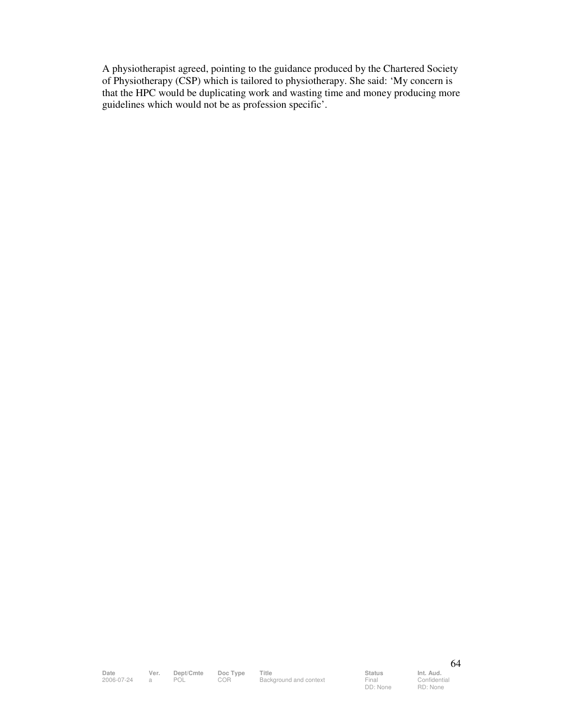A physiotherapist agreed, pointing to the guidance produced by the Chartered Society of Physiotherapy (CSP) which is tailored to physiotherapy. She said: 'My concern is that the HPC would be duplicating work and wasting time and money producing more guidelines which would not be as profession specific'.

Date Ver. Dept/Cmte Doc<sup>Type</sup> Title **Status** Status Int. Aud. 2006-07-24 a POL COR Background and context Final

DD: None

Confidential RD: None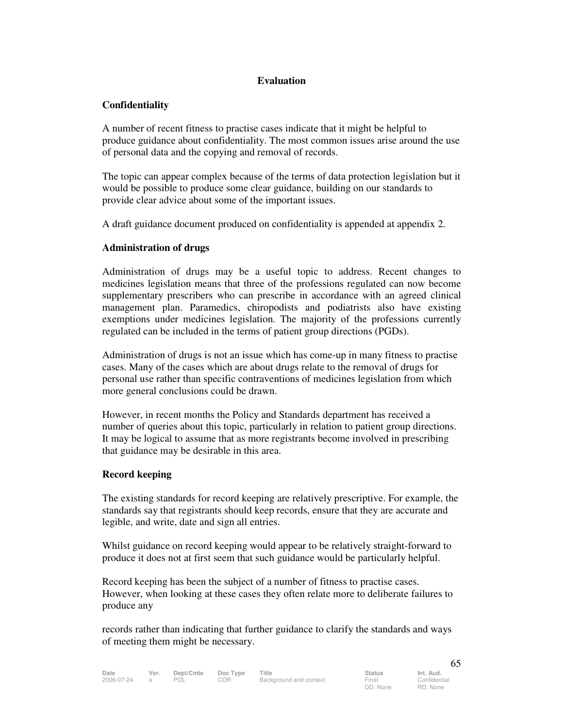# **Evaluation**

# **Confidentiality**

A number of recent fitness to practise cases indicate that it might be helpful to produce guidance about confidentiality. The most common issues arise around the use of personal data and the copying and removal of records.

The topic can appear complex because of the terms of data protection legislation but it would be possible to produce some clear guidance, building on our standards to provide clear advice about some of the important issues.

A draft guidance document produced on confidentiality is appended at appendix 2.

# **Administration of drugs**

Administration of drugs may be a useful topic to address. Recent changes to medicines legislation means that three of the professions regulated can now become supplementary prescribers who can prescribe in accordance with an agreed clinical management plan. Paramedics, chiropodists and podiatrists also have existing exemptions under medicines legislation. The majority of the professions currently regulated can be included in the terms of patient group directions (PGDs).

Administration of drugs is not an issue which has come-up in many fitness to practise cases. Many of the cases which are about drugs relate to the removal of drugs for personal use rather than specific contraventions of medicines legislation from which more general conclusions could be drawn.

However, in recent months the Policy and Standards department has received a number of queries about this topic, particularly in relation to patient group directions. It may be logical to assume that as more registrants become involved in prescribing that guidance may be desirable in this area.

# **Record keeping**

The existing standards for record keeping are relatively prescriptive. For example, the standards say that registrants should keep records, ensure that they are accurate and legible, and write, date and sign all entries.

Whilst guidance on record keeping would appear to be relatively straight-forward to produce it does not at first seem that such guidance would be particularly helpful.

Record keeping has been the subject of a number of fitness to practise cases. However, when looking at these cases they often relate more to deliberate failures to produce any

records rather than indicating that further guidance to clarify the standards and ways of meeting them might be necessary.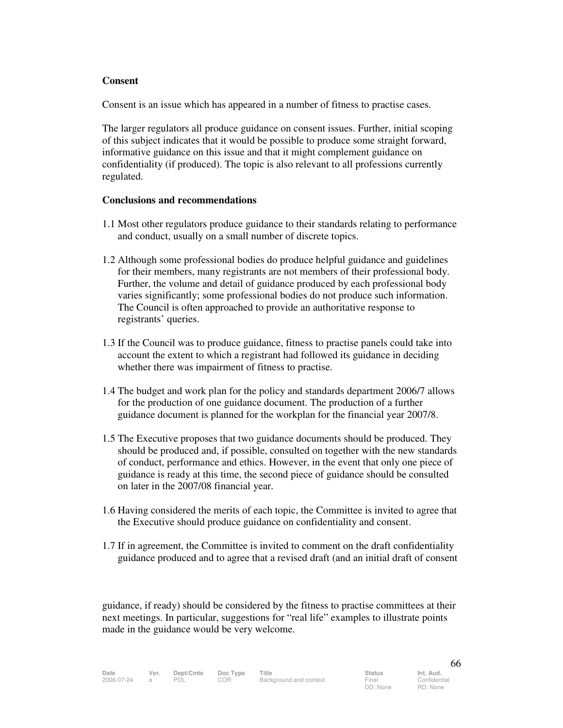# **Consent**

Consent is an issue which has appeared in a number of fitness to practise cases.

The larger regulators all produce guidance on consent issues. Further, initial scoping of this subject indicates that it would be possible to produce some straight forward, informative guidance on this issue and that it might complement guidance on confidentiality (if produced). The topic is also relevant to all professions currently regulated.

# **Conclusions and recommendations**

- 1.1 Most other regulators produce guidance to their standards relating to performance and conduct, usually on a small number of discrete topics.
- 1.2 Although some professional bodies do produce helpful guidance and guidelines for their members, many registrants are not members of their professional body. Further, the volume and detail of guidance produced by each professional body varies significantly; some professional bodies do not produce such information. The Council is often approached to provide an authoritative response to registrants' queries.
- 1.3 If the Council was to produce guidance, fitness to practise panels could take into account the extent to which a registrant had followed its guidance in deciding whether there was impairment of fitness to practise.
- 1.4 The budget and work plan for the policy and standards department 2006/7 allows for the production of one guidance document. The production of a further guidance document is planned for the workplan for the financial year 2007/8.
- 1.5 The Executive proposes that two guidance documents should be produced. They should be produced and, if possible, consulted on together with the new standards of conduct, performance and ethics. However, in the event that only one piece of guidance is ready at this time, the second piece of guidance should be consulted on later in the 2007/08 financial year.
- 1.6 Having considered the merits of each topic, the Committee is invited to agree that the Executive should produce guidance on confidentiality and consent.
- 1.7 If in agreement, the Committee is invited to comment on the draft confidentiality guidance produced and to agree that a revised draft (and an initial draft of consent

guidance, if ready) should be considered by the fitness to practise committees at their next meetings. In particular, suggestions for "real life" examples to illustrate points made in the guidance would be very welcome.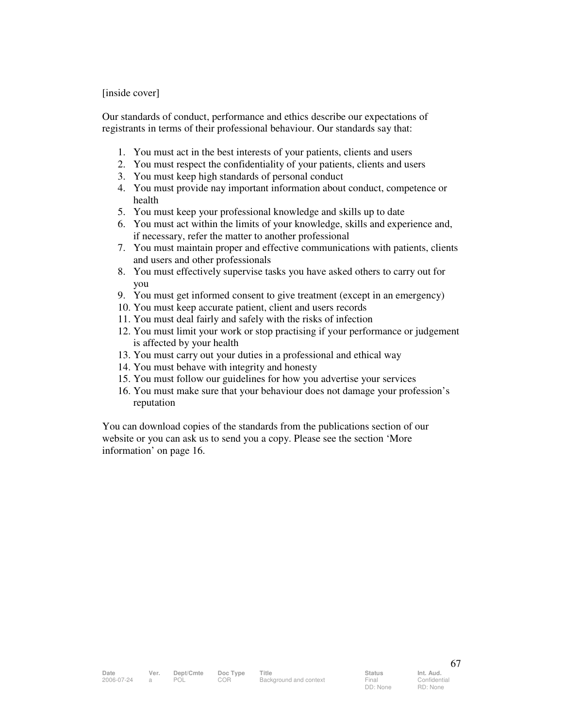#### [inside cover]

Our standards of conduct, performance and ethics describe our expectations of registrants in terms of their professional behaviour. Our standards say that:

- 1. You must act in the best interests of your patients, clients and users
- 2. You must respect the confidentiality of your patients, clients and users
- 3. You must keep high standards of personal conduct
- 4. You must provide nay important information about conduct, competence or health
- 5. You must keep your professional knowledge and skills up to date
- 6. You must act within the limits of your knowledge, skills and experience and, if necessary, refer the matter to another professional
- 7. You must maintain proper and effective communications with patients, clients and users and other professionals
- 8. You must effectively supervise tasks you have asked others to carry out for you
- 9. You must get informed consent to give treatment (except in an emergency)
- 10. You must keep accurate patient, client and users records
- 11. You must deal fairly and safely with the risks of infection
- 12. You must limit your work or stop practising if your performance or judgement is affected by your health
- 13. You must carry out your duties in a professional and ethical way
- 14. You must behave with integrity and honesty
- 15. You must follow our guidelines for how you advertise your services
- 16. You must make sure that your behaviour does not damage your profession's reputation

You can download copies of the standards from the publications section of our website or you can ask us to send you a copy. Please see the section 'More information' on page 16.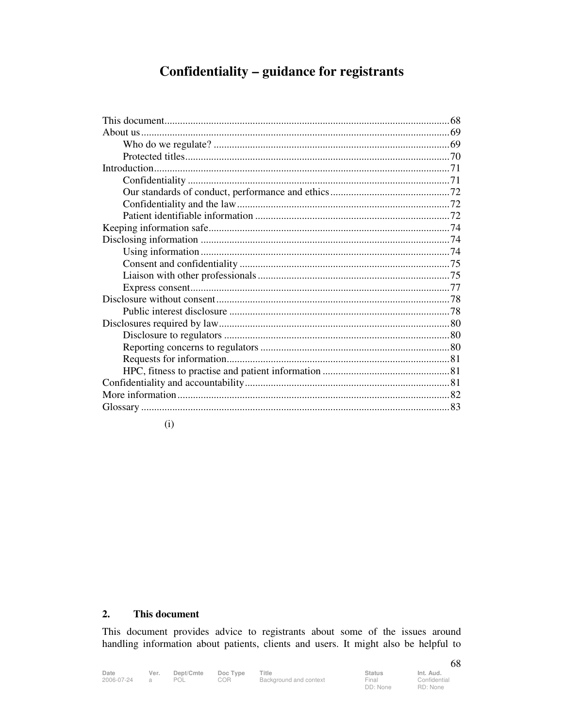# Confidentiality - guidance for registrants

 $(i)$ 

#### $2.$ This document

This document provides advice to registrants about some of the issues around handling information about patients, clients and users. It might also be helpful to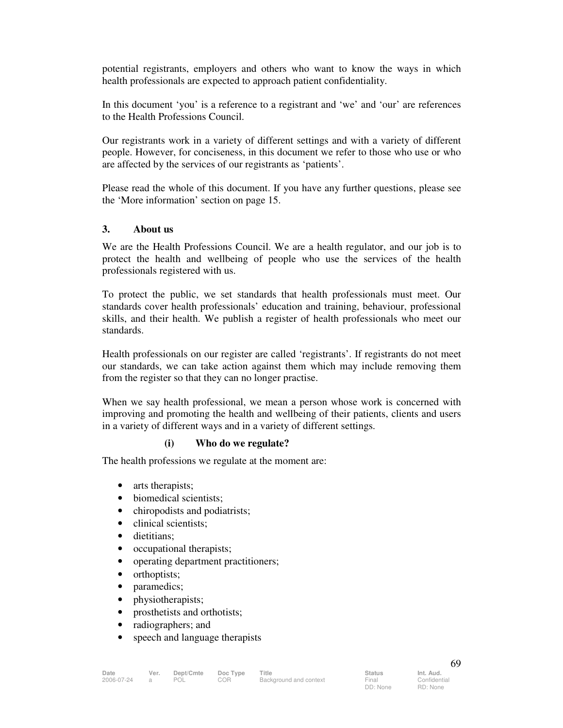potential registrants, employers and others who want to know the ways in which health professionals are expected to approach patient confidentiality.

In this document 'you' is a reference to a registrant and 'we' and 'our' are references to the Health Professions Council.

Our registrants work in a variety of different settings and with a variety of different people. However, for conciseness, in this document we refer to those who use or who are affected by the services of our registrants as 'patients'.

Please read the whole of this document. If you have any further questions, please see the 'More information' section on page 15.

#### **3. About us**

We are the Health Professions Council. We are a health regulator, and our job is to protect the health and wellbeing of people who use the services of the health professionals registered with us.

To protect the public, we set standards that health professionals must meet. Our standards cover health professionals' education and training, behaviour, professional skills, and their health. We publish a register of health professionals who meet our standards.

Health professionals on our register are called 'registrants'. If registrants do not meet our standards, we can take action against them which may include removing them from the register so that they can no longer practise.

When we say health professional, we mean a person whose work is concerned with improving and promoting the health and wellbeing of their patients, clients and users in a variety of different ways and in a variety of different settings.

# **(i) Who do we regulate?**

The health professions we regulate at the moment are:

- arts therapists;
- biomedical scientists;
- chiropodists and podiatrists;
- clinical scientists:
- dietitians;
- occupational therapists;
- operating department practitioners;
- orthoptists;
- paramedics;
- physiotherapists;
- prosthetists and orthotists;
- radiographers; and
- speech and language therapists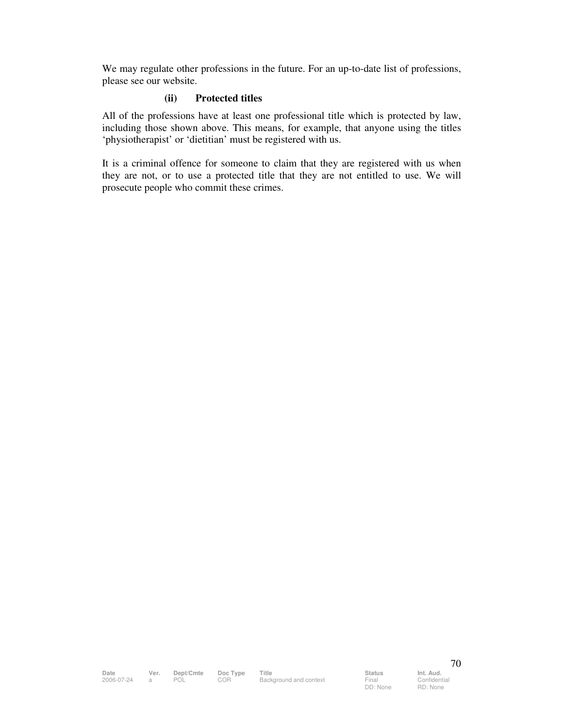We may regulate other professions in the future. For an up-to-date list of professions, please see our website.

# **(ii) Protected titles**

All of the professions have at least one professional title which is protected by law, including those shown above. This means, for example, that anyone using the titles 'physiotherapist' or 'dietitian' must be registered with us.

It is a criminal offence for someone to claim that they are registered with us when they are not, or to use a protected title that they are not entitled to use. We will prosecute people who commit these crimes.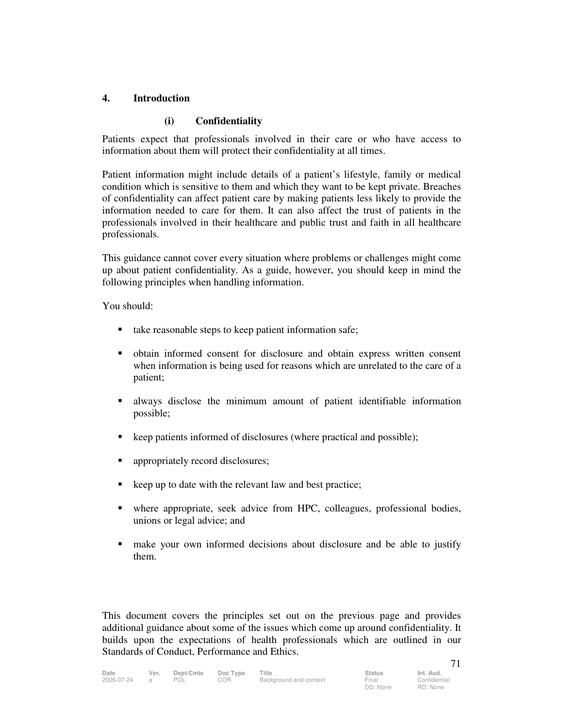# **4. Introduction**

# **(i) Confidentiality**

Patients expect that professionals involved in their care or who have access to information about them will protect their confidentiality at all times.

Patient information might include details of a patient's lifestyle, family or medical condition which is sensitive to them and which they want to be kept private. Breaches of confidentiality can affect patient care by making patients less likely to provide the information needed to care for them. It can also affect the trust of patients in the professionals involved in their healthcare and public trust and faith in all healthcare professionals.

This guidance cannot cover every situation where problems or challenges might come up about patient confidentiality. As a guide, however, you should keep in mind the following principles when handling information.

You should:

- take reasonable steps to keep patient information safe;
- obtain informed consent for disclosure and obtain express written consent when information is being used for reasons which are unrelated to the care of a patient;
- always disclose the minimum amount of patient identifiable information possible;
- keep patients informed of disclosures (where practical and possible);
- appropriately record disclosures;
- keep up to date with the relevant law and best practice;
- where appropriate, seek advice from HPC, colleagues, professional bodies, unions or legal advice; and
- make your own informed decisions about disclosure and be able to justify them.

This document covers the principles set out on the previous page and provides additional guidance about some of the issues which come up around confidentiality. It builds upon the expectations of health professionals which are outlined in our Standards of Conduct, Performance and Ethics.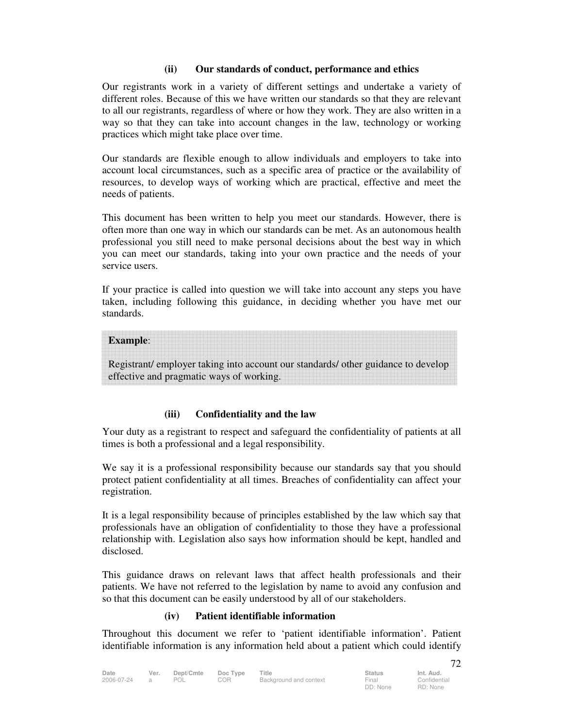# **(ii) Our standards of conduct, performance and ethics**

Our registrants work in a variety of different settings and undertake a variety of different roles. Because of this we have written our standards so that they are relevant to all our registrants, regardless of where or how they work. They are also written in a way so that they can take into account changes in the law, technology or working practices which might take place over time.

Our standards are flexible enough to allow individuals and employers to take into account local circumstances, such as a specific area of practice or the availability of resources, to develop ways of working which are practical, effective and meet the needs of patients.

This document has been written to help you meet our standards. However, there is often more than one way in which our standards can be met. As an autonomous health professional you still need to make personal decisions about the best way in which you can meet our standards, taking into your own practice and the needs of your service users.

If your practice is called into question we will take into account any steps you have taken, including following this guidance, in deciding whether you have met our standards.

# **Example**:

Registrant/ employer taking into account our standards/ other guidance to develop effective and pragmatic ways of working.

# **(iii) Confidentiality and the law**

Your duty as a registrant to respect and safeguard the confidentiality of patients at all times is both a professional and a legal responsibility.

We say it is a professional responsibility because our standards say that you should protect patient confidentiality at all times. Breaches of confidentiality can affect your registration.

It is a legal responsibility because of principles established by the law which say that professionals have an obligation of confidentiality to those they have a professional relationship with. Legislation also says how information should be kept, handled and disclosed.

This guidance draws on relevant laws that affect health professionals and their patients. We have not referred to the legislation by name to avoid any confusion and so that this document can be easily understood by all of our stakeholders.

# **(iv) Patient identifiable information**

Throughout this document we refer to 'patient identifiable information'. Patient identifiable information is any information held about a patient which could identify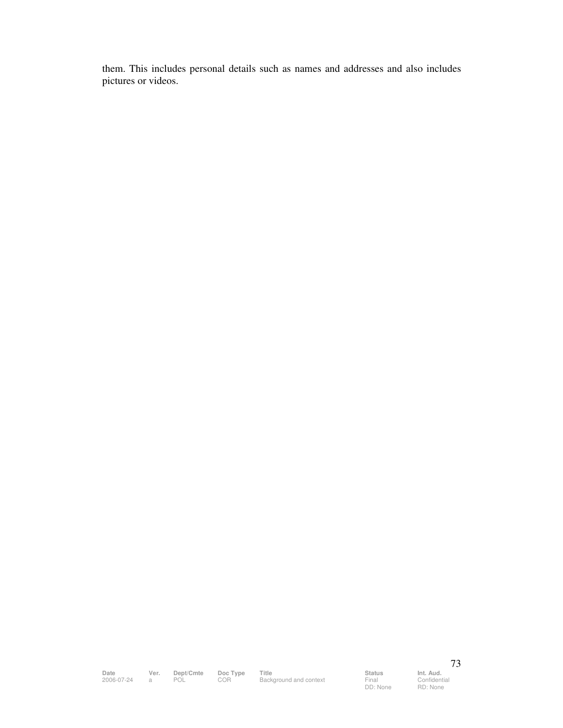them. This includes personal details such as names and addresses and also includes pictures or videos.

Date Ver. Dept/Cmte Doc<sup>Type</sup> Title **Status** Status Int. Aud. Date Ver. Dept/Cmte Doc Type Title<br>2006-07-24 a POL COR Background and context

Status<br>Final<br>DD: None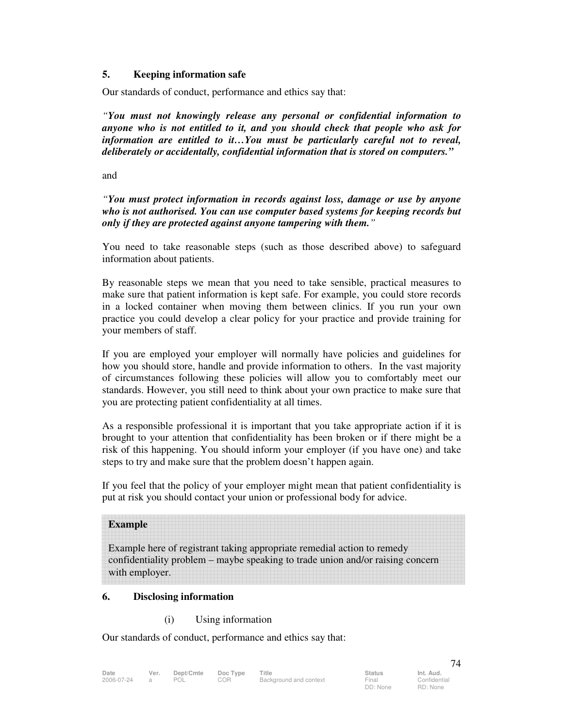# **5. Keeping information safe**

Our standards of conduct, performance and ethics say that:

*"You must not knowingly release any personal or confidential information to anyone who is not entitled to it, and you should check that people who ask for information are entitled to it…You must be particularly careful not to reveal, deliberately or accidentally, confidential information that is stored on computers."*

and

*"You must protect information in records against loss, damage or use by anyone who is not authorised. You can use computer based systems for keeping records but only if they are protected against anyone tampering with them."* 

You need to take reasonable steps (such as those described above) to safeguard information about patients.

By reasonable steps we mean that you need to take sensible, practical measures to make sure that patient information is kept safe. For example, you could store records in a locked container when moving them between clinics. If you run your own practice you could develop a clear policy for your practice and provide training for your members of staff.

If you are employed your employer will normally have policies and guidelines for how you should store, handle and provide information to others. In the vast majority of circumstances following these policies will allow you to comfortably meet our standards. However, you still need to think about your own practice to make sure that you are protecting patient confidentiality at all times.

As a responsible professional it is important that you take appropriate action if it is brought to your attention that confidentiality has been broken or if there might be a risk of this happening. You should inform your employer (if you have one) and take steps to try and make sure that the problem doesn't happen again.

If you feel that the policy of your employer might mean that patient confidentiality is put at risk you should contact your union or professional body for advice.

#### **Example**

Example here of registrant taking appropriate remedial action to remedy confidentiality problem – maybe speaking to trade union and/or raising concern with employer.

## **6. Disclosing information**

## (i) Using information

Our standards of conduct, performance and ethics say that:

| Date<br>2006-07-24 | Ver. | Dept/Cmte<br>POL | Doc Type<br>COR | Title<br>Background and context | <b>Status</b><br>Final<br>DD: None | Int. Aud.<br>Confidential<br>RD: None |
|--------------------|------|------------------|-----------------|---------------------------------|------------------------------------|---------------------------------------|

 $74$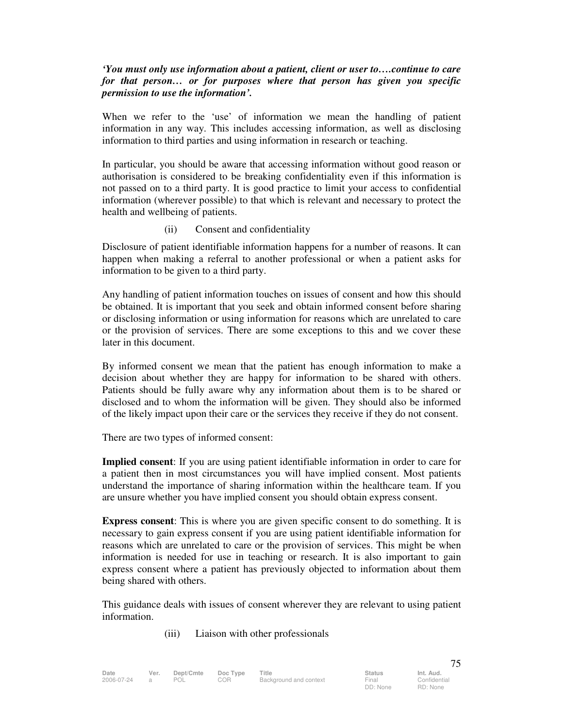## *'You must only use information about a patient, client or user to….continue to care for that person… or for purposes where that person has given you specific permission to use the information'.*

When we refer to the 'use' of information we mean the handling of patient information in any way. This includes accessing information, as well as disclosing information to third parties and using information in research or teaching.

In particular, you should be aware that accessing information without good reason or authorisation is considered to be breaking confidentiality even if this information is not passed on to a third party. It is good practice to limit your access to confidential information (wherever possible) to that which is relevant and necessary to protect the health and wellbeing of patients.

### (ii) Consent and confidentiality

Disclosure of patient identifiable information happens for a number of reasons. It can happen when making a referral to another professional or when a patient asks for information to be given to a third party.

Any handling of patient information touches on issues of consent and how this should be obtained. It is important that you seek and obtain informed consent before sharing or disclosing information or using information for reasons which are unrelated to care or the provision of services. There are some exceptions to this and we cover these later in this document.

By informed consent we mean that the patient has enough information to make a decision about whether they are happy for information to be shared with others. Patients should be fully aware why any information about them is to be shared or disclosed and to whom the information will be given. They should also be informed of the likely impact upon their care or the services they receive if they do not consent.

There are two types of informed consent:

**Implied consent**: If you are using patient identifiable information in order to care for a patient then in most circumstances you will have implied consent. Most patients understand the importance of sharing information within the healthcare team. If you are unsure whether you have implied consent you should obtain express consent.

**Express consent**: This is where you are given specific consent to do something. It is necessary to gain express consent if you are using patient identifiable information for reasons which are unrelated to care or the provision of services. This might be when information is needed for use in teaching or research. It is also important to gain express consent where a patient has previously objected to information about them being shared with others.

This guidance deals with issues of consent wherever they are relevant to using patient information.

(iii) Liaison with other professionals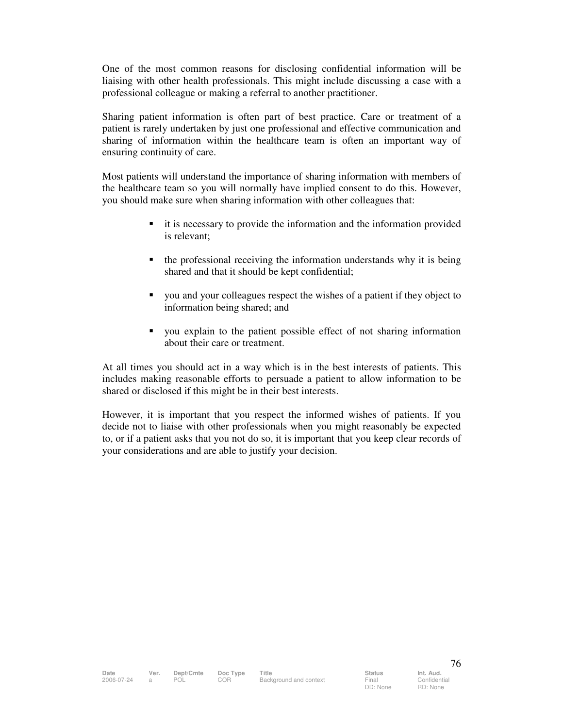One of the most common reasons for disclosing confidential information will be liaising with other health professionals. This might include discussing a case with a professional colleague or making a referral to another practitioner.

Sharing patient information is often part of best practice. Care or treatment of a patient is rarely undertaken by just one professional and effective communication and sharing of information within the healthcare team is often an important way of ensuring continuity of care.

Most patients will understand the importance of sharing information with members of the healthcare team so you will normally have implied consent to do this. However, you should make sure when sharing information with other colleagues that:

- it is necessary to provide the information and the information provided is relevant;
- the professional receiving the information understands why it is being shared and that it should be kept confidential;
- you and your colleagues respect the wishes of a patient if they object to information being shared; and
- you explain to the patient possible effect of not sharing information about their care or treatment.

At all times you should act in a way which is in the best interests of patients. This includes making reasonable efforts to persuade a patient to allow information to be shared or disclosed if this might be in their best interests.

However, it is important that you respect the informed wishes of patients. If you decide not to liaise with other professionals when you might reasonably be expected to, or if a patient asks that you not do so, it is important that you keep clear records of your considerations and are able to justify your decision.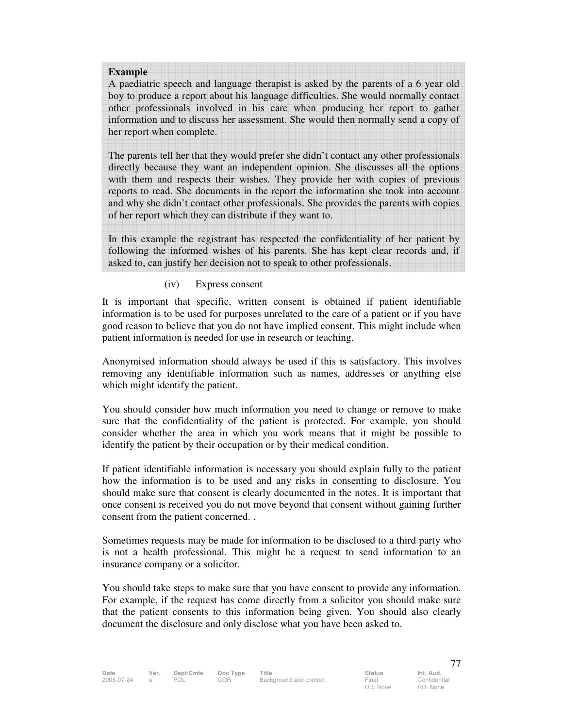### **Example**

A paediatric speech and language therapist is asked by the parents of a 6 year old boy to produce a report about his language difficulties. She would normally contact other professionals involved in his care when producing her report to gather information and to discuss her assessment. She would then normally send a copy of her report when complete.

The parents tell her that they would prefer she didn't contact any other professionals directly because they want an independent opinion. She discusses all the options with them and respects their wishes. They provide her with copies of previous reports to read. She documents in the report the information she took into account and why she didn't contact other professionals. She provides the parents with copies of her report which they can distribute if they want to.

In this example the registrant has respected the confidentiality of her patient by following the informed wishes of his parents. She has kept clear records and, if asked to, can justify her decision not to speak to other professionals.

### (iv) Express consent

It is important that specific, written consent is obtained if patient identifiable information is to be used for purposes unrelated to the care of a patient or if you have good reason to believe that you do not have implied consent. This might include when patient information is needed for use in research or teaching.

Anonymised information should always be used if this is satisfactory. This involves removing any identifiable information such as names, addresses or anything else which might identify the patient.

You should consider how much information you need to change or remove to make sure that the confidentiality of the patient is protected. For example, you should consider whether the area in which you work means that it might be possible to identify the patient by their occupation or by their medical condition.

If patient identifiable information is necessary you should explain fully to the patient how the information is to be used and any risks in consenting to disclosure. You should make sure that consent is clearly documented in the notes. It is important that once consent is received you do not move beyond that consent without gaining further consent from the patient concerned. .

Sometimes requests may be made for information to be disclosed to a third party who is not a health professional. This might be a request to send information to an insurance company or a solicitor*.*

You should take steps to make sure that you have consent to provide any information. For example, if the request has come directly from a solicitor you should make sure that the patient consents to this information being given. You should also clearly document the disclosure and only disclose what you have been asked to.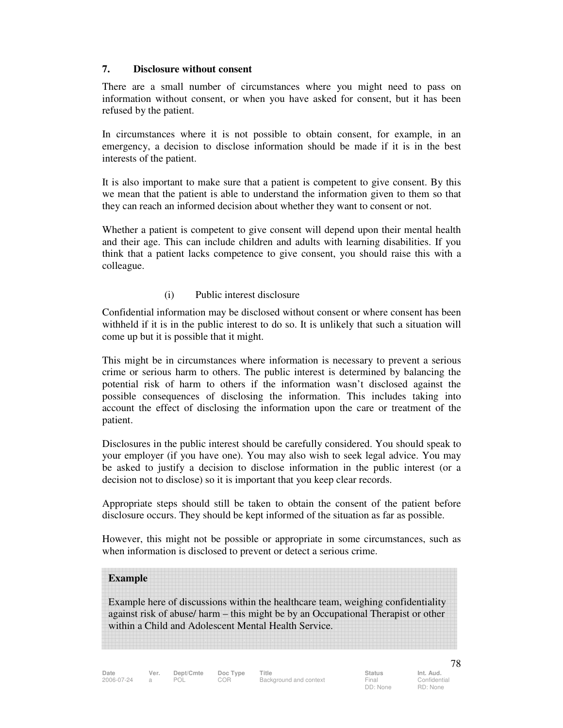## **7. Disclosure without consent**

There are a small number of circumstances where you might need to pass on information without consent, or when you have asked for consent, but it has been refused by the patient.

In circumstances where it is not possible to obtain consent, for example, in an emergency, a decision to disclose information should be made if it is in the best interests of the patient.

It is also important to make sure that a patient is competent to give consent. By this we mean that the patient is able to understand the information given to them so that they can reach an informed decision about whether they want to consent or not.

Whether a patient is competent to give consent will depend upon their mental health and their age. This can include children and adults with learning disabilities. If you think that a patient lacks competence to give consent, you should raise this with a colleague.

### (i) Public interest disclosure

Confidential information may be disclosed without consent or where consent has been withheld if it is in the public interest to do so. It is unlikely that such a situation will come up but it is possible that it might.

This might be in circumstances where information is necessary to prevent a serious crime or serious harm to others. The public interest is determined by balancing the potential risk of harm to others if the information wasn't disclosed against the possible consequences of disclosing the information. This includes taking into account the effect of disclosing the information upon the care or treatment of the patient.

Disclosures in the public interest should be carefully considered. You should speak to your employer (if you have one). You may also wish to seek legal advice. You may be asked to justify a decision to disclose information in the public interest (or a decision not to disclose) so it is important that you keep clear records.

Appropriate steps should still be taken to obtain the consent of the patient before disclosure occurs. They should be kept informed of the situation as far as possible.

However, this might not be possible or appropriate in some circumstances, such as when information is disclosed to prevent or detect a serious crime.

#### **Example**

Example here of discussions within the healthcare team, weighing confidentiality against risk of abuse/ harm – this might be by an Occupational Therapist or other within a Child and Adolescent Mental Health Service.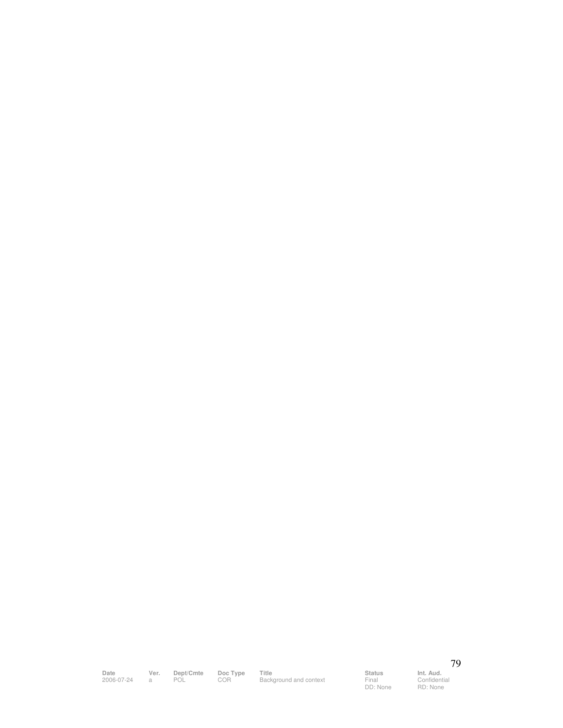**Date Ver. Dept/Cmte Doc Type Title and Context Status Int. Aud.**<br>2006-07-24 a POL COR Background and context Final Confiden

Status<br>Final<br>DD: None

Confidential RD: None

79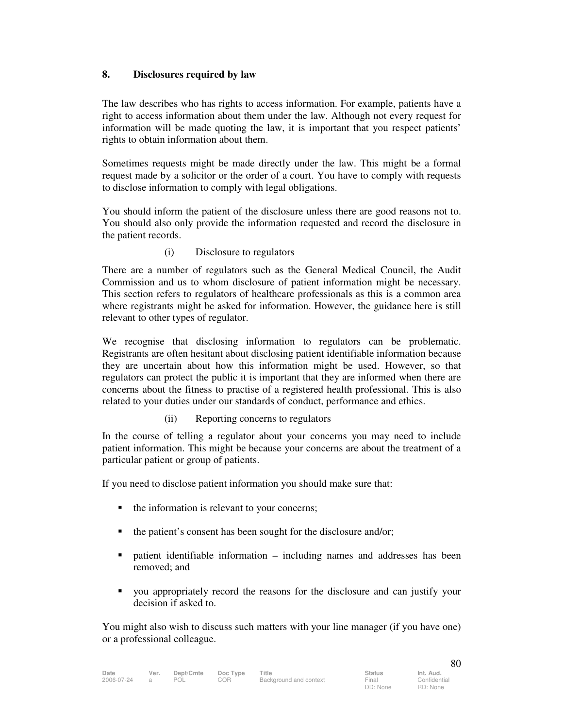# **8. Disclosures required by law**

The law describes who has rights to access information. For example, patients have a right to access information about them under the law. Although not every request for information will be made quoting the law, it is important that you respect patients' rights to obtain information about them.

Sometimes requests might be made directly under the law. This might be a formal request made by a solicitor or the order of a court. You have to comply with requests to disclose information to comply with legal obligations.

You should inform the patient of the disclosure unless there are good reasons not to. You should also only provide the information requested and record the disclosure in the patient records.

(i) Disclosure to regulators

There are a number of regulators such as the General Medical Council, the Audit Commission and us to whom disclosure of patient information might be necessary. This section refers to regulators of healthcare professionals as this is a common area where registrants might be asked for information. However, the guidance here is still relevant to other types of regulator.

We recognise that disclosing information to regulators can be problematic. Registrants are often hesitant about disclosing patient identifiable information because they are uncertain about how this information might be used. However, so that regulators can protect the public it is important that they are informed when there are concerns about the fitness to practise of a registered health professional. This is also related to your duties under our standards of conduct, performance and ethics.

(ii) Reporting concerns to regulators

In the course of telling a regulator about your concerns you may need to include patient information. This might be because your concerns are about the treatment of a particular patient or group of patients.

If you need to disclose patient information you should make sure that:

- the information is relevant to your concerns;
- the patient's consent has been sought for the disclosure and/or;
- patient identifiable information including names and addresses has been removed; and
- you appropriately record the reasons for the disclosure and can justify your decision if asked to.

You might also wish to discuss such matters with your line manager (if you have one) or a professional colleague.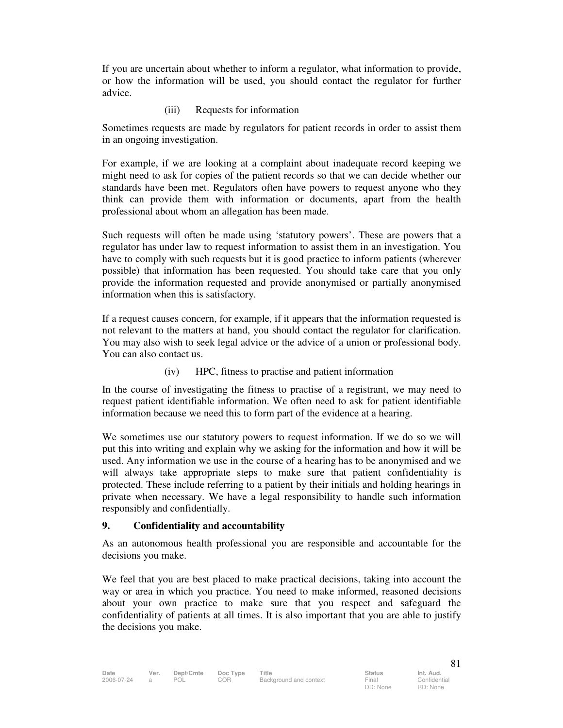If you are uncertain about whether to inform a regulator, what information to provide, or how the information will be used, you should contact the regulator for further advice.

### (iii) Requests for information

Sometimes requests are made by regulators for patient records in order to assist them in an ongoing investigation.

For example, if we are looking at a complaint about inadequate record keeping we might need to ask for copies of the patient records so that we can decide whether our standards have been met. Regulators often have powers to request anyone who they think can provide them with information or documents, apart from the health professional about whom an allegation has been made.

Such requests will often be made using 'statutory powers'. These are powers that a regulator has under law to request information to assist them in an investigation. You have to comply with such requests but it is good practice to inform patients (wherever possible) that information has been requested. You should take care that you only provide the information requested and provide anonymised or partially anonymised information when this is satisfactory.

If a request causes concern, for example, if it appears that the information requested is not relevant to the matters at hand, you should contact the regulator for clarification. You may also wish to seek legal advice or the advice of a union or professional body. You can also contact us.

(iv) HPC, fitness to practise and patient information

In the course of investigating the fitness to practise of a registrant, we may need to request patient identifiable information. We often need to ask for patient identifiable information because we need this to form part of the evidence at a hearing.

We sometimes use our statutory powers to request information. If we do so we will put this into writing and explain why we asking for the information and how it will be used. Any information we use in the course of a hearing has to be anonymised and we will always take appropriate steps to make sure that patient confidentiality is protected. These include referring to a patient by their initials and holding hearings in private when necessary. We have a legal responsibility to handle such information responsibly and confidentially.

## **9. Confidentiality and accountability**

As an autonomous health professional you are responsible and accountable for the decisions you make.

We feel that you are best placed to make practical decisions, taking into account the way or area in which you practice. You need to make informed, reasoned decisions about your own practice to make sure that you respect and safeguard the confidentiality of patients at all times. It is also important that you are able to justify the decisions you make.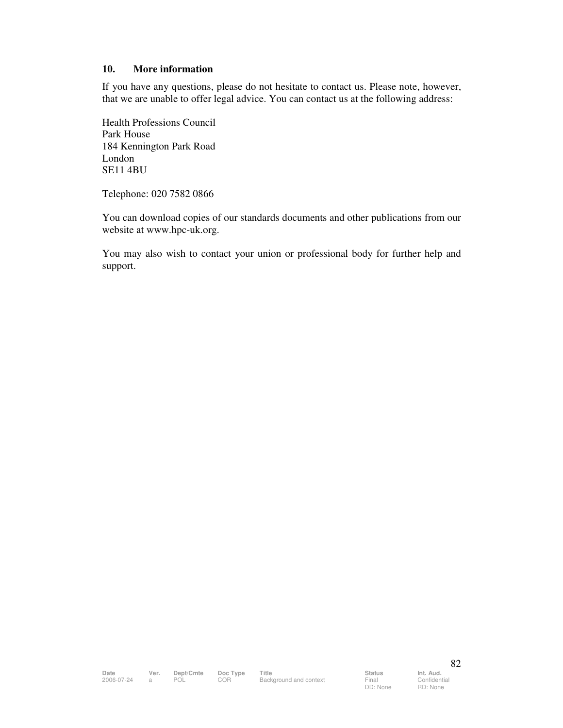## **10. More information**

If you have any questions, please do not hesitate to contact us. Please note, however, that we are unable to offer legal advice. You can contact us at the following address:

Health Professions Council Park House 184 Kennington Park Road London SE11 4BU

Telephone: 020 7582 0866

You can download copies of our standards documents and other publications from our website at www.hpc-uk.org.

You may also wish to contact your union or professional body for further help and support.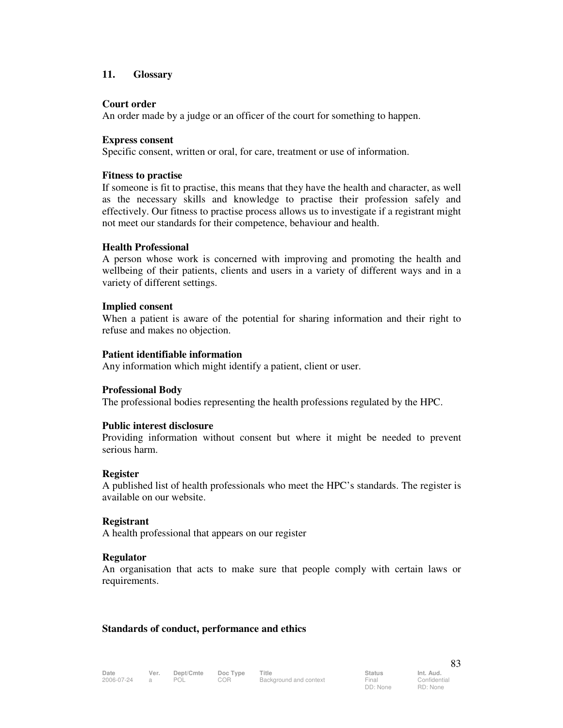### **11. Glossary**

#### **Court order**

An order made by a judge or an officer of the court for something to happen.

### **Express consent**

Specific consent, written or oral, for care, treatment or use of information.

### **Fitness to practise**

If someone is fit to practise, this means that they have the health and character, as well as the necessary skills and knowledge to practise their profession safely and effectively. Our fitness to practise process allows us to investigate if a registrant might not meet our standards for their competence, behaviour and health.

### **Health Professional**

A person whose work is concerned with improving and promoting the health and wellbeing of their patients, clients and users in a variety of different ways and in a variety of different settings.

### **Implied consent**

When a patient is aware of the potential for sharing information and their right to refuse and makes no objection.

### **Patient identifiable information**

Any information which might identify a patient, client or user.

## **Professional Body**

The professional bodies representing the health professions regulated by the HPC.

#### **Public interest disclosure**

Providing information without consent but where it might be needed to prevent serious harm.

#### **Register**

A published list of health professionals who meet the HPC's standards. The register is available on our website.

#### **Registrant**

A health professional that appears on our register

#### **Regulator**

An organisation that acts to make sure that people comply with certain laws or requirements.

#### **Standards of conduct, performance and ethics**

RD: None